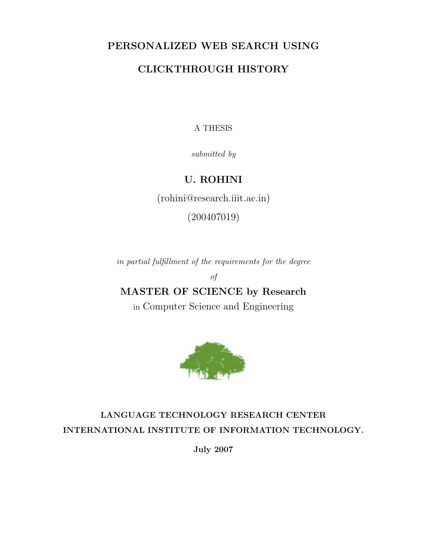## PERSONALIZED WEB SEARCH USING

## CLICKTHROUGH HISTORY

### A THESIS

submitted by

## U. ROHINI

(rohini@research.iiit.ac.in)

(200407019)

in partial fulfillment of the requirements for the degree

of

## MASTER OF SCIENCE by Research

in Computer Science and Engineering



## LANGUAGE TECHNOLOGY RESEARCH CENTER INTERNATIONAL INSTITUTE OF INFORMATION TECHNOLOGY.

July 2007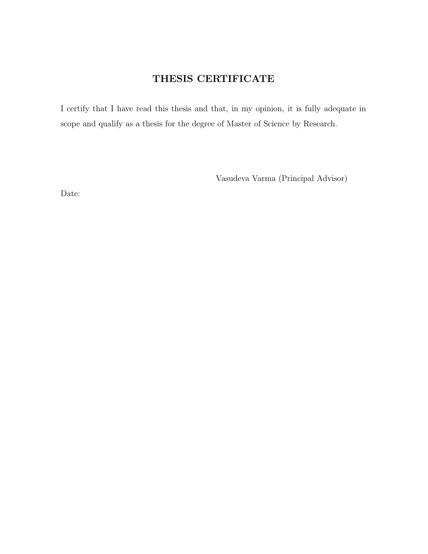## THESIS CERTIFICATE

I certify that I have read this thesis and that, in my opinion, it is fully adequate in scope and qualify as a thesis for the degree of Master of Science by Research.

Vasudeva Varma (Principal Advisor)

Date: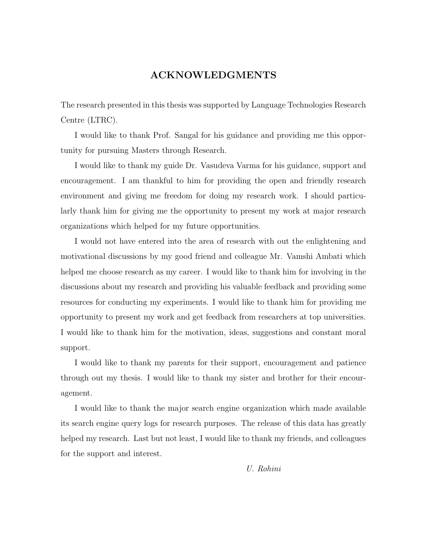### ACKNOWLEDGMENTS

The research presented in this thesis was supported by Language Technologies Research Centre (LTRC).

I would like to thank Prof. Sangal for his guidance and providing me this opportunity for pursuing Masters through Research.

I would like to thank my guide Dr. Vasudeva Varma for his guidance, support and encouragement. I am thankful to him for providing the open and friendly research environment and giving me freedom for doing my research work. I should particularly thank him for giving me the opportunity to present my work at major research organizations which helped for my future opportunities.

I would not have entered into the area of research with out the enlightening and motivational discussions by my good friend and colleague Mr. Vamshi Ambati which helped me choose research as my career. I would like to thank him for involving in the discussions about my research and providing his valuable feedback and providing some resources for conducting my experiments. I would like to thank him for providing me opportunity to present my work and get feedback from researchers at top universities. I would like to thank him for the motivation, ideas, suggestions and constant moral support.

I would like to thank my parents for their support, encouragement and patience through out my thesis. I would like to thank my sister and brother for their encouragement.

I would like to thank the major search engine organization which made available its search engine query logs for research purposes. The release of this data has greatly helped my research. Last but not least, I would like to thank my friends, and colleagues for the support and interest.

U. Rohini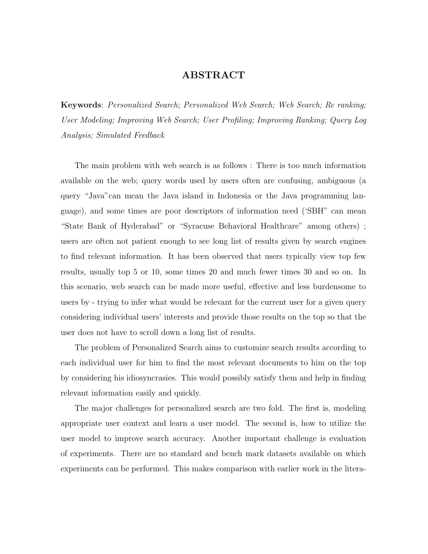### ABSTRACT

Keywords: Personalized Search; Personalized Web Search; Web Search; Re ranking; User Modeling; Improving Web Search; User Profiling; Improving Ranking; Query Log Analysis; Simulated Feedback

The main problem with web search is as follows : There is too much information available on the web; query words used by users often are confusing, ambiguous (a query "Java"can mean the Java island in Indonesia or the Java programming language), and some times are poor descriptors of information need ('SBH" can mean "State Bank of Hyderabad" or "Syracuse Behavioral Healthcare" among others) ; users are often not patient enough to see long list of results given by search engines to find relevant information. It has been observed that users typically view top few results, usually top 5 or 10, some times 20 and much fewer times 30 and so on. In this scenario, web search can be made more useful, effective and less burdensome to users by - trying to infer what would be relevant for the current user for a given query considering individual users' interests and provide those results on the top so that the user does not have to scroll down a long list of results.

The problem of Personalized Search aims to customize search results according to each individual user for him to find the most relevant documents to him on the top by considering his idiosyncrasies. This would possibly satisfy them and help in finding relevant information easily and quickly.

The major challenges for personalized search are two fold. The first is, modeling appropriate user context and learn a user model. The second is, how to utilize the user model to improve search accuracy. Another important challenge is evaluation of experiments. There are no standard and bench mark datasets available on which experiments can be performed. This makes comparison with earlier work in the litera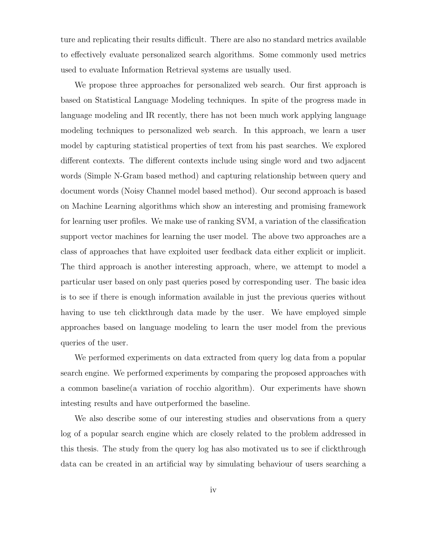ture and replicating their results difficult. There are also no standard metrics available to effectively evaluate personalized search algorithms. Some commonly used metrics used to evaluate Information Retrieval systems are usually used.

We propose three approaches for personalized web search. Our first approach is based on Statistical Language Modeling techniques. In spite of the progress made in language modeling and IR recently, there has not been much work applying language modeling techniques to personalized web search. In this approach, we learn a user model by capturing statistical properties of text from his past searches. We explored different contexts. The different contexts include using single word and two adjacent words (Simple N-Gram based method) and capturing relationship between query and document words (Noisy Channel model based method). Our second approach is based on Machine Learning algorithms which show an interesting and promising framework for learning user profiles. We make use of ranking SVM, a variation of the classification support vector machines for learning the user model. The above two approaches are a class of approaches that have exploited user feedback data either explicit or implicit. The third approach is another interesting approach, where, we attempt to model a particular user based on only past queries posed by corresponding user. The basic idea is to see if there is enough information available in just the previous queries without having to use teh clickthrough data made by the user. We have employed simple approaches based on language modeling to learn the user model from the previous queries of the user.

We performed experiments on data extracted from query log data from a popular search engine. We performed experiments by comparing the proposed approaches with a common baseline(a variation of rocchio algorithm). Our experiments have shown intesting results and have outperformed the baseline.

We also describe some of our interesting studies and observations from a query log of a popular search engine which are closely related to the problem addressed in this thesis. The study from the query log has also motivated us to see if clickthrough data can be created in an artificial way by simulating behaviour of users searching a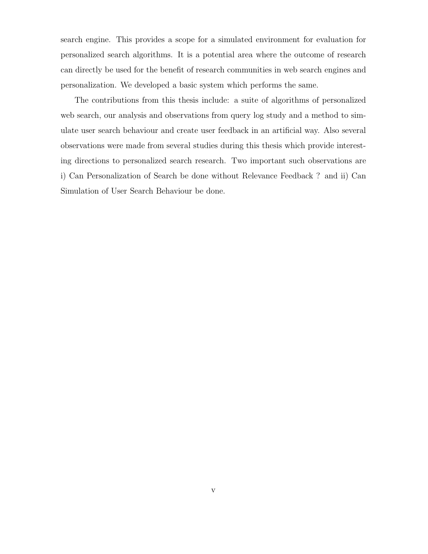search engine. This provides a scope for a simulated environment for evaluation for personalized search algorithms. It is a potential area where the outcome of research can directly be used for the benefit of research communities in web search engines and personalization. We developed a basic system which performs the same.

The contributions from this thesis include: a suite of algorithms of personalized web search, our analysis and observations from query log study and a method to simulate user search behaviour and create user feedback in an artificial way. Also several observations were made from several studies during this thesis which provide interesting directions to personalized search research. Two important such observations are i) Can Personalization of Search be done without Relevance Feedback ? and ii) Can Simulation of User Search Behaviour be done.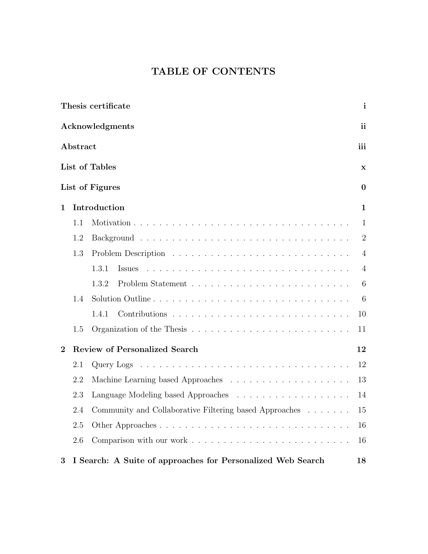## TABLE OF CONTENTS

|                |                                            | Thesis certificate                                          | $\mathbf{i}$   |  |  |  |  |  |
|----------------|--------------------------------------------|-------------------------------------------------------------|----------------|--|--|--|--|--|
|                |                                            | Acknowledgments                                             | ii             |  |  |  |  |  |
|                | Abstract                                   |                                                             | iii            |  |  |  |  |  |
|                |                                            | List of Tables                                              | $\mathbf X$    |  |  |  |  |  |
|                |                                            | List of Figures                                             | $\bf{0}$       |  |  |  |  |  |
| 1              |                                            | Introduction                                                | $\mathbf{1}$   |  |  |  |  |  |
|                | 1.1                                        |                                                             | $\mathbf{1}$   |  |  |  |  |  |
|                | 1.2                                        |                                                             | $\overline{2}$ |  |  |  |  |  |
|                | 1.3                                        |                                                             | $\overline{4}$ |  |  |  |  |  |
|                |                                            | 1.3.1<br><i>Issues</i>                                      | $\overline{4}$ |  |  |  |  |  |
|                |                                            | 1.3.2                                                       | 6              |  |  |  |  |  |
|                | 1.4                                        | Solution Outline                                            | 6              |  |  |  |  |  |
|                |                                            | 1.4.1                                                       | 10             |  |  |  |  |  |
|                | 1.5                                        |                                                             | 11             |  |  |  |  |  |
| $\overline{2}$ | <b>Review of Personalized Search</b><br>12 |                                                             |                |  |  |  |  |  |
|                | 2.1                                        |                                                             | 12             |  |  |  |  |  |
|                | 2.2                                        |                                                             | 13             |  |  |  |  |  |
|                | 2.3                                        |                                                             | 14             |  |  |  |  |  |
|                | 2.4                                        | Community and Collaborative Filtering based Approaches      | 15             |  |  |  |  |  |
|                | 2.5                                        | Other Approaches                                            | 16             |  |  |  |  |  |
|                | 2.6                                        |                                                             | 16             |  |  |  |  |  |
| 3              |                                            | I Search: A Suite of approaches for Personalized Web Search | 18             |  |  |  |  |  |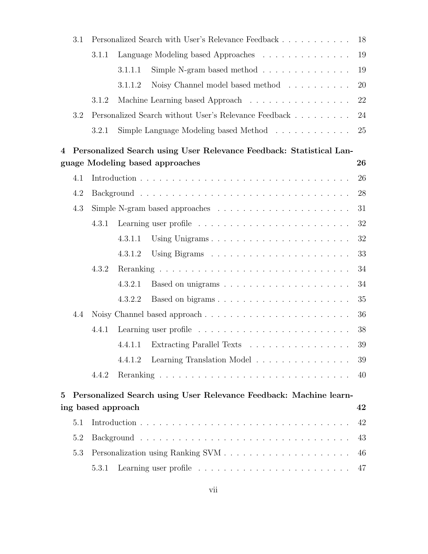|                | 3.1 | Personalized Search with User's Relevance Feedback<br>18 |                    |                                                                                  |    |
|----------------|-----|----------------------------------------------------------|--------------------|----------------------------------------------------------------------------------|----|
|                |     | 3.1.1                                                    |                    | Language Modeling based Approaches                                               | 19 |
|                |     |                                                          | 3.1.1.1            | Simple N-gram based method $\ldots \ldots \ldots \ldots$                         | 19 |
|                |     |                                                          | 3.1.1.2            | Noisy Channel model based method                                                 | 20 |
|                |     | 3.1.2                                                    |                    | Machine Learning based Approach                                                  | 22 |
|                | 3.2 |                                                          |                    | Personalized Search without User's Relevance Feedback                            | 24 |
|                |     | 3.2.1                                                    |                    | Simple Language Modeling based Method                                            | 25 |
| $\overline{4}$ |     |                                                          |                    | Personalized Search using User Relevance Feedback: Statistical Lan-              |    |
|                |     |                                                          |                    | guage Modeling based approaches                                                  | 26 |
|                | 4.1 |                                                          |                    |                                                                                  | 26 |
|                | 4.2 |                                                          |                    |                                                                                  | 28 |
|                | 4.3 |                                                          |                    | Simple N-gram based approaches $\dots \dots \dots \dots \dots \dots \dots \dots$ | 31 |
|                |     | 4.3.1                                                    |                    |                                                                                  | 32 |
|                |     |                                                          | 4.3.1.1            | Using Unigrams                                                                   | 32 |
|                |     |                                                          | 4.3.1.2            |                                                                                  | 33 |
|                |     | 4.3.2                                                    |                    |                                                                                  | 34 |
|                |     |                                                          | 4.3.2.1            |                                                                                  | 34 |
|                |     |                                                          | 4.3.2.2            | Based on bigrams                                                                 | 35 |
|                | 4.4 |                                                          |                    |                                                                                  | 36 |
|                |     | 4.4.1                                                    |                    |                                                                                  | 38 |
|                |     |                                                          |                    | 4.4.1.1 Extracting Parallel Texts                                                | 39 |
|                |     |                                                          | 4.4.1.2            | Learning Translation Model                                                       | 39 |
|                |     | 4.4.2                                                    |                    |                                                                                  | 40 |
| 5              |     |                                                          |                    | Personalized Search using User Relevance Feedback: Machine learn-                |    |
|                |     |                                                          | ing based approach |                                                                                  | 42 |
|                | 5.1 |                                                          |                    |                                                                                  | 42 |
|                | 5.2 |                                                          |                    |                                                                                  | 43 |
|                | 5.3 |                                                          |                    |                                                                                  | 46 |
|                |     | 5.3.1                                                    |                    |                                                                                  | 47 |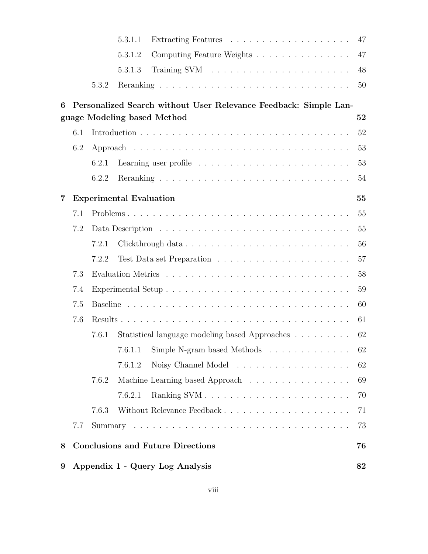| 9 |     |       | Appendix 1 - Query Log Analysis                                                                 | 82 |
|---|-----|-------|-------------------------------------------------------------------------------------------------|----|
| 8 |     |       | <b>Conclusions and Future Directions</b>                                                        | 76 |
|   | 7.7 |       |                                                                                                 | 73 |
|   |     | 7.6.3 |                                                                                                 | 71 |
|   |     |       | 7.6.2.1                                                                                         | 70 |
|   |     | 7.6.2 | Machine Learning based Approach                                                                 | 69 |
|   |     |       | 7.6.1.2                                                                                         | 62 |
|   |     |       | 7.6.1.1 Simple N-gram based Methods 62                                                          |    |
|   |     | 7.6.1 | Statistical language modeling based Approaches                                                  | 62 |
|   | 7.6 | 61    |                                                                                                 |    |
|   | 7.5 |       |                                                                                                 | 60 |
|   | 7.4 |       |                                                                                                 | 59 |
|   | 7.3 |       |                                                                                                 | 58 |
|   |     | 7.2.2 |                                                                                                 | 57 |
|   |     | 7.2.1 | Clickthrough data                                                                               | 56 |
|   | 7.2 |       |                                                                                                 | 55 |
|   | 7.1 |       |                                                                                                 | 55 |
| 7 |     |       | <b>Experimental Evaluation</b>                                                                  | 55 |
|   |     | 6.2.2 |                                                                                                 | 54 |
|   |     | 6.2.1 |                                                                                                 | 53 |
|   | 6.2 |       |                                                                                                 | 53 |
|   | 6.1 |       |                                                                                                 | 52 |
| 6 |     |       | Personalized Search without User Relevance Feedback: Simple Lan-<br>guage Modeling based Method | 52 |
|   |     | 5.3.2 |                                                                                                 | 50 |
|   |     |       | 5.3.1.3                                                                                         | 48 |
|   |     |       | Computing Feature Weights<br>5.3.1.2                                                            | 47 |
|   |     |       | 5.3.1.1                                                                                         | 47 |
|   |     |       |                                                                                                 |    |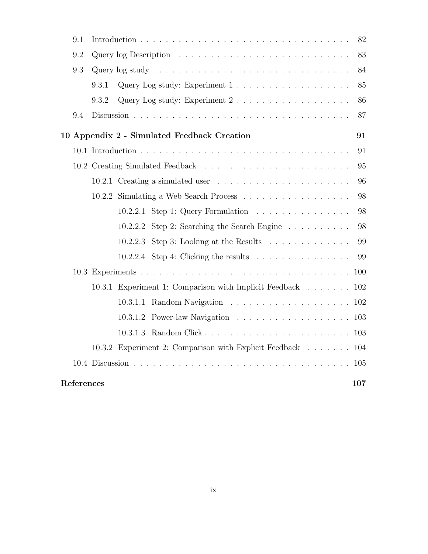| 9.1        |       |                                                                                      | 82  |
|------------|-------|--------------------------------------------------------------------------------------|-----|
| 9.2        |       |                                                                                      | 83  |
| 9.3        |       |                                                                                      | 84  |
|            | 9.3.1 |                                                                                      | 85  |
|            | 9.3.2 | Query Log study: Experiment $2 \ldots \ldots \ldots \ldots \ldots \ldots$            | 86  |
| 9.4        |       |                                                                                      | 87  |
|            |       | 10 Appendix 2 - Simulated Feedback Creation                                          | 91  |
|            |       |                                                                                      | 91  |
|            |       |                                                                                      | 95  |
|            |       | 10.2.1 Creating a simulated user                                                     | 96  |
|            |       | 10.2.2 Simulating a Web Search Process                                               | 98  |
|            |       | 10.2.2.1 Step 1: Query Formulation                                                   | 98  |
|            |       | Step 2: Searching the Search Engine $\ldots \ldots \ldots$<br>10.2.2.2               | 98  |
|            |       | 10.2.2.3 Step 3: Looking at the Results $\ldots \ldots \ldots \ldots$                | 99  |
|            |       | 10.2.2.4 Step 4: Clicking the results $\ldots \ldots \ldots \ldots \ldots$           | 99  |
|            |       |                                                                                      |     |
|            |       | 10.3.1 Experiment 1: Comparison with Implicit Feedback 102                           |     |
|            |       | 10.3.1.1 Random Navigation $\ldots \ldots \ldots \ldots \ldots \ldots \ldots 102$    |     |
|            |       | 10.3.1.2 Power-law Navigation $\ldots \ldots \ldots \ldots \ldots \ldots \ldots 103$ |     |
|            |       |                                                                                      |     |
|            |       | 10.3.2 Experiment 2: Comparison with Explicit Feedback 104                           |     |
|            |       |                                                                                      |     |
| References |       |                                                                                      | 107 |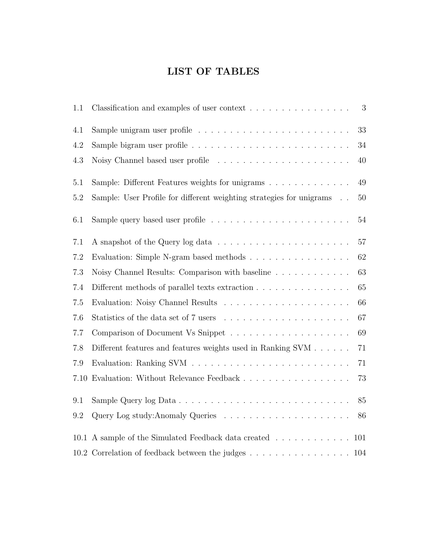## LIST OF TABLES

| 1.1     | Classification and examples of user context                                                            | 3      |
|---------|--------------------------------------------------------------------------------------------------------|--------|
| 4.1     |                                                                                                        | 33     |
| 4.2     |                                                                                                        | 34     |
| 4.3     | Noisy Channel based user profile                                                                       | 40     |
| $5.1\,$ | Sample: Different Features weights for unigrams                                                        | 49     |
| $5.2\,$ | Sample: User Profile for different weighting strategies for unigrams                                   | $50\,$ |
| 6.1     |                                                                                                        | 54     |
| 7.1     |                                                                                                        | 57     |
| 7.2     | Evaluation: Simple N-gram based methods                                                                | 62     |
| 7.3     | Noisy Channel Results: Comparison with baseline                                                        | 63     |
| 7.4     | Different methods of parallel texts extraction                                                         | 65     |
| 7.5     |                                                                                                        | 66     |
| 7.6     |                                                                                                        | 67     |
| 7.7     |                                                                                                        | 69     |
| 7.8     | Different features and features weights used in Ranking SVM                                            | 71     |
| 7.9     |                                                                                                        | 71     |
| 7.10    |                                                                                                        | 73     |
| 9.1     |                                                                                                        | 85     |
| 9.2     |                                                                                                        | 86     |
|         | 10.1 A sample of the Simulated Feedback data created $\ldots \ldots \ldots \ldots$                     | 101    |
|         | 10.2 Correlation of feedback between the judges $\ldots \ldots \ldots \ldots \ldots \ldots \ldots 104$ |        |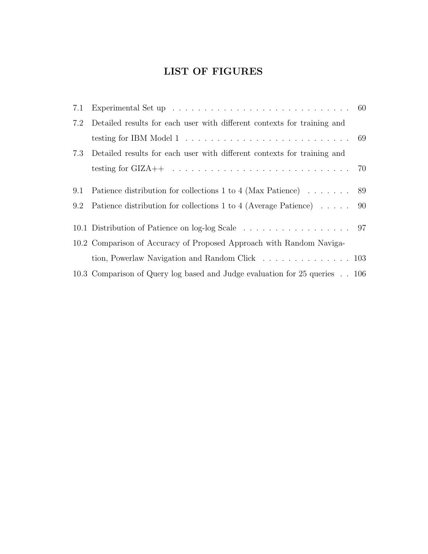## LIST OF FIGURES

| 7.1 |                                                                                                           |  |
|-----|-----------------------------------------------------------------------------------------------------------|--|
| 7.2 | Detailed results for each user with different contexts for training and                                   |  |
|     | testing for IBM Model $1 \ldots \ldots \ldots \ldots \ldots \ldots \ldots \ldots \ldots \ldots \ldots 69$ |  |
| 7.3 | Detailed results for each user with different contexts for training and                                   |  |
|     |                                                                                                           |  |
| 9.1 | Patience distribution for collections 1 to 4 (Max Patience) 89                                            |  |
| 9.2 | Patience distribution for collections 1 to 4 (Average Patience) 90                                        |  |
|     |                                                                                                           |  |
|     | 10.2 Comparison of Accuracy of Proposed Approach with Random Naviga-                                      |  |
|     | tion, Powerlaw Navigation and Random Click 103                                                            |  |
|     | 10.3 Comparison of Query log based and Judge evaluation for 25 queries 106                                |  |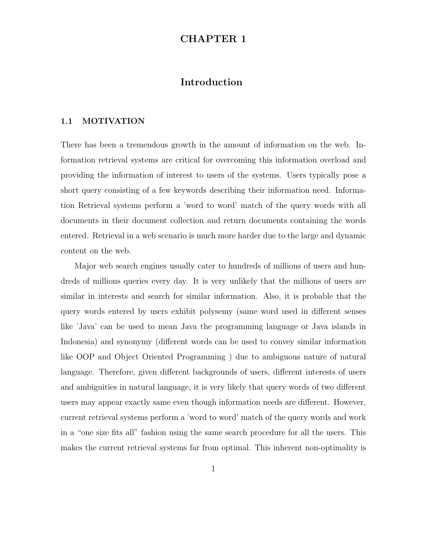### CHAPTER 1

### Introduction

#### 1.1 MOTIVATION

There has been a tremendous growth in the amount of information on the web. Information retrieval systems are critical for overcoming this information overload and providing the information of interest to users of the systems. Users typically pose a short query consisting of a few keywords describing their information need. Information Retrieval systems perform a 'word to word' match of the query words with all documents in their document collection and return documents containing the words entered. Retrieval in a web scenario is much more harder due to the large and dynamic content on the web.

Major web search engines usually cater to hundreds of millions of users and hundreds of millions queries every day. It is very unlikely that the millions of users are similar in interests and search for similar information. Also, it is probable that the query words entered by users exhibit polysemy (same word used in different senses like 'Java' can be used to mean Java the programming language or Java islands in Indonesia) and synonymy (different words can be used to convey similar information like OOP and Object Oriented Programming ) due to ambiguous nature of natural language. Therefore, given different backgrounds of users, different interests of users and ambiguities in natural language, it is very likely that query words of two different users may appear exactly same even though information needs are different. However, current retrieval systems perform a 'word to word' match of the query words and work in a "one size fits all" fashion using the same search procedure for all the users. This makes the current retrieval systems far from optimal. This inherent non-optimality is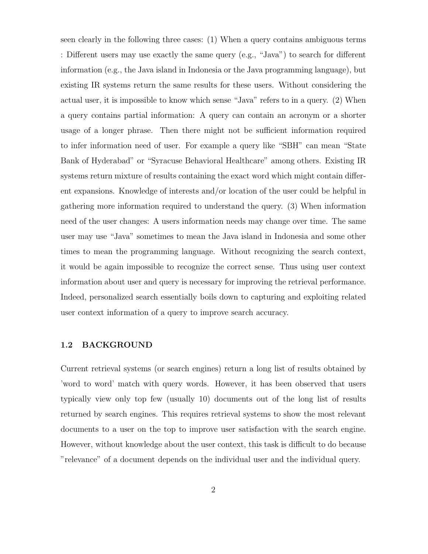seen clearly in the following three cases: (1) When a query contains ambiguous terms : Different users may use exactly the same query (e.g., "Java") to search for different information (e.g., the Java island in Indonesia or the Java programming language), but existing IR systems return the same results for these users. Without considering the actual user, it is impossible to know which sense "Java" refers to in a query. (2) When a query contains partial information: A query can contain an acronym or a shorter usage of a longer phrase. Then there might not be sufficient information required to infer information need of user. For example a query like "SBH" can mean "State Bank of Hyderabad" or "Syracuse Behavioral Healthcare" among others. Existing IR systems return mixture of results containing the exact word which might contain different expansions. Knowledge of interests and/or location of the user could be helpful in gathering more information required to understand the query. (3) When information need of the user changes: A users information needs may change over time. The same user may use "Java" sometimes to mean the Java island in Indonesia and some other times to mean the programming language. Without recognizing the search context, it would be again impossible to recognize the correct sense. Thus using user context information about user and query is necessary for improving the retrieval performance. Indeed, personalized search essentially boils down to capturing and exploiting related user context information of a query to improve search accuracy.

#### 1.2 BACKGROUND

Current retrieval systems (or search engines) return a long list of results obtained by 'word to word' match with query words. However, it has been observed that users typically view only top few (usually 10) documents out of the long list of results returned by search engines. This requires retrieval systems to show the most relevant documents to a user on the top to improve user satisfaction with the search engine. However, without knowledge about the user context, this task is difficult to do because "relevance" of a document depends on the individual user and the individual query.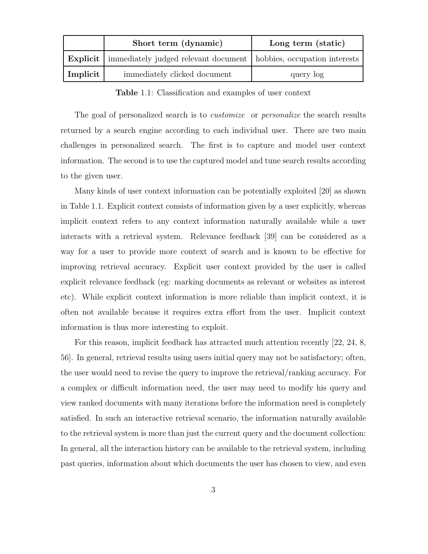|          | Short term (dynamic)                                                                   | Long term (static) |
|----------|----------------------------------------------------------------------------------------|--------------------|
|          | <b>Explicit</b>   immediately judged relevant document   hobbies, occupation interests |                    |
| Implicit | immediately clicked document                                                           | query log          |

Table 1.1: Classification and examples of user context

The goal of personalized search is to *customize* or *personalize* the search results returned by a search engine according to each individual user. There are two main challenges in personalized search. The first is to capture and model user context information. The second is to use the captured model and tune search results according to the given user.

Many kinds of user context information can be potentially exploited [20] as shown in Table 1.1. Explicit context consists of information given by a user explicitly, whereas implicit context refers to any context information naturally available while a user interacts with a retrieval system. Relevance feedback [39] can be considered as a way for a user to provide more context of search and is known to be effective for improving retrieval accuracy. Explicit user context provided by the user is called explicit relevance feedback (eg: marking documents as relevant or websites as interest etc). While explicit context information is more reliable than implicit context, it is often not available because it requires extra effort from the user. Implicit context information is thus more interesting to exploit.

For this reason, implicit feedback has attracted much attention recently [22, 24, 8,] 56]. In general, retrieval results using users initial query may not be satisfactory; often, the user would need to revise the query to improve the retrieval/ranking accuracy. For a complex or difficult information need, the user may need to modify his query and view ranked documents with many iterations before the information need is completely satisfied. In such an interactive retrieval scenario, the information naturally available to the retrieval system is more than just the current query and the document collection: In general, all the interaction history can be available to the retrieval system, including past queries, information about which documents the user has chosen to view, and even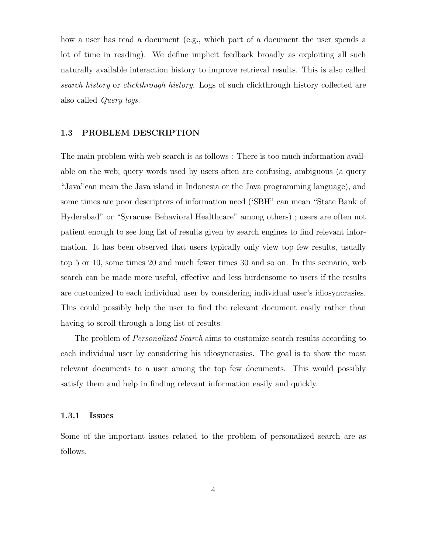how a user has read a document (e.g., which part of a document the user spends a lot of time in reading). We define implicit feedback broadly as exploiting all such naturally available interaction history to improve retrieval results. This is also called search history or clickthrough history. Logs of such clickthrough history collected are also called Query logs.

#### 1.3 PROBLEM DESCRIPTION

The main problem with web search is as follows : There is too much information available on the web; query words used by users often are confusing, ambiguous (a query "Java"can mean the Java island in Indonesia or the Java programming language), and some times are poor descriptors of information need ('SBH" can mean "State Bank of Hyderabad" or "Syracuse Behavioral Healthcare" among others) ; users are often not patient enough to see long list of results given by search engines to find relevant information. It has been observed that users typically only view top few results, usually top 5 or 10, some times 20 and much fewer times 30 and so on. In this scenario, web search can be made more useful, effective and less burdensome to users if the results are customized to each individual user by considering individual user's idiosyncrasies. This could possibly help the user to find the relevant document easily rather than having to scroll through a long list of results.

The problem of Personalized Search aims to customize search results according to each individual user by considering his idiosyncrasies. The goal is to show the most relevant documents to a user among the top few documents. This would possibly satisfy them and help in finding relevant information easily and quickly.

#### 1.3.1 Issues

Some of the important issues related to the problem of personalized search are as follows.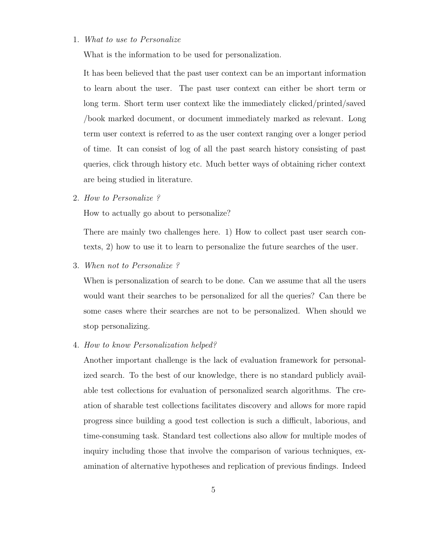#### 1. What to use to Personalize

What is the information to be used for personalization.

It has been believed that the past user context can be an important information to learn about the user. The past user context can either be short term or long term. Short term user context like the immediately clicked/printed/saved /book marked document, or document immediately marked as relevant. Long term user context is referred to as the user context ranging over a longer period of time. It can consist of log of all the past search history consisting of past queries, click through history etc. Much better ways of obtaining richer context are being studied in literature.

2. How to Personalize ?

How to actually go about to personalize?

There are mainly two challenges here. 1) How to collect past user search contexts, 2) how to use it to learn to personalize the future searches of the user.

3. When not to Personalize ?

When is personalization of search to be done. Can we assume that all the users would want their searches to be personalized for all the queries? Can there be some cases where their searches are not to be personalized. When should we stop personalizing.

#### 4. How to know Personalization helped?

Another important challenge is the lack of evaluation framework for personalized search. To the best of our knowledge, there is no standard publicly available test collections for evaluation of personalized search algorithms. The creation of sharable test collections facilitates discovery and allows for more rapid progress since building a good test collection is such a difficult, laborious, and time-consuming task. Standard test collections also allow for multiple modes of inquiry including those that involve the comparison of various techniques, examination of alternative hypotheses and replication of previous findings. Indeed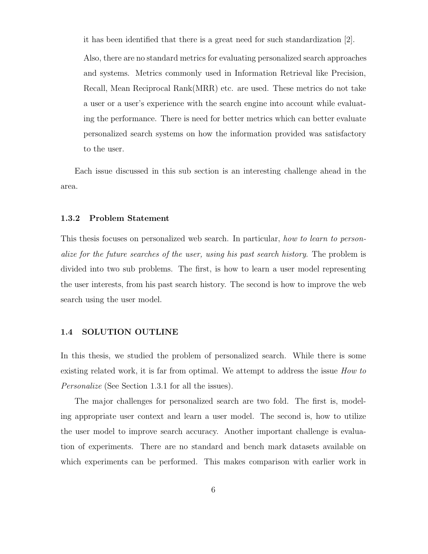it has been identified that there is a great need for such standardization [2].

Also, there are no standard metrics for evaluating personalized search approaches and systems. Metrics commonly used in Information Retrieval like Precision, Recall, Mean Reciprocal Rank(MRR) etc. are used. These metrics do not take a user or a user's experience with the search engine into account while evaluating the performance. There is need for better metrics which can better evaluate personalized search systems on how the information provided was satisfactory to the user.

Each issue discussed in this sub section is an interesting challenge ahead in the area.

#### 1.3.2 Problem Statement

This thesis focuses on personalized web search. In particular, how to learn to personalize for the future searches of the user, using his past search history. The problem is divided into two sub problems. The first, is how to learn a user model representing the user interests, from his past search history. The second is how to improve the web search using the user model.

#### 1.4 SOLUTION OUTLINE

In this thesis, we studied the problem of personalized search. While there is some existing related work, it is far from optimal. We attempt to address the issue *How to* Personalize (See Section 1.3.1 for all the issues).

The major challenges for personalized search are two fold. The first is, modeling appropriate user context and learn a user model. The second is, how to utilize the user model to improve search accuracy. Another important challenge is evaluation of experiments. There are no standard and bench mark datasets available on which experiments can be performed. This makes comparison with earlier work in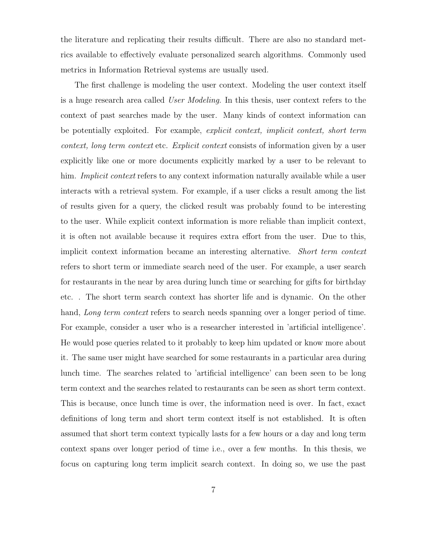the literature and replicating their results difficult. There are also no standard metrics available to effectively evaluate personalized search algorithms. Commonly used metrics in Information Retrieval systems are usually used.

The first challenge is modeling the user context. Modeling the user context itself is a huge research area called User Modeling. In this thesis, user context refers to the context of past searches made by the user. Many kinds of context information can be potentially exploited. For example, explicit context, implicit context, short term context, long term context etc. Explicit context consists of information given by a user explicitly like one or more documents explicitly marked by a user to be relevant to him. *Implicit context* refers to any context information naturally available while a user interacts with a retrieval system. For example, if a user clicks a result among the list of results given for a query, the clicked result was probably found to be interesting to the user. While explicit context information is more reliable than implicit context, it is often not available because it requires extra effort from the user. Due to this, implicit context information became an interesting alternative. Short term context refers to short term or immediate search need of the user. For example, a user search for restaurants in the near by area during lunch time or searching for gifts for birthday etc. . The short term search context has shorter life and is dynamic. On the other hand, Long term context refers to search needs spanning over a longer period of time. For example, consider a user who is a researcher interested in 'artificial intelligence'. He would pose queries related to it probably to keep him updated or know more about it. The same user might have searched for some restaurants in a particular area during lunch time. The searches related to 'artificial intelligence' can been seen to be long term context and the searches related to restaurants can be seen as short term context. This is because, once lunch time is over, the information need is over. In fact, exact definitions of long term and short term context itself is not established. It is often assumed that short term context typically lasts for a few hours or a day and long term context spans over longer period of time i.e., over a few months. In this thesis, we focus on capturing long term implicit search context. In doing so, we use the past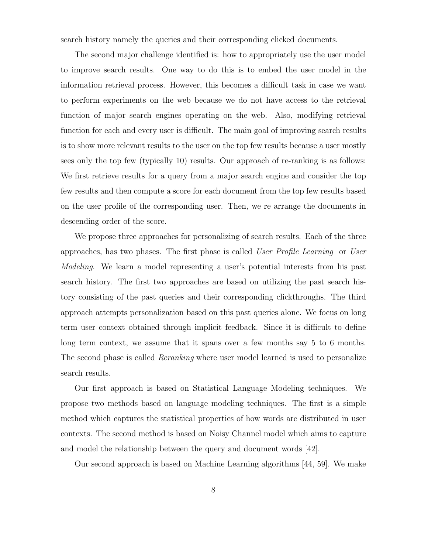search history namely the queries and their corresponding clicked documents.

The second major challenge identified is: how to appropriately use the user model to improve search results. One way to do this is to embed the user model in the information retrieval process. However, this becomes a difficult task in case we want to perform experiments on the web because we do not have access to the retrieval function of major search engines operating on the web. Also, modifying retrieval function for each and every user is difficult. The main goal of improving search results is to show more relevant results to the user on the top few results because a user mostly sees only the top few (typically 10) results. Our approach of re-ranking is as follows: We first retrieve results for a query from a major search engine and consider the top few results and then compute a score for each document from the top few results based on the user profile of the corresponding user. Then, we re arrange the documents in descending order of the score.

We propose three approaches for personalizing of search results. Each of the three approaches, has two phases. The first phase is called User Profile Learning or User Modeling. We learn a model representing a user's potential interests from his past search history. The first two approaches are based on utilizing the past search history consisting of the past queries and their corresponding clickthroughs. The third approach attempts personalization based on this past queries alone. We focus on long term user context obtained through implicit feedback. Since it is difficult to define long term context, we assume that it spans over a few months say 5 to 6 months. The second phase is called Reranking where user model learned is used to personalize search results.

Our first approach is based on Statistical Language Modeling techniques. We propose two methods based on language modeling techniques. The first is a simple method which captures the statistical properties of how words are distributed in user contexts. The second method is based on Noisy Channel model which aims to capture and model the relationship between the query and document words [42].

Our second approach is based on Machine Learning algorithms [44, 59]. We make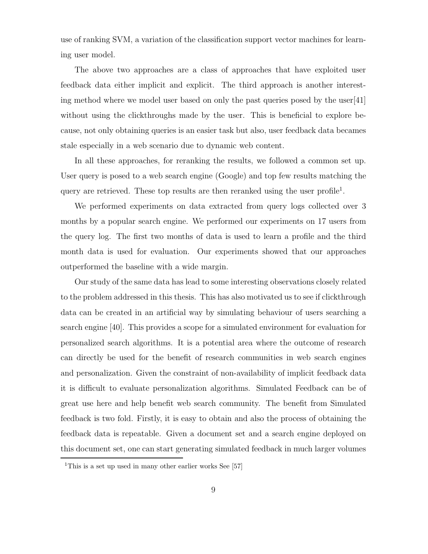use of ranking SVM, a variation of the classification support vector machines for learning user model.

The above two approaches are a class of approaches that have exploited user feedback data either implicit and explicit. The third approach is another interesting method where we model user based on only the past queries posed by the user  $[41]$ without using the clickthroughs made by the user. This is beneficial to explore because, not only obtaining queries is an easier task but also, user feedback data becames stale especially in a web scenario due to dynamic web content.

In all these approaches, for reranking the results, we followed a common set up. User query is posed to a web search engine (Google) and top few results matching the query are retrieved. These top results are then reranked using the user profile<sup>1</sup>.

We performed experiments on data extracted from query logs collected over 3 months by a popular search engine. We performed our experiments on 17 users from the query log. The first two months of data is used to learn a profile and the third month data is used for evaluation. Our experiments showed that our approaches outperformed the baseline with a wide margin.

Our study of the same data has lead to some interesting observations closely related to the problem addressed in this thesis. This has also motivated us to see if clickthrough data can be created in an artificial way by simulating behaviour of users searching a search engine [40]. This provides a scope for a simulated environment for evaluation for personalized search algorithms. It is a potential area where the outcome of research can directly be used for the benefit of research communities in web search engines and personalization. Given the constraint of non-availability of implicit feedback data it is difficult to evaluate personalization algorithms. Simulated Feedback can be of great use here and help benefit web search community. The benefit from Simulated feedback is two fold. Firstly, it is easy to obtain and also the process of obtaining the feedback data is repeatable. Given a document set and a search engine deployed on this document set, one can start generating simulated feedback in much larger volumes

<sup>&</sup>lt;sup>1</sup>This is a set up used in many other earlier works See [57]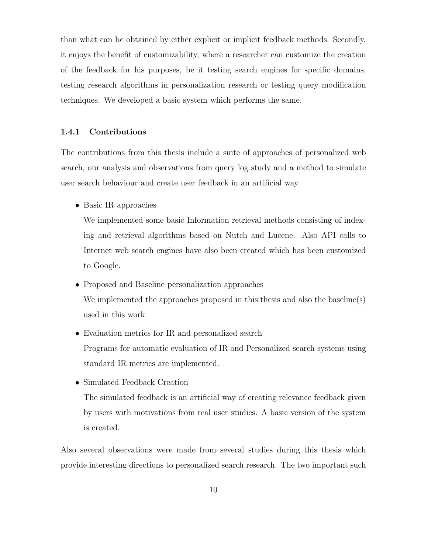than what can be obtained by either explicit or implicit feedback methods. Secondly, it enjoys the benefit of customizability, where a researcher can customize the creation of the feedback for his purposes, be it testing search engines for specific domains, testing research algorithms in personalization research or testing query modification techniques. We developed a basic system which performs the same.

#### 1.4.1 Contributions

The contributions from this thesis include a suite of approaches of personalized web search, our analysis and observations from query log study and a method to simulate user search behaviour and create user feedback in an artificial way.

• Basic IR approaches

We implemented some basic Information retrieval methods consisting of indexing and retrieval algorithms based on Nutch and Lucene. Also API calls to Internet web search engines have also been created which has been customized to Google.

- Proposed and Baseline personalization approaches We implemented the approaches proposed in this thesis and also the baseline(s) used in this work.
- Evaluation metrics for IR and personalized search Programs for automatic evaluation of IR and Personalized search systems using standard IR metrics are implemented.
- Simulated Feedback Creation

The simulated feedback is an artificial way of creating relevance feedback given by users with motivations from real user studies. A basic version of the system is created.

Also several observations were made from several studies during this thesis which provide interesting directions to personalized search research. The two important such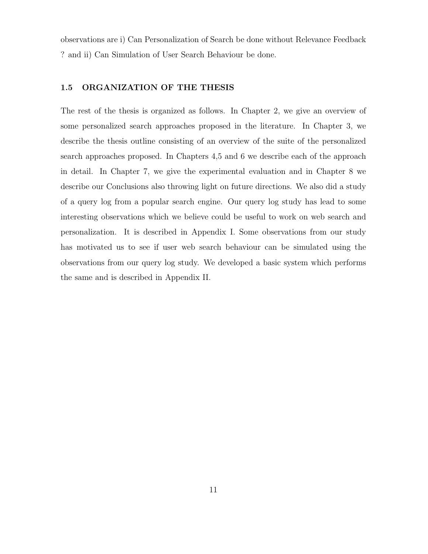observations are i) Can Personalization of Search be done without Relevance Feedback ? and ii) Can Simulation of User Search Behaviour be done.

#### 1.5 ORGANIZATION OF THE THESIS

The rest of the thesis is organized as follows. In Chapter 2, we give an overview of some personalized search approaches proposed in the literature. In Chapter 3, we describe the thesis outline consisting of an overview of the suite of the personalized search approaches proposed. In Chapters 4,5 and 6 we describe each of the approach in detail. In Chapter 7, we give the experimental evaluation and in Chapter 8 we describe our Conclusions also throwing light on future directions. We also did a study of a query log from a popular search engine. Our query log study has lead to some interesting observations which we believe could be useful to work on web search and personalization. It is described in Appendix I. Some observations from our study has motivated us to see if user web search behaviour can be simulated using the observations from our query log study. We developed a basic system which performs the same and is described in Appendix II.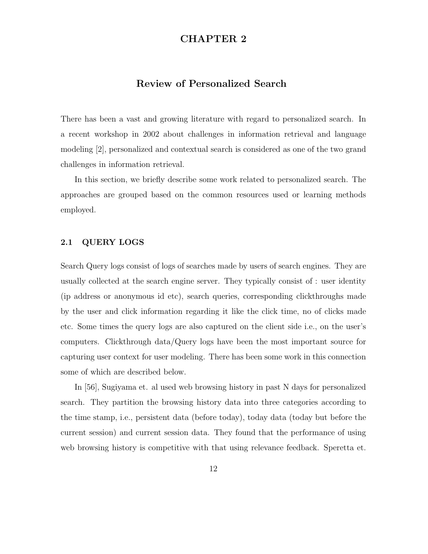### CHAPTER 2

### Review of Personalized Search

There has been a vast and growing literature with regard to personalized search. In a recent workshop in 2002 about challenges in information retrieval and language modeling [2], personalized and contextual search is considered as one of the two grand challenges in information retrieval.

In this section, we briefly describe some work related to personalized search. The approaches are grouped based on the common resources used or learning methods employed.

#### 2.1 QUERY LOGS

Search Query logs consist of logs of searches made by users of search engines. They are usually collected at the search engine server. They typically consist of : user identity (ip address or anonymous id etc), search queries, corresponding clickthroughs made by the user and click information regarding it like the click time, no of clicks made etc. Some times the query logs are also captured on the client side i.e., on the user's computers. Clickthrough data/Query logs have been the most important source for capturing user context for user modeling. There has been some work in this connection some of which are described below.

In [56], Sugiyama et. al used web browsing history in past N days for personalized search. They partition the browsing history data into three categories according to the time stamp, i.e., persistent data (before today), today data (today but before the current session) and current session data. They found that the performance of using web browsing history is competitive with that using relevance feedback. Speretta et.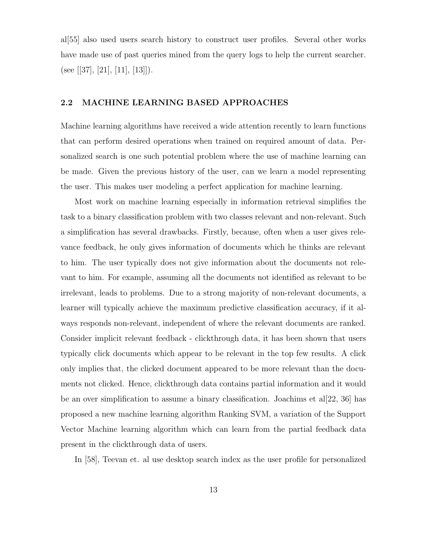al[55] also used users search history to construct user profiles. Several other works have made use of past queries mined from the query logs to help the current searcher. (see [[37], [21], [11], [13]]).

#### 2.2 MACHINE LEARNING BASED APPROACHES

Machine learning algorithms have received a wide attention recently to learn functions that can perform desired operations when trained on required amount of data. Personalized search is one such potential problem where the use of machine learning can be made. Given the previous history of the user, can we learn a model representing the user. This makes user modeling a perfect application for machine learning.

Most work on machine learning especially in information retrieval simplifies the task to a binary classification problem with two classes relevant and non-relevant. Such a simplification has several drawbacks. Firstly, because, often when a user gives relevance feedback, he only gives information of documents which he thinks are relevant to him. The user typically does not give information about the documents not relevant to him. For example, assuming all the documents not identified as relevant to be irrelevant, leads to problems. Due to a strong majority of non-relevant documents, a learner will typically achieve the maximum predictive classification accuracy, if it always responds non-relevant, independent of where the relevant documents are ranked. Consider implicit relevant feedback - clickthrough data, it has been shown that users typically click documents which appear to be relevant in the top few results. A click only implies that, the clicked document appeared to be more relevant than the documents not clicked. Hence, clickthrough data contains partial information and it would be an over simplification to assume a binary classification. Joachims et al  $[22, 36]$  has proposed a new machine learning algorithm Ranking SVM, a variation of the Support Vector Machine learning algorithm which can learn from the partial feedback data present in the clickthrough data of users.

In [58], Teevan et. al use desktop search index as the user profile for personalized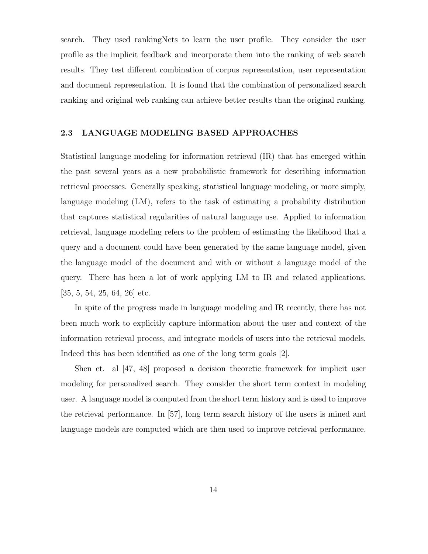search. They used rankingNets to learn the user profile. They consider the user profile as the implicit feedback and incorporate them into the ranking of web search results. They test different combination of corpus representation, user representation and document representation. It is found that the combination of personalized search ranking and original web ranking can achieve better results than the original ranking.

#### 2.3 LANGUAGE MODELING BASED APPROACHES

Statistical language modeling for information retrieval (IR) that has emerged within the past several years as a new probabilistic framework for describing information retrieval processes. Generally speaking, statistical language modeling, or more simply, language modeling (LM), refers to the task of estimating a probability distribution that captures statistical regularities of natural language use. Applied to information retrieval, language modeling refers to the problem of estimating the likelihood that a query and a document could have been generated by the same language model, given the language model of the document and with or without a language model of the query. There has been a lot of work applying LM to IR and related applications. [35, 5, 54, 25, 64, 26] etc.

In spite of the progress made in language modeling and IR recently, there has not been much work to explicitly capture information about the user and context of the information retrieval process, and integrate models of users into the retrieval models. Indeed this has been identified as one of the long term goals [2].

Shen et. al [47, 48] proposed a decision theoretic framework for implicit user modeling for personalized search. They consider the short term context in modeling user. A language model is computed from the short term history and is used to improve the retrieval performance. In [57], long term search history of the users is mined and language models are computed which are then used to improve retrieval performance.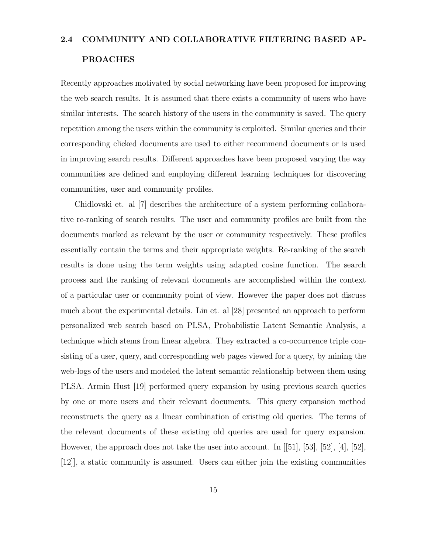### 2.4 COMMUNITY AND COLLABORATIVE FILTERING BASED AP-

#### PROACHES

Recently approaches motivated by social networking have been proposed for improving the web search results. It is assumed that there exists a community of users who have similar interests. The search history of the users in the community is saved. The query repetition among the users within the community is exploited. Similar queries and their corresponding clicked documents are used to either recommend documents or is used in improving search results. Different approaches have been proposed varying the way communities are defined and employing different learning techniques for discovering communities, user and community profiles.

Chidlovski et. al [7] describes the architecture of a system performing collaborative re-ranking of search results. The user and community profiles are built from the documents marked as relevant by the user or community respectively. These profiles essentially contain the terms and their appropriate weights. Re-ranking of the search results is done using the term weights using adapted cosine function. The search process and the ranking of relevant documents are accomplished within the context of a particular user or community point of view. However the paper does not discuss much about the experimental details. Lin et. al [28] presented an approach to perform personalized web search based on PLSA, Probabilistic Latent Semantic Analysis, a technique which stems from linear algebra. They extracted a co-occurrence triple consisting of a user, query, and corresponding web pages viewed for a query, by mining the web-logs of the users and modeled the latent semantic relationship between them using PLSA. Armin Hust [19] performed query expansion by using previous search queries by one or more users and their relevant documents. This query expansion method reconstructs the query as a linear combination of existing old queries. The terms of the relevant documents of these existing old queries are used for query expansion. However, the approach does not take the user into account. In [[51], [53], [52], [4], [52], [12]], a static community is assumed. Users can either join the existing communities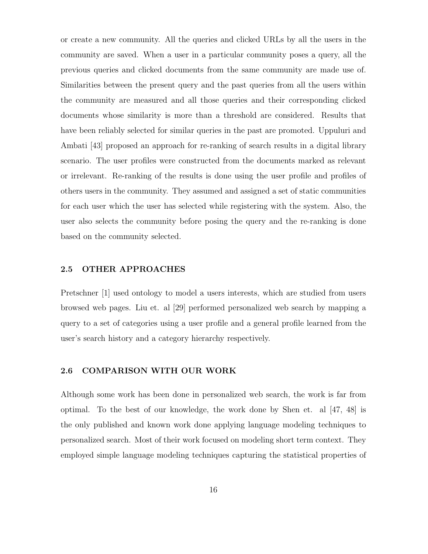or create a new community. All the queries and clicked URLs by all the users in the community are saved. When a user in a particular community poses a query, all the previous queries and clicked documents from the same community are made use of. Similarities between the present query and the past queries from all the users within the community are measured and all those queries and their corresponding clicked documents whose similarity is more than a threshold are considered. Results that have been reliably selected for similar queries in the past are promoted. Uppuluri and Ambati [43] proposed an approach for re-ranking of search results in a digital library scenario. The user profiles were constructed from the documents marked as relevant or irrelevant. Re-ranking of the results is done using the user profile and profiles of others users in the community. They assumed and assigned a set of static communities for each user which the user has selected while registering with the system. Also, the user also selects the community before posing the query and the re-ranking is done based on the community selected.

#### 2.5 OTHER APPROACHES

Pretschner [1] used ontology to model a users interests, which are studied from users browsed web pages. Liu et. al [29] performed personalized web search by mapping a query to a set of categories using a user profile and a general profile learned from the user's search history and a category hierarchy respectively.

#### 2.6 COMPARISON WITH OUR WORK

Although some work has been done in personalized web search, the work is far from optimal. To the best of our knowledge, the work done by Shen et. al [47, 48] is the only published and known work done applying language modeling techniques to personalized search. Most of their work focused on modeling short term context. They employed simple language modeling techniques capturing the statistical properties of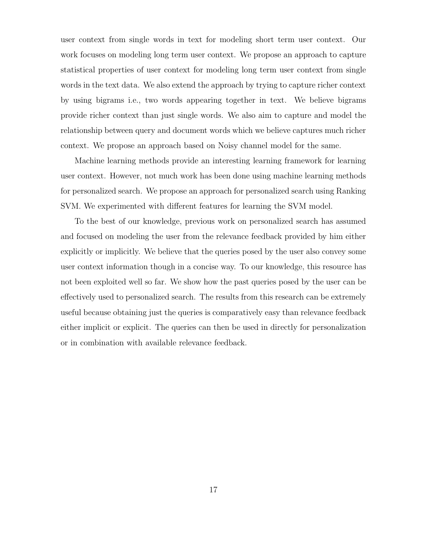user context from single words in text for modeling short term user context. Our work focuses on modeling long term user context. We propose an approach to capture statistical properties of user context for modeling long term user context from single words in the text data. We also extend the approach by trying to capture richer context by using bigrams i.e., two words appearing together in text. We believe bigrams provide richer context than just single words. We also aim to capture and model the relationship between query and document words which we believe captures much richer context. We propose an approach based on Noisy channel model for the same.

Machine learning methods provide an interesting learning framework for learning user context. However, not much work has been done using machine learning methods for personalized search. We propose an approach for personalized search using Ranking SVM. We experimented with different features for learning the SVM model.

To the best of our knowledge, previous work on personalized search has assumed and focused on modeling the user from the relevance feedback provided by him either explicitly or implicitly. We believe that the queries posed by the user also convey some user context information though in a concise way. To our knowledge, this resource has not been exploited well so far. We show how the past queries posed by the user can be effectively used to personalized search. The results from this research can be extremely useful because obtaining just the queries is comparatively easy than relevance feedback either implicit or explicit. The queries can then be used in directly for personalization or in combination with available relevance feedback.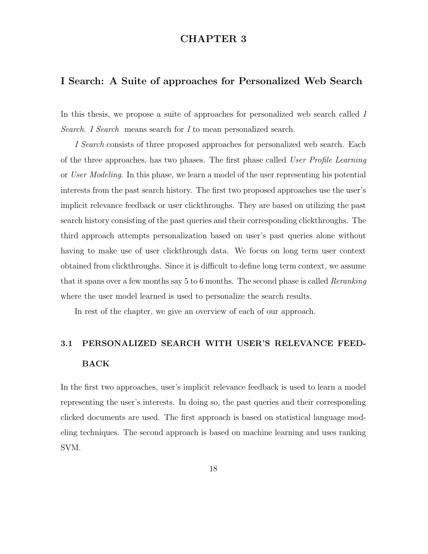### CHAPTER 3

### I Search: A Suite of approaches for Personalized Web Search

In this thesis, we propose a suite of approaches for personalized web search called I Search. I Search means search for I to mean personalized search.

I Search consists of three proposed approaches for personalized web search. Each of the three approaches, has two phases. The first phase called User Profile Learning or User Modeling. In this phase, we learn a model of the user representing his potential interests from the past search history. The first two proposed approaches use the user's implicit relevance feedback or user clickthroughs. They are based on utilizing the past search history consisting of the past queries and their corresponding clickthroughs. The third approach attempts personalization based on user's past queries alone without having to make use of user clickthrough data. We focus on long term user context obtained from clickthroughs. Since it is difficult to define long term context, we assume that it spans over a few months say 5 to 6 months. The second phase is called Reranking where the user model learned is used to personalize the search results.

In rest of the chapter, we give an overview of each of our approach.

# 3.1 PERSONALIZED SEARCH WITH USER'S RELEVANCE FEED-BACK

In the first two approaches, user's implicit relevance feedback is used to learn a model representing the user's interests. In doing so, the past queries and their corresponding clicked documents are used. The first approach is based on statistical language modeling techniques. The second approach is based on machine learning and uses ranking SVM.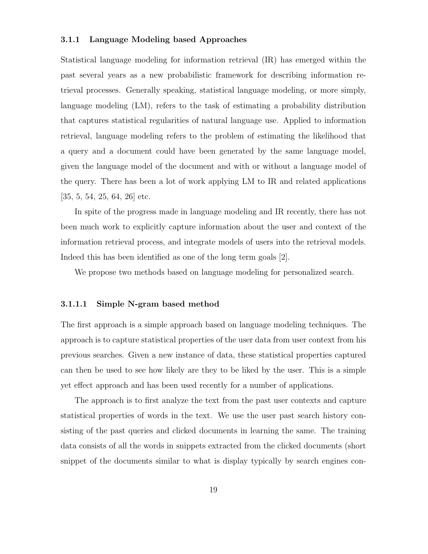#### 3.1.1 Language Modeling based Approaches

Statistical language modeling for information retrieval (IR) has emerged within the past several years as a new probabilistic framework for describing information retrieval processes. Generally speaking, statistical language modeling, or more simply, language modeling (LM), refers to the task of estimating a probability distribution that captures statistical regularities of natural language use. Applied to information retrieval, language modeling refers to the problem of estimating the likelihood that a query and a document could have been generated by the same language model, given the language model of the document and with or without a language model of the query. There has been a lot of work applying LM to IR and related applications [35, 5, 54, 25, 64, 26] etc.

In spite of the progress made in language modeling and IR recently, there has not been much work to explicitly capture information about the user and context of the information retrieval process, and integrate models of users into the retrieval models. Indeed this has been identified as one of the long term goals [2].

We propose two methods based on language modeling for personalized search.

#### 3.1.1.1 Simple N-gram based method

The first approach is a simple approach based on language modeling techniques. The approach is to capture statistical properties of the user data from user context from his previous searches. Given a new instance of data, these statistical properties captured can then be used to see how likely are they to be liked by the user. This is a simple yet effect approach and has been used recently for a number of applications.

The approach is to first analyze the text from the past user contexts and capture statistical properties of words in the text. We use the user past search history consisting of the past queries and clicked documents in learning the same. The training data consists of all the words in snippets extracted from the clicked documents (short snippet of the documents similar to what is display typically by search engines con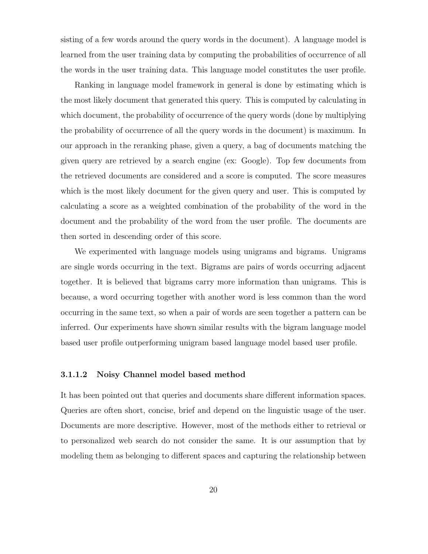sisting of a few words around the query words in the document). A language model is learned from the user training data by computing the probabilities of occurrence of all the words in the user training data. This language model constitutes the user profile.

Ranking in language model framework in general is done by estimating which is the most likely document that generated this query. This is computed by calculating in which document, the probability of occurrence of the query words (done by multiplying the probability of occurrence of all the query words in the document) is maximum. In our approach in the reranking phase, given a query, a bag of documents matching the given query are retrieved by a search engine (ex: Google). Top few documents from the retrieved documents are considered and a score is computed. The score measures which is the most likely document for the given query and user. This is computed by calculating a score as a weighted combination of the probability of the word in the document and the probability of the word from the user profile. The documents are then sorted in descending order of this score.

We experimented with language models using unigrams and bigrams. Unigrams are single words occurring in the text. Bigrams are pairs of words occurring adjacent together. It is believed that bigrams carry more information than unigrams. This is because, a word occurring together with another word is less common than the word occurring in the same text, so when a pair of words are seen together a pattern can be inferred. Our experiments have shown similar results with the bigram language model based user profile outperforming unigram based language model based user profile.

#### 3.1.1.2 Noisy Channel model based method

It has been pointed out that queries and documents share different information spaces. Queries are often short, concise, brief and depend on the linguistic usage of the user. Documents are more descriptive. However, most of the methods either to retrieval or to personalized web search do not consider the same. It is our assumption that by modeling them as belonging to different spaces and capturing the relationship between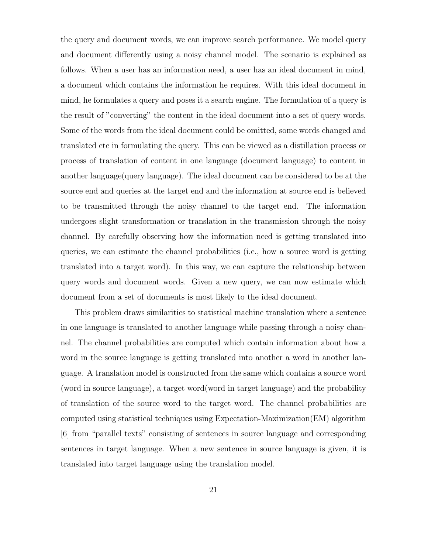the query and document words, we can improve search performance. We model query and document differently using a noisy channel model. The scenario is explained as follows. When a user has an information need, a user has an ideal document in mind, a document which contains the information he requires. With this ideal document in mind, he formulates a query and poses it a search engine. The formulation of a query is the result of "converting" the content in the ideal document into a set of query words. Some of the words from the ideal document could be omitted, some words changed and translated etc in formulating the query. This can be viewed as a distillation process or process of translation of content in one language (document language) to content in another language(query language). The ideal document can be considered to be at the source end and queries at the target end and the information at source end is believed to be transmitted through the noisy channel to the target end. The information undergoes slight transformation or translation in the transmission through the noisy channel. By carefully observing how the information need is getting translated into queries, we can estimate the channel probabilities (i.e., how a source word is getting translated into a target word). In this way, we can capture the relationship between query words and document words. Given a new query, we can now estimate which document from a set of documents is most likely to the ideal document.

This problem draws similarities to statistical machine translation where a sentence in one language is translated to another language while passing through a noisy channel. The channel probabilities are computed which contain information about how a word in the source language is getting translated into another a word in another language. A translation model is constructed from the same which contains a source word (word in source language), a target word(word in target language) and the probability of translation of the source word to the target word. The channel probabilities are computed using statistical techniques using Expectation-Maximization(EM) algorithm [6] from "parallel texts" consisting of sentences in source language and corresponding sentences in target language. When a new sentence in source language is given, it is translated into target language using the translation model.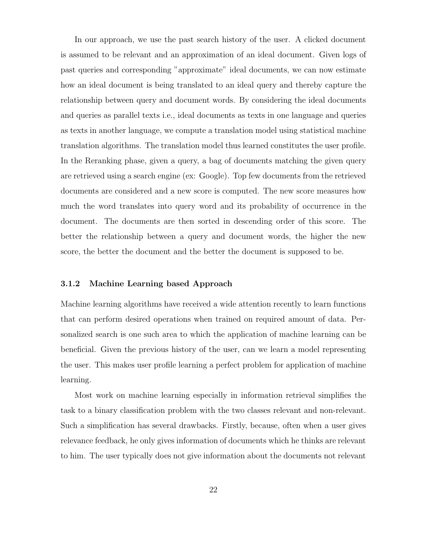In our approach, we use the past search history of the user. A clicked document is assumed to be relevant and an approximation of an ideal document. Given logs of past queries and corresponding "approximate" ideal documents, we can now estimate how an ideal document is being translated to an ideal query and thereby capture the relationship between query and document words. By considering the ideal documents and queries as parallel texts i.e., ideal documents as texts in one language and queries as texts in another language, we compute a translation model using statistical machine translation algorithms. The translation model thus learned constitutes the user profile. In the Reranking phase, given a query, a bag of documents matching the given query are retrieved using a search engine (ex: Google). Top few documents from the retrieved documents are considered and a new score is computed. The new score measures how much the word translates into query word and its probability of occurrence in the document. The documents are then sorted in descending order of this score. The better the relationship between a query and document words, the higher the new score, the better the document and the better the document is supposed to be.

#### 3.1.2 Machine Learning based Approach

Machine learning algorithms have received a wide attention recently to learn functions that can perform desired operations when trained on required amount of data. Personalized search is one such area to which the application of machine learning can be beneficial. Given the previous history of the user, can we learn a model representing the user. This makes user profile learning a perfect problem for application of machine learning.

Most work on machine learning especially in information retrieval simplifies the task to a binary classification problem with the two classes relevant and non-relevant. Such a simplification has several drawbacks. Firstly, because, often when a user gives relevance feedback, he only gives information of documents which he thinks are relevant to him. The user typically does not give information about the documents not relevant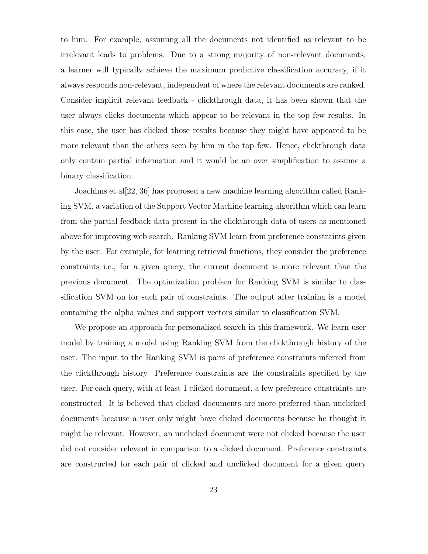to him. For example, assuming all the documents not identified as relevant to be irrelevant leads to problems. Due to a strong majority of non-relevant documents, a learner will typically achieve the maximum predictive classification accuracy, if it always responds non-relevant, independent of where the relevant documents are ranked. Consider implicit relevant feedback - clickthrough data, it has been shown that the user always clicks documents which appear to be relevant in the top few results. In this case, the user has clicked those results because they might have appeared to be more relevant than the others seen by him in the top few. Hence, clickthrough data only contain partial information and it would be an over simplification to assume a binary classification.

Joachims et al[22, 36] has proposed a new machine learning algorithm called Ranking SVM, a variation of the Support Vector Machine learning algorithm which can learn from the partial feedback data present in the clickthrough data of users as mentioned above for improving web search. Ranking SVM learn from preference constraints given by the user. For example, for learning retrieval functions, they consider the preference constraints i.e., for a given query, the current document is more relevant than the previous document. The optimization problem for Ranking SVM is similar to classification SVM on for such pair of constraints. The output after training is a model containing the alpha values and support vectors similar to classification SVM.

We propose an approach for personalized search in this framework. We learn user model by training a model using Ranking SVM from the clickthrough history of the user. The input to the Ranking SVM is pairs of preference constraints inferred from the clickthrough history. Preference constraints are the constraints specified by the user. For each query, with at least 1 clicked document, a few preference constraints are constructed. It is believed that clicked documents are more preferred than unclicked documents because a user only might have clicked documents because he thought it might be relevant. However, an unclicked document were not clicked because the user did not consider relevant in comparison to a clicked document. Preference constraints are constructed for each pair of clicked and unclicked document for a given query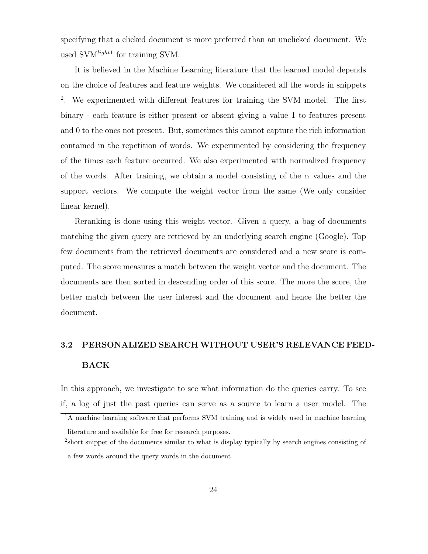specifying that a clicked document is more preferred than an unclicked document. We used  $\text{SVM}^{light1}$  for training SVM.

It is believed in the Machine Learning literature that the learned model depends on the choice of features and feature weights. We considered all the words in snippets <sup>2</sup>. We experimented with different features for training the SVM model. The first binary - each feature is either present or absent giving a value 1 to features present and 0 to the ones not present. But, sometimes this cannot capture the rich information contained in the repetition of words. We experimented by considering the frequency of the times each feature occurred. We also experimented with normalized frequency of the words. After training, we obtain a model consisting of the  $\alpha$  values and the support vectors. We compute the weight vector from the same (We only consider linear kernel).

Reranking is done using this weight vector. Given a query, a bag of documents matching the given query are retrieved by an underlying search engine (Google). Top few documents from the retrieved documents are considered and a new score is computed. The score measures a match between the weight vector and the document. The documents are then sorted in descending order of this score. The more the score, the better match between the user interest and the document and hence the better the document.

# 3.2 PERSONALIZED SEARCH WITHOUT USER'S RELEVANCE FEED-BACK

In this approach, we investigate to see what information do the queries carry. To see if, a log of just the past queries can serve as a source to learn a user model. The

<sup>&</sup>lt;sup>1</sup>A machine learning software that performs SVM training and is widely used in machine learning literature and available for free for research purposes.

<sup>&</sup>lt;sup>2</sup> short snippet of the documents similar to what is display typically by search engines consisting of a few words around the query words in the document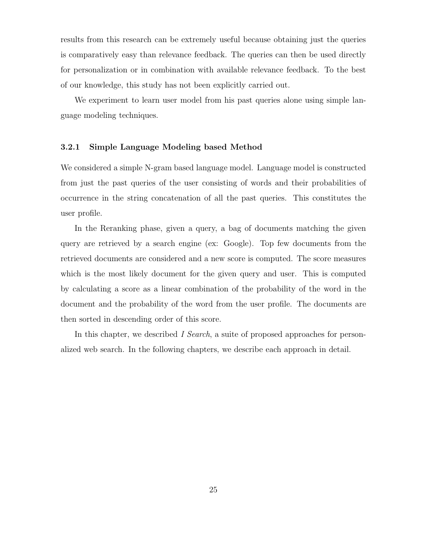results from this research can be extremely useful because obtaining just the queries is comparatively easy than relevance feedback. The queries can then be used directly for personalization or in combination with available relevance feedback. To the best of our knowledge, this study has not been explicitly carried out.

We experiment to learn user model from his past queries alone using simple language modeling techniques.

#### 3.2.1 Simple Language Modeling based Method

We considered a simple N-gram based language model. Language model is constructed from just the past queries of the user consisting of words and their probabilities of occurrence in the string concatenation of all the past queries. This constitutes the user profile.

In the Reranking phase, given a query, a bag of documents matching the given query are retrieved by a search engine (ex: Google). Top few documents from the retrieved documents are considered and a new score is computed. The score measures which is the most likely document for the given query and user. This is computed by calculating a score as a linear combination of the probability of the word in the document and the probability of the word from the user profile. The documents are then sorted in descending order of this score.

In this chapter, we described I Search, a suite of proposed approaches for personalized web search. In the following chapters, we describe each approach in detail.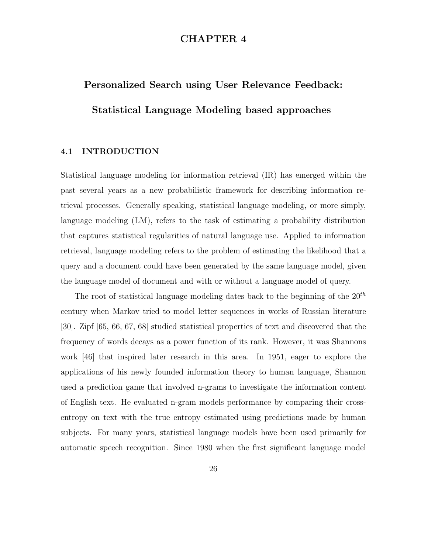# CHAPTER 4

# Personalized Search using User Relevance Feedback: Statistical Language Modeling based approaches

# 4.1 INTRODUCTION

Statistical language modeling for information retrieval (IR) has emerged within the past several years as a new probabilistic framework for describing information retrieval processes. Generally speaking, statistical language modeling, or more simply, language modeling (LM), refers to the task of estimating a probability distribution that captures statistical regularities of natural language use. Applied to information retrieval, language modeling refers to the problem of estimating the likelihood that a query and a document could have been generated by the same language model, given the language model of document and with or without a language model of query.

The root of statistical language modeling dates back to the beginning of the  $20<sup>th</sup>$ century when Markov tried to model letter sequences in works of Russian literature [30]. Zipf [65, 66, 67, 68] studied statistical properties of text and discovered that the frequency of words decays as a power function of its rank. However, it was Shannons work [46] that inspired later research in this area. In 1951, eager to explore the applications of his newly founded information theory to human language, Shannon used a prediction game that involved n-grams to investigate the information content of English text. He evaluated n-gram models performance by comparing their crossentropy on text with the true entropy estimated using predictions made by human subjects. For many years, statistical language models have been used primarily for automatic speech recognition. Since 1980 when the first significant language model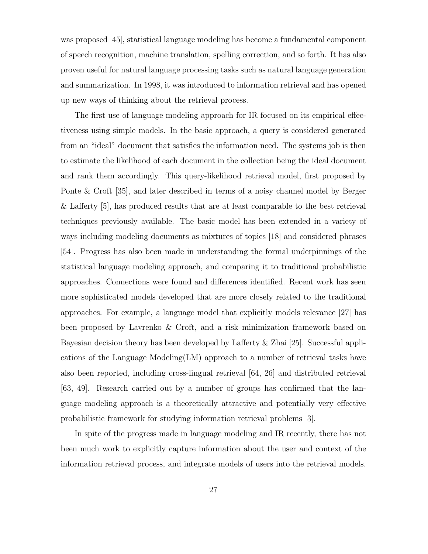was proposed [45], statistical language modeling has become a fundamental component of speech recognition, machine translation, spelling correction, and so forth. It has also proven useful for natural language processing tasks such as natural language generation and summarization. In 1998, it was introduced to information retrieval and has opened up new ways of thinking about the retrieval process.

The first use of language modeling approach for IR focused on its empirical effectiveness using simple models. In the basic approach, a query is considered generated from an "ideal" document that satisfies the information need. The systems job is then to estimate the likelihood of each document in the collection being the ideal document and rank them accordingly. This query-likelihood retrieval model, first proposed by Ponte & Croft [35], and later described in terms of a noisy channel model by Berger & Lafferty [5], has produced results that are at least comparable to the best retrieval techniques previously available. The basic model has been extended in a variety of ways including modeling documents as mixtures of topics [18] and considered phrases [54]. Progress has also been made in understanding the formal underpinnings of the statistical language modeling approach, and comparing it to traditional probabilistic approaches. Connections were found and differences identified. Recent work has seen more sophisticated models developed that are more closely related to the traditional approaches. For example, a language model that explicitly models relevance [27] has been proposed by Lavrenko & Croft, and a risk minimization framework based on Bayesian decision theory has been developed by Lafferty & Zhai [25]. Successful applications of the Language Modeling(LM) approach to a number of retrieval tasks have also been reported, including cross-lingual retrieval [64, 26] and distributed retrieval [63, 49]. Research carried out by a number of groups has confirmed that the language modeling approach is a theoretically attractive and potentially very effective probabilistic framework for studying information retrieval problems [3].

In spite of the progress made in language modeling and IR recently, there has not been much work to explicitly capture information about the user and context of the information retrieval process, and integrate models of users into the retrieval models.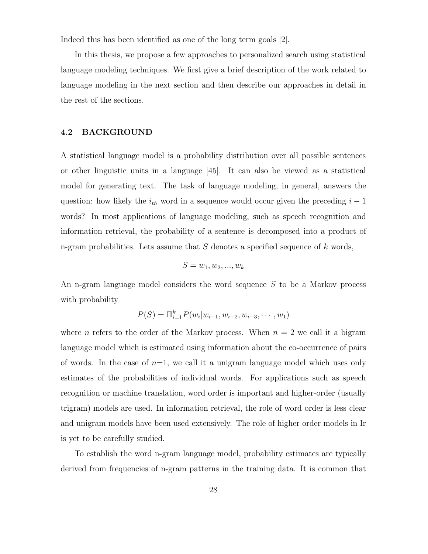Indeed this has been identified as one of the long term goals [2].

In this thesis, we propose a few approaches to personalized search using statistical language modeling techniques. We first give a brief description of the work related to language modeling in the next section and then describe our approaches in detail in the rest of the sections.

# 4.2 BACKGROUND

A statistical language model is a probability distribution over all possible sentences or other linguistic units in a language [45]. It can also be viewed as a statistical model for generating text. The task of language modeling, in general, answers the question: how likely the  $i_{th}$  word in a sequence would occur given the preceding  $i - 1$ words? In most applications of language modeling, such as speech recognition and information retrieval, the probability of a sentence is decomposed into a product of n-gram probabilities. Lets assume that  $S$  denotes a specified sequence of k words,

$$
S = w_1, w_2, \ldots, w_k
$$

An n-gram language model considers the word sequence S to be a Markov process with probability

$$
P(S) = \Pi_{i=1}^{k} P(w_i | w_{i-1}, w_{i-2}, w_{i-3}, \cdots, w_1)
$$

where *n* refers to the order of the Markov process. When  $n = 2$  we call it a bigram language model which is estimated using information about the co-occurrence of pairs of words. In the case of  $n=1$ , we call it a unigram language model which uses only estimates of the probabilities of individual words. For applications such as speech recognition or machine translation, word order is important and higher-order (usually trigram) models are used. In information retrieval, the role of word order is less clear and unigram models have been used extensively. The role of higher order models in Ir is yet to be carefully studied.

To establish the word n-gram language model, probability estimates are typically derived from frequencies of n-gram patterns in the training data. It is common that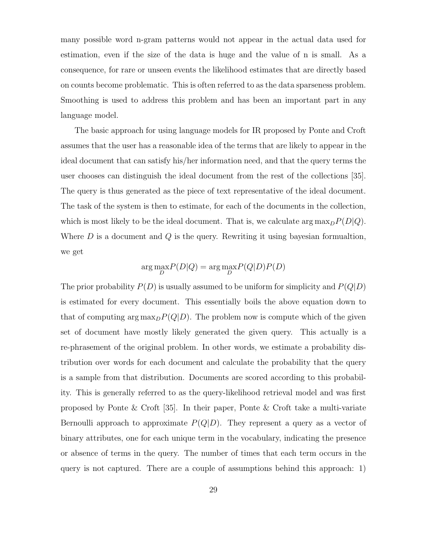many possible word n-gram patterns would not appear in the actual data used for estimation, even if the size of the data is huge and the value of n is small. As a consequence, for rare or unseen events the likelihood estimates that are directly based on counts become problematic. This is often referred to as the data sparseness problem. Smoothing is used to address this problem and has been an important part in any language model.

The basic approach for using language models for IR proposed by Ponte and Croft assumes that the user has a reasonable idea of the terms that are likely to appear in the ideal document that can satisfy his/her information need, and that the query terms the user chooses can distinguish the ideal document from the rest of the collections [35]. The query is thus generated as the piece of text representative of the ideal document. The task of the system is then to estimate, for each of the documents in the collection, which is most likely to be the ideal document. That is, we calculate  $\arg \max_D P(D|Q)$ . Where  $D$  is a document and  $Q$  is the query. Rewriting it using bayesian formualtion, we get

$$
\arg\max_D\!P(D|Q) = \arg\max_D\!P(Q|D)P(D)
$$

The prior probability  $P(D)$  is usually assumed to be uniform for simplicity and  $P(Q|D)$ is estimated for every document. This essentially boils the above equation down to that of computing  $\arg \max_D P(Q|D)$ . The problem now is compute which of the given set of document have mostly likely generated the given query. This actually is a re-phrasement of the original problem. In other words, we estimate a probability distribution over words for each document and calculate the probability that the query is a sample from that distribution. Documents are scored according to this probability. This is generally referred to as the query-likelihood retrieval model and was first proposed by Ponte & Croft [35]. In their paper, Ponte & Croft take a multi-variate Bernoulli approach to approximate  $P(Q|D)$ . They represent a query as a vector of binary attributes, one for each unique term in the vocabulary, indicating the presence or absence of terms in the query. The number of times that each term occurs in the query is not captured. There are a couple of assumptions behind this approach: 1)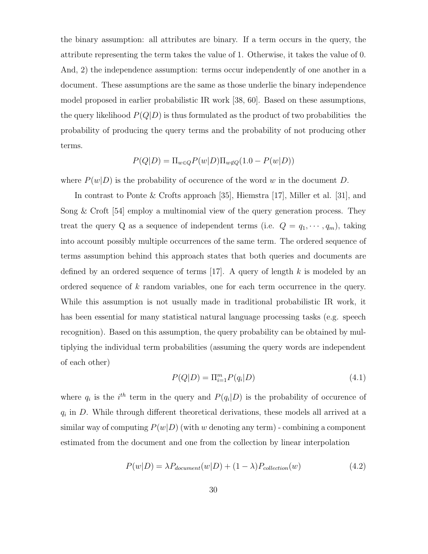the binary assumption: all attributes are binary. If a term occurs in the query, the attribute representing the term takes the value of 1. Otherwise, it takes the value of 0. And, 2) the independence assumption: terms occur independently of one another in a document. These assumptions are the same as those underlie the binary independence model proposed in earlier probabilistic IR work [38, 60]. Based on these assumptions, the query likelihood  $P(Q|D)$  is thus formulated as the product of two probabilities the probability of producing the query terms and the probability of not producing other terms.

$$
P(Q|D) = \Pi_{w \in Q} P(w|D) \Pi_{w \notin Q} (1.0 - P(w|D))
$$

where  $P(w|D)$  is the probability of occurence of the word w in the document D.

In contrast to Ponte & Crofts approach [35], Hiemstra [17], Miller et al. [31], and Song  $\&$  Croft [54] employ a multinomial view of the query generation process. They treat the query Q as a sequence of independent terms (i.e.  $Q = q_1, \dots, q_m$ ), taking into account possibly multiple occurrences of the same term. The ordered sequence of terms assumption behind this approach states that both queries and documents are defined by an ordered sequence of terms [17]. A query of length  $k$  is modeled by an ordered sequence of k random variables, one for each term occurrence in the query. While this assumption is not usually made in traditional probabilistic IR work, it has been essential for many statistical natural language processing tasks (e.g. speech recognition). Based on this assumption, the query probability can be obtained by multiplying the individual term probabilities (assuming the query words are independent of each other)

$$
P(Q|D) = \Pi_{i=1}^{m} P(q_i|D)
$$
\n(4.1)

where  $q_i$  is the  $i<sup>th</sup>$  term in the query and  $P(q_i|D)$  is the probability of occurence of  $q_i$  in D. While through different theoretical derivations, these models all arrived at a similar way of computing  $P(w|D)$  (with w denoting any term) - combining a component estimated from the document and one from the collection by linear interpolation

$$
P(w|D) = \lambda P_{document}(w|D) + (1 - \lambda) P_{collection}(w)
$$
\n(4.2)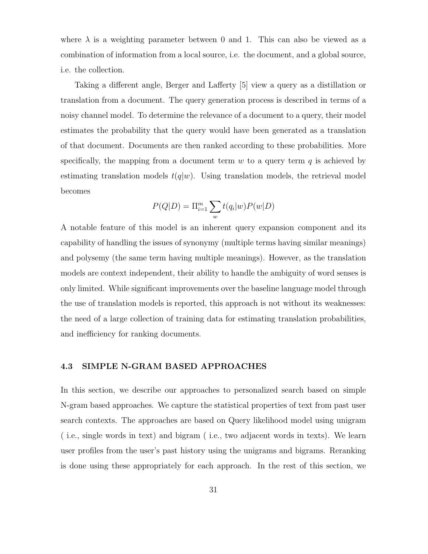where  $\lambda$  is a weighting parameter between 0 and 1. This can also be viewed as a combination of information from a local source, i.e. the document, and a global source, i.e. the collection.

Taking a different angle, Berger and Lafferty [5] view a query as a distillation or translation from a document. The query generation process is described in terms of a noisy channel model. To determine the relevance of a document to a query, their model estimates the probability that the query would have been generated as a translation of that document. Documents are then ranked according to these probabilities. More specifically, the mapping from a document term  $w$  to a query term  $q$  is achieved by estimating translation models  $t(q|w)$ . Using translation models, the retrieval model becomes

$$
P(Q|D) = \Pi_{i=1}^m \sum_w t(q_i|w)P(w|D)
$$

A notable feature of this model is an inherent query expansion component and its capability of handling the issues of synonymy (multiple terms having similar meanings) and polysemy (the same term having multiple meanings). However, as the translation models are context independent, their ability to handle the ambiguity of word senses is only limited. While significant improvements over the baseline language model through the use of translation models is reported, this approach is not without its weaknesses: the need of a large collection of training data for estimating translation probabilities, and inefficiency for ranking documents.

### 4.3 SIMPLE N-GRAM BASED APPROACHES

In this section, we describe our approaches to personalized search based on simple N-gram based approaches. We capture the statistical properties of text from past user search contexts. The approaches are based on Query likelihood model using unigram ( i.e., single words in text) and bigram ( i.e., two adjacent words in texts). We learn user profiles from the user's past history using the unigrams and bigrams. Reranking is done using these appropriately for each approach. In the rest of this section, we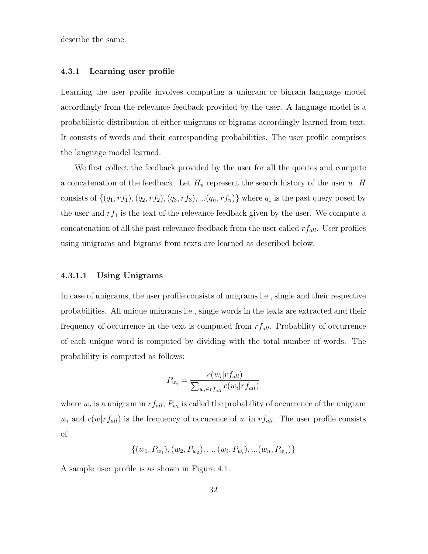describe the same.

#### 4.3.1 Learning user profile

Learning the user profile involves computing a unigram or bigram language model accordingly from the relevance feedback provided by the user. A language model is a probabilistic distribution of either unigrams or bigrams accordingly learned from text. It consists of words and their corresponding probabilities. The user profile comprises the language model learned.

We first collect the feedback provided by the user for all the queries and compute a concatenation of the feedback. Let  $H_u$  represent the search history of the user u. H consists of  $\{(q_1, rf_1), (q_2, rf_2), (q_3, rf_3), ... (q_n, rf_n)\}\$  where  $q_1$  is the past query posed by the user and  $rf_1$  is the text of the relevance feedback given by the user. We compute a concatenation of all the past relevance feedback from the user called  $rf_{all}$ . User profiles using unigrams and bigrams from texts are learned as described below.

#### 4.3.1.1 Using Unigrams

In case of unigrams, the user profile consists of unigrams i.e., single and their respective probabilities. All unique unigrams i.e., single words in the texts are extracted and their frequency of occurrence in the text is computed from  $rf_{all}$ . Probability of occurrence of each unique word is computed by dividing with the total number of words. The probability is computed as follows:

$$
P_{w_i} = \frac{c(w_i|r f_{all})}{\sum_{w_i \in r f_{all}} c(w_i|r f_{all})}
$$

where  $w_i$  is a unigram in  $rf_{all}$ ,  $P_{w_i}$  is called the probability of occurrence of the unigram  $w_i$  and  $c(w|rf_{all})$  is the frequency of occurence of w in  $rf_{all}$ . The user profile consists of

$$
\{(w_1, P_{w_1}), (w_2, P_{w_2}), ..., (w_i, P_{w_i}), ... (w_n, P_{w_n})\}
$$

A sample user profile is as shown in Figure 4.1.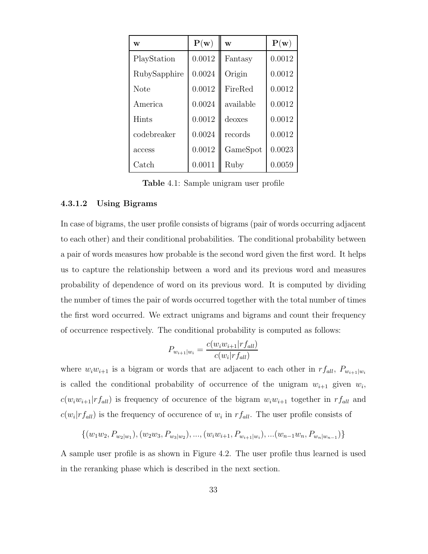| W            | P(w)   | W         | ${\bf P}({\bf w})$ |
|--------------|--------|-----------|--------------------|
| PlayStation  | 0.0012 | Fantasy   | 0.0012             |
| RubySapphire | 0.0024 | Origin    | 0.0012             |
| <b>Note</b>  | 0.0012 | FireRed   | 0.0012             |
| America      | 0.0024 | available | 0.0012             |
| Hints        | 0.0012 | deoxes    | 0.0012             |
| codebreaker  | 0.0024 | records   | 0.0012             |
| access       | 0.0012 | GameSpot  | 0.0023             |
| Catch        | 0.0011 | Ruby      | 0.0059             |

Table 4.1: Sample unigram user profile

# 4.3.1.2 Using Bigrams

In case of bigrams, the user profile consists of bigrams (pair of words occurring adjacent to each other) and their conditional probabilities. The conditional probability between a pair of words measures how probable is the second word given the first word. It helps us to capture the relationship between a word and its previous word and measures probability of dependence of word on its previous word. It is computed by dividing the number of times the pair of words occurred together with the total number of times the first word occurred. We extract unigrams and bigrams and count their frequency of occurrence respectively. The conditional probability is computed as follows:

$$
P_{w_{i+1}|w_i} = \frac{c(w_i w_{i+1}|rf_{all})}{c(w_i|r f_{all})}
$$

where  $w_iw_{i+1}$  is a bigram or words that are adjacent to each other in  $rf_{all}$ ,  $P_{w_{i+1}|w_i}$ is called the conditional probability of occurrence of the unigram  $w_{i+1}$  given  $w_i$ ,  $c(w_iw_{i+1}|rf_{all})$  is frequency of occurence of the bigram  $w_iw_{i+1}$  together in  $rf_{all}$  and  $c(w_i|r f_{all})$  is the frequency of occurence of  $w_i$  in  $rf_{all}$ . The user profile consists of

 $\{(w_1w_2, P_{w_2|w_1}), (w_2w_3, P_{w_3|w_2}), ..., (w_iw_{i+1}, P_{w_{i+1}|w_i}), ... (w_{n-1}w_n, P_{w_n|w_{n-1}})\}$ 

A sample user profile is as shown in Figure 4.2. The user profile thus learned is used in the reranking phase which is described in the next section.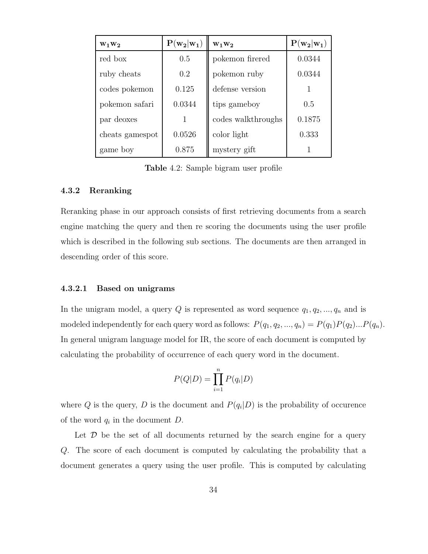| $W_1W_2$        | $P(w_2 w_1)$ | $W_1W_2$           | $P(w_2 w_1)$ |
|-----------------|--------------|--------------------|--------------|
| red box         | 0.5          | pokemon firered    | 0.0344       |
| ruby cheats     | 0.2          | pokemon ruby       | 0.0344       |
| codes pokemon   | 0.125        | defense version    |              |
| pokemon safari  | 0.0344       | tips gameboy       | 0.5          |
| par deoxes      | 1            | codes walkthroughs | 0.1875       |
| cheats gamespot | 0.0526       | color light        | 0.333        |
| game boy        | 0.875        | mystery gift       |              |

Table 4.2: Sample bigram user profile

#### 4.3.2 Reranking

Reranking phase in our approach consists of first retrieving documents from a search engine matching the query and then re scoring the documents using the user profile which is described in the following sub sections. The documents are then arranged in descending order of this score.

### 4.3.2.1 Based on unigrams

In the unigram model, a query  $Q$  is represented as word sequence  $q_1, q_2, ..., q_n$  and is modeled independently for each query word as follows:  $P(q_1, q_2, ..., q_n) = P(q_1)P(q_2)...P(q_n)$ . In general unigram language model for IR, the score of each document is computed by calculating the probability of occurrence of each query word in the document.

$$
P(Q|D) = \prod_{i=1}^{n} P(q_i|D)
$$

where Q is the query, D is the document and  $P(q_i|D)$  is the probability of occurence of the word  $q_i$  in the document  $D$ .

Let  $\mathcal D$  be the set of all documents returned by the search engine for a query Q. The score of each document is computed by calculating the probability that a document generates a query using the user profile. This is computed by calculating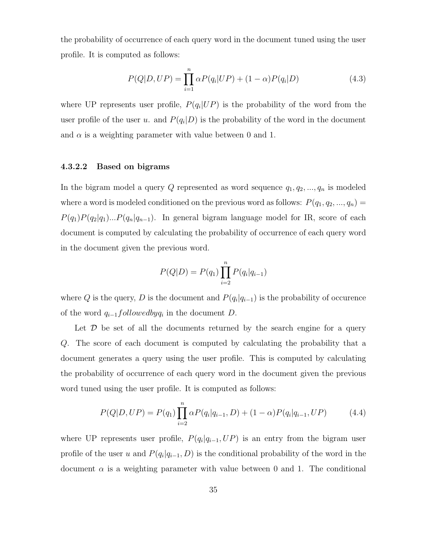the probability of occurrence of each query word in the document tuned using the user profile. It is computed as follows:

$$
P(Q|D,UP) = \prod_{i=1}^{n} \alpha P(q_i|UP) + (1-\alpha)P(q_i|D)
$$
\n(4.3)

where UP represents user profile,  $P(q_i|UP)$  is the probability of the word from the user profile of the user u. and  $P(q_i|D)$  is the probability of the word in the document and  $\alpha$  is a weighting parameter with value between 0 and 1.

# 4.3.2.2 Based on bigrams

In the bigram model a query  $Q$  represented as word sequence  $q_1, q_2, ..., q_n$  is modeled where a word is modeled conditioned on the previous word as follows:  $P(q_1, q_2, ..., q_n) =$  $P(q_1)P(q_2|q_1)...P(q_n|q_{n-1})$ . In general bigram language model for IR, score of each document is computed by calculating the probability of occurrence of each query word in the document given the previous word.

$$
P(Q|D) = P(q_1) \prod_{i=2}^{n} P(q_i|q_{i-1})
$$

where Q is the query, D is the document and  $P(q_i|q_{i-1})$  is the probability of occurence of the word  $q_{i-1}$ followedby $q_i$  in the document D.

Let  $\mathcal D$  be set of all the documents returned by the search engine for a query Q. The score of each document is computed by calculating the probability that a document generates a query using the user profile. This is computed by calculating the probability of occurrence of each query word in the document given the previous word tuned using the user profile. It is computed as follows:

$$
P(Q|D,UP) = P(q_1) \prod_{i=2}^{n} \alpha P(q_i|q_{i-1},D) + (1-\alpha)P(q_i|q_{i-1},UP)
$$
 (4.4)

where UP represents user profile,  $P(q_i|q_{i-1}, UP)$  is an entry from the bigram user profile of the user u and  $P(q_i|q_{i-1}, D)$  is the conditional probability of the word in the document  $\alpha$  is a weighting parameter with value between 0 and 1. The conditional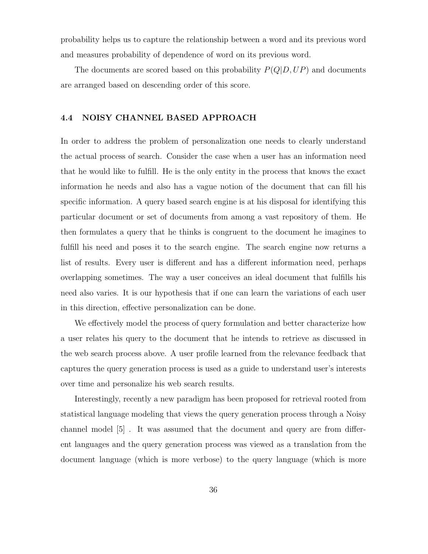probability helps us to capture the relationship between a word and its previous word and measures probability of dependence of word on its previous word.

The documents are scored based on this probability  $P(Q|D, UP)$  and documents are arranged based on descending order of this score.

#### 4.4 NOISY CHANNEL BASED APPROACH

In order to address the problem of personalization one needs to clearly understand the actual process of search. Consider the case when a user has an information need that he would like to fulfill. He is the only entity in the process that knows the exact information he needs and also has a vague notion of the document that can fill his specific information. A query based search engine is at his disposal for identifying this particular document or set of documents from among a vast repository of them. He then formulates a query that he thinks is congruent to the document he imagines to fulfill his need and poses it to the search engine. The search engine now returns a list of results. Every user is different and has a different information need, perhaps overlapping sometimes. The way a user conceives an ideal document that fulfills his need also varies. It is our hypothesis that if one can learn the variations of each user in this direction, effective personalization can be done.

We effectively model the process of query formulation and better characterize how a user relates his query to the document that he intends to retrieve as discussed in the web search process above. A user profile learned from the relevance feedback that captures the query generation process is used as a guide to understand user's interests over time and personalize his web search results.

Interestingly, recently a new paradigm has been proposed for retrieval rooted from statistical language modeling that views the query generation process through a Noisy channel model [5] . It was assumed that the document and query are from different languages and the query generation process was viewed as a translation from the document language (which is more verbose) to the query language (which is more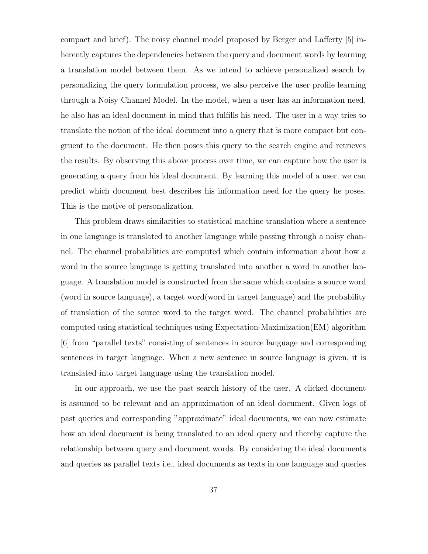compact and brief). The noisy channel model proposed by Berger and Lafferty [5] inherently captures the dependencies between the query and document words by learning a translation model between them. As we intend to achieve personalized search by personalizing the query formulation process, we also perceive the user profile learning through a Noisy Channel Model. In the model, when a user has an information need, he also has an ideal document in mind that fulfills his need. The user in a way tries to translate the notion of the ideal document into a query that is more compact but congruent to the document. He then poses this query to the search engine and retrieves the results. By observing this above process over time, we can capture how the user is generating a query from his ideal document. By learning this model of a user, we can predict which document best describes his information need for the query he poses. This is the motive of personalization.

This problem draws similarities to statistical machine translation where a sentence in one language is translated to another language while passing through a noisy channel. The channel probabilities are computed which contain information about how a word in the source language is getting translated into another a word in another language. A translation model is constructed from the same which contains a source word (word in source language), a target word(word in target language) and the probability of translation of the source word to the target word. The channel probabilities are computed using statistical techniques using Expectation-Maximization(EM) algorithm [6] from "parallel texts" consisting of sentences in source language and corresponding sentences in target language. When a new sentence in source language is given, it is translated into target language using the translation model.

In our approach, we use the past search history of the user. A clicked document is assumed to be relevant and an approximation of an ideal document. Given logs of past queries and corresponding "approximate" ideal documents, we can now estimate how an ideal document is being translated to an ideal query and thereby capture the relationship between query and document words. By considering the ideal documents and queries as parallel texts i.e., ideal documents as texts in one language and queries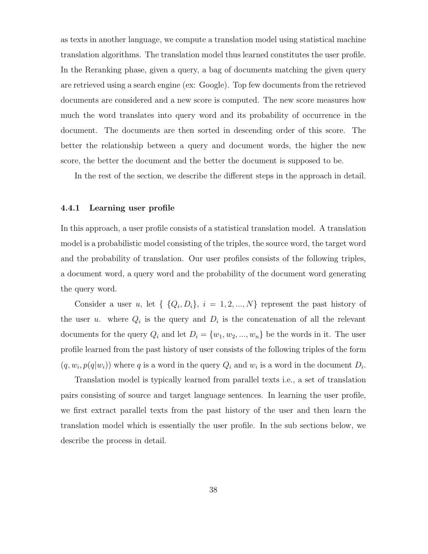as texts in another language, we compute a translation model using statistical machine translation algorithms. The translation model thus learned constitutes the user profile. In the Reranking phase, given a query, a bag of documents matching the given query are retrieved using a search engine (ex: Google). Top few documents from the retrieved documents are considered and a new score is computed. The new score measures how much the word translates into query word and its probability of occurrence in the document. The documents are then sorted in descending order of this score. The better the relationship between a query and document words, the higher the new score, the better the document and the better the document is supposed to be.

In the rest of the section, we describe the different steps in the approach in detail.

#### 4.4.1 Learning user profile

In this approach, a user profile consists of a statistical translation model. A translation model is a probabilistic model consisting of the triples, the source word, the target word and the probability of translation. Our user profiles consists of the following triples, a document word, a query word and the probability of the document word generating the query word.

Consider a user u, let  $\{Q_i, D_i\}, i = 1, 2, ..., N\}$  represent the past history of the user u. where  $Q_i$  is the query and  $D_i$  is the concatenation of all the relevant documents for the query  $Q_i$  and let  $D_i = \{w_1, w_2, ..., w_n\}$  be the words in it. The user profile learned from the past history of user consists of the following triples of the form  $(q, w_i, p(q|w_i))$  where q is a word in the query  $Q_i$  and  $w_i$  is a word in the document  $D_i$ .

Translation model is typically learned from parallel texts i.e., a set of translation pairs consisting of source and target language sentences. In learning the user profile, we first extract parallel texts from the past history of the user and then learn the translation model which is essentially the user profile. In the sub sections below, we describe the process in detail.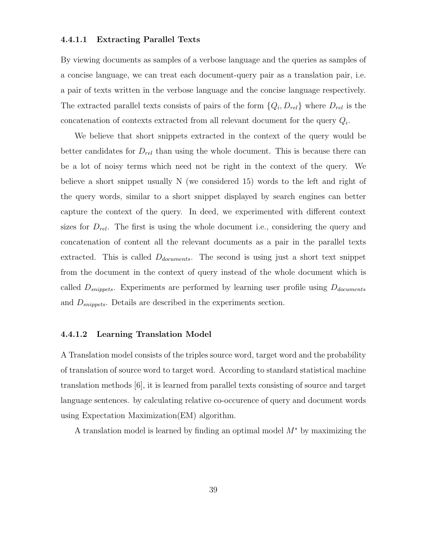### 4.4.1.1 Extracting Parallel Texts

By viewing documents as samples of a verbose language and the queries as samples of a concise language, we can treat each document-query pair as a translation pair, i.e. a pair of texts written in the verbose language and the concise language respectively. The extracted parallel texts consists of pairs of the form  $\{Q_i, D_{rel}\}\$  where  $D_{rel}$  is the concatenation of contexts extracted from all relevant document for the query  $Q_i$ .

We believe that short snippets extracted in the context of the query would be better candidates for  $D_{rel}$  than using the whole document. This is because there can be a lot of noisy terms which need not be right in the context of the query. We believe a short snippet usually N (we considered 15) words to the left and right of the query words, similar to a short snippet displayed by search engines can better capture the context of the query. In deed, we experimented with different context sizes for  $D_{rel}$ . The first is using the whole document i.e., considering the query and concatenation of content all the relevant documents as a pair in the parallel texts extracted. This is called  $D_{documents}$ . The second is using just a short text snippet from the document in the context of query instead of the whole document which is called  $D_{snippets}$ . Experiments are performed by learning user profile using  $D_{documents}$ and  $D_{snippets}$ . Details are described in the experiments section.

## 4.4.1.2 Learning Translation Model

A Translation model consists of the triples source word, target word and the probability of translation of source word to target word. According to standard statistical machine translation methods [6], it is learned from parallel texts consisting of source and target language sentences. by calculating relative co-occurence of query and document words using Expectation Maximization(EM) algorithm.

A translation model is learned by finding an optimal model M<sup>∗</sup> by maximizing the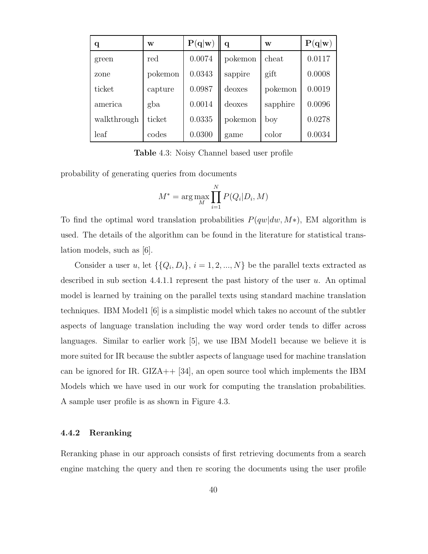| q           | W       | P(q w) | $\mathbf q$ | W        | P(q w) |
|-------------|---------|--------|-------------|----------|--------|
| green       | red     | 0.0074 | pokemon     | cheat    | 0.0117 |
| zone        | pokemon | 0.0343 | sappire     | gift     | 0.0008 |
| ticket      | capture | 0.0987 | deoxes      | pokemon  | 0.0019 |
| america     | gba     | 0.0014 | deoxes      | sapphire | 0.0096 |
| walkthrough | ticket  | 0.0335 | pokemon     | boy      | 0.0278 |
| leaf        | codes   | 0.0300 | game        | color    | 0.0034 |

Table 4.3: Noisy Channel based user profile

probability of generating queries from documents

$$
M^* = \arg\max_{M} \prod_{i=1}^{N} P(Q_i | D_i, M)
$$

To find the optimal word translation probabilities  $P(qw|dw, M*)$ , EM algorithm is used. The details of the algorithm can be found in the literature for statistical translation models, such as [6].

Consider a user u, let  $\{\{Q_i, D_i\}, i = 1, 2, ..., N\}$  be the parallel texts extracted as described in sub section 4.4.1.1 represent the past history of the user  $u$ . An optimal model is learned by training on the parallel texts using standard machine translation techniques. IBM Model1 [6] is a simplistic model which takes no account of the subtler aspects of language translation including the way word order tends to differ across languages. Similar to earlier work [5], we use IBM Model1 because we believe it is more suited for IR because the subtler aspects of language used for machine translation can be ignored for IR. GIZA++ [34], an open source tool which implements the IBM Models which we have used in our work for computing the translation probabilities. A sample user profile is as shown in Figure 4.3.

#### 4.4.2 Reranking

Reranking phase in our approach consists of first retrieving documents from a search engine matching the query and then re scoring the documents using the user profile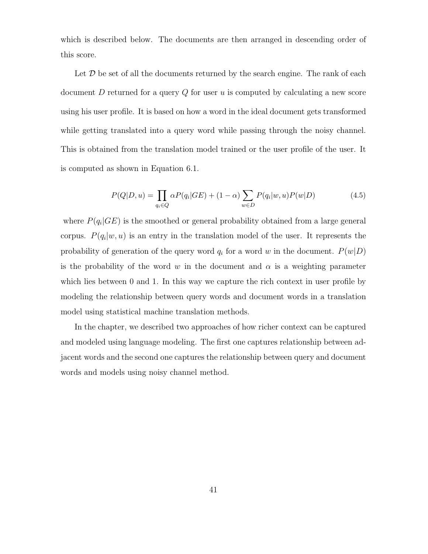which is described below. The documents are then arranged in descending order of this score.

Let  $\mathcal D$  be set of all the documents returned by the search engine. The rank of each document  $D$  returned for a query  $Q$  for user  $u$  is computed by calculating a new score using his user profile. It is based on how a word in the ideal document gets transformed while getting translated into a query word while passing through the noisy channel. This is obtained from the translation model trained or the user profile of the user. It is computed as shown in Equation 6.1.

$$
P(Q|D, u) = \prod_{q_i \in Q} \alpha P(q_i|GE) + (1 - \alpha) \sum_{w \in D} P(q_i|w, u) P(w|D)
$$
(4.5)

where  $P(q_i|GE)$  is the smoothed or general probability obtained from a large general corpus.  $P(q_i|w, u)$  is an entry in the translation model of the user. It represents the probability of generation of the query word  $q_i$  for a word w in the document.  $P(w|D)$ is the probability of the word w in the document and  $\alpha$  is a weighting parameter which lies between 0 and 1. In this way we capture the rich context in user profile by modeling the relationship between query words and document words in a translation model using statistical machine translation methods.

In the chapter, we described two approaches of how richer context can be captured and modeled using language modeling. The first one captures relationship between adjacent words and the second one captures the relationship between query and document words and models using noisy channel method.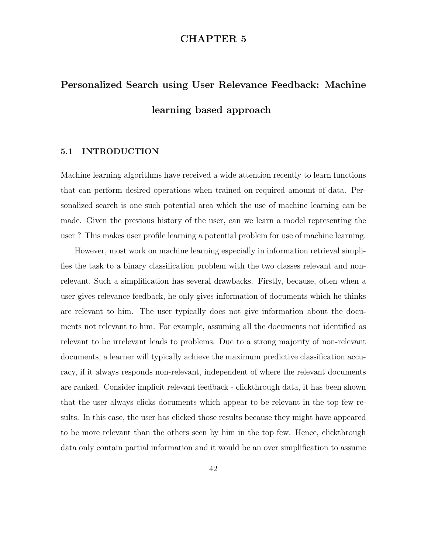# CHAPTER 5

# Personalized Search using User Relevance Feedback: Machine learning based approach

# 5.1 INTRODUCTION

Machine learning algorithms have received a wide attention recently to learn functions that can perform desired operations when trained on required amount of data. Personalized search is one such potential area which the use of machine learning can be made. Given the previous history of the user, can we learn a model representing the user ? This makes user profile learning a potential problem for use of machine learning.

However, most work on machine learning especially in information retrieval simplifies the task to a binary classification problem with the two classes relevant and nonrelevant. Such a simplification has several drawbacks. Firstly, because, often when a user gives relevance feedback, he only gives information of documents which he thinks are relevant to him. The user typically does not give information about the documents not relevant to him. For example, assuming all the documents not identified as relevant to be irrelevant leads to problems. Due to a strong majority of non-relevant documents, a learner will typically achieve the maximum predictive classification accuracy, if it always responds non-relevant, independent of where the relevant documents are ranked. Consider implicit relevant feedback - clickthrough data, it has been shown that the user always clicks documents which appear to be relevant in the top few results. In this case, the user has clicked those results because they might have appeared to be more relevant than the others seen by him in the top few. Hence, clickthrough data only contain partial information and it would be an over simplification to assume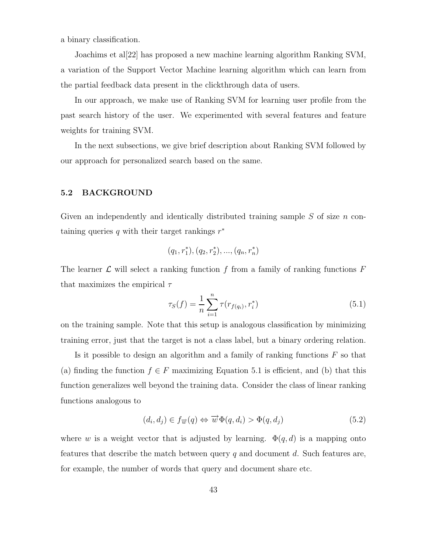a binary classification.

Joachims et al[22] has proposed a new machine learning algorithm Ranking SVM, a variation of the Support Vector Machine learning algorithm which can learn from the partial feedback data present in the clickthrough data of users.

In our approach, we make use of Ranking SVM for learning user profile from the past search history of the user. We experimented with several features and feature weights for training SVM.

In the next subsections, we give brief description about Ranking SVM followed by our approach for personalized search based on the same.

#### 5.2 BACKGROUND

Given an independently and identically distributed training sample  $S$  of size  $n$  containing queries  $q$  with their target rankings  $r^*$ 

$$
(q_1,r_1^*),(q_2,r_2^*),...,(q_n,r_n^*)\\
$$

The learner  $\mathcal L$  will select a ranking function f from a family of ranking functions  $F$ that maximizes the empirical  $\tau$ 

$$
\tau_S(f) = \frac{1}{n} \sum_{i=1}^n \tau(r_{f(q_i)}, r_i^*)
$$
\n(5.1)

on the training sample. Note that this setup is analogous classification by minimizing training error, just that the target is not a class label, but a binary ordering relation.

Is it possible to design an algorithm and a family of ranking functions  $F$  so that (a) finding the function  $f \in F$  maximizing Equation 5.1 is efficient, and (b) that this function generalizes well beyond the training data. Consider the class of linear ranking functions analogous to

$$
(d_i, d_j) \in f_{\overrightarrow{w}}(q) \Leftrightarrow \overrightarrow{w} \Phi(q, d_i) > \Phi(q, d_j)
$$
\n
$$
(5.2)
$$

where w is a weight vector that is adjusted by learning.  $\Phi(q, d)$  is a mapping onto features that describe the match between query  $q$  and document  $d$ . Such features are, for example, the number of words that query and document share etc.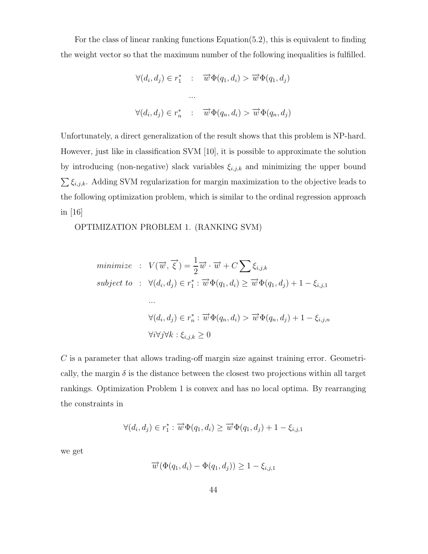For the class of linear ranking functions Equation(5.2), this is equivalent to finding the weight vector so that the maximum number of the following inequalities is fulfilled.

$$
\forall (d_i, d_j) \in r_1^* \quad : \quad \overrightarrow{w} \Phi(q_1, d_i) > \overrightarrow{w} \Phi(q_1, d_j)
$$

$$
\cdots
$$

$$
\forall (d_i, d_j) \in r_n^* \quad : \quad \overrightarrow{w} \Phi(q_n, d_i) > \overrightarrow{w} \Phi(q_n, d_j)
$$

Unfortunately, a direct generalization of the result shows that this problem is NP-hard. However, just like in classification SVM [10], it is possible to approximate the solution by introducing (non-negative) slack variables  $\xi_{i,j,k}$  and minimizing the upper bound  $\sum \xi_{i,j,k}$ . Adding SVM regularization for margin maximization to the objective leads to the following optimization problem, which is similar to the ordinal regression approach in [16]

OPTIMIZATION PROBLEM 1. (RANKING SVM)

minimize : 
$$
V(\overrightarrow{w}, \overrightarrow{\xi}) = \frac{1}{2} \overrightarrow{w} \cdot \overrightarrow{w} + C \sum \xi_{i,j,k}
$$
  
\nsubject to :  $\forall (d_i, d_j) \in r_1^* : \overrightarrow{w} \Phi(q_1, d_i) \ge \overrightarrow{w} \Phi(q_1, d_j) + 1 - \xi_{i,j,1}$   
\n...  
\n
$$
\forall (d_i, d_j) \in r_n^* : \overrightarrow{w} \Phi(q_n, d_i) > \overrightarrow{w} \Phi(q_n, d_j) + 1 - \xi_{i,j,n}
$$
  
\n
$$
\forall i \forall j \forall k : \xi_{i,j,k} \ge 0
$$

 $C$  is a parameter that allows trading-off margin size against training error. Geometrically, the margin  $\delta$  is the distance between the closest two projections within all target rankings. Optimization Problem 1 is convex and has no local optima. By rearranging the constraints in

$$
\forall (d_i, d_j) \in r_1^* : \overrightarrow{w} \Phi(q_1, d_i) \geq \overrightarrow{w} \Phi(q_1, d_j) + 1 - \xi_{i,j,1}
$$

we get

$$
\overrightarrow{w}(\Phi(q_1, d_i) - \Phi(q_1, d_j)) \ge 1 - \xi_{i,j,1}
$$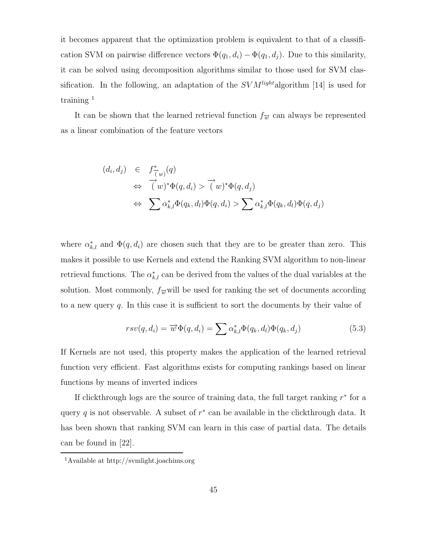it becomes apparent that the optimization problem is equivalent to that of a classification SVM on pairwise difference vectors  $\Phi(q_1, d_i) - \Phi(q_1, d_j)$ . Due to this similarity, it can be solved using decomposition algorithms similar to those used for SVM classification. In the following, an adaptation of the  $SVM<sup>light</sup>$  algorithm [14] is used for training  $<sup>1</sup>$ </sup>

It can be shown that the learned retrieval function  $f_{\overrightarrow{w}}$  can always be represented as a linear combination of the feature vectors

$$
(d_i, d_j) \in f^*_{\vec{(w)}}(q)
$$
  
\n
$$
\Leftrightarrow \vec{(w)}^* \Phi(q, d_i) > \vec{(w)}^* \Phi(q, d_j)
$$
  
\n
$$
\Leftrightarrow \sum \alpha_{k,l}^* \Phi(q_k, d_l) \Phi(q, d_i) > \sum \alpha_{k,l}^* \Phi(q_k, d_l) \Phi(q, d_j)
$$

where  $\alpha_{k,l}^*$  and  $\Phi(q, d_i)$  are chosen such that they are to be greater than zero. This makes it possible to use Kernels and extend the Ranking SVM algorithm to non-linear retrieval functions. The  $\alpha_{k,l}^*$  can be derived from the values of the dual variables at the solution. Most commonly,  $f_{\overrightarrow{w}}$  will be used for ranking the set of documents according to a new query  $q$ . In this case it is sufficient to sort the documents by their value of

$$
rsv(q, d_i) = \overrightarrow{w} \Phi(q, d_i) = \sum \alpha_{k,l}^* \Phi(q_k, d_l) \Phi(q_k, d_j)
$$
\n(5.3)

If Kernels are not used, this property makes the application of the learned retrieval function very efficient. Fast algorithms exists for computing rankings based on linear functions by means of inverted indices

If clickthrough logs are the source of training data, the full target ranking  $r^*$  for a query q is not observable. A subset of  $r^*$  can be available in the clickthrough data. It has been shown that ranking SVM can learn in this case of partial data. The details can be found in [22].

<sup>1</sup>Available at http://svmlight.joachims.org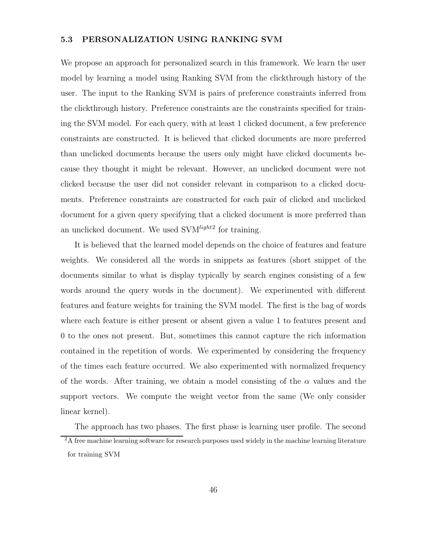## 5.3 PERSONALIZATION USING RANKING SVM

We propose an approach for personalized search in this framework. We learn the user model by learning a model using Ranking SVM from the clickthrough history of the user. The input to the Ranking SVM is pairs of preference constraints inferred from the clickthrough history. Preference constraints are the constraints specified for training the SVM model. For each query, with at least 1 clicked document, a few preference constraints are constructed. It is believed that clicked documents are more preferred than unclicked documents because the users only might have clicked documents because they thought it might be relevant. However, an unclicked document were not clicked because the user did not consider relevant in comparison to a clicked documents. Preference constraints are constructed for each pair of clicked and unclicked document for a given query specifying that a clicked document is more preferred than an unclicked document. We used SVM<sup>light2</sup> for training.

It is believed that the learned model depends on the choice of features and feature weights. We considered all the words in snippets as features (short snippet of the documents similar to what is display typically by search engines consisting of a few words around the query words in the document). We experimented with different features and feature weights for training the SVM model. The first is the bag of words where each feature is either present or absent given a value 1 to features present and 0 to the ones not present. But, sometimes this cannot capture the rich information contained in the repetition of words. We experimented by considering the frequency of the times each feature occurred. We also experimented with normalized frequency of the words. After training, we obtain a model consisting of the  $\alpha$  values and the support vectors. We compute the weight vector from the same (We only consider linear kernel).

The approach has two phases. The first phase is learning user profile. The second <sup>2</sup>A free machine learning software for research purposes used widely in the machine learning literature for training SVM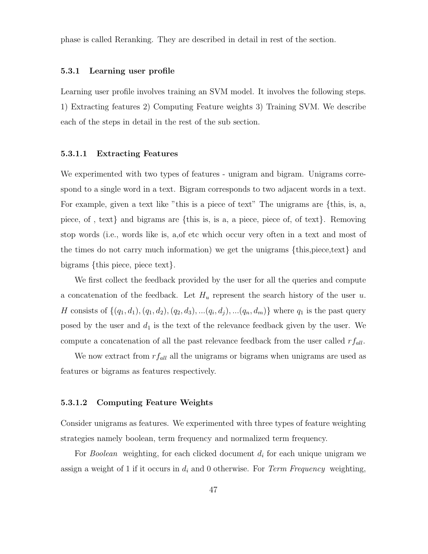phase is called Reranking. They are described in detail in rest of the section.

#### 5.3.1 Learning user profile

Learning user profile involves training an SVM model. It involves the following steps. 1) Extracting features 2) Computing Feature weights 3) Training SVM. We describe each of the steps in detail in the rest of the sub section.

#### 5.3.1.1 Extracting Features

We experimented with two types of features - unigram and bigram. Unigrams correspond to a single word in a text. Bigram corresponds to two adjacent words in a text. For example, given a text like "this is a piece of text" The unigrams are {this, is, a, piece, of , text} and bigrams are {this is, is a, a piece, piece of, of text}. Removing stop words (i.e., words like is, a,of etc which occur very often in a text and most of the times do not carry much information) we get the unigrams {this,piece,text} and bigrams {this piece, piece text}.

We first collect the feedback provided by the user for all the queries and compute a concatenation of the feedback. Let  $H_u$  represent the search history of the user u. H consists of  $\{(q_1, d_1), (q_1, d_2), (q_2, d_3), \ldots (q_i, d_j), \ldots (q_n, d_m)\}\$  where  $q_1$  is the past query posed by the user and  $d_1$  is the text of the relevance feedback given by the user. We compute a concatenation of all the past relevance feedback from the user called  $rf_{all}$ .

We now extract from  $rf_{all}$  all the unigrams or bigrams when unigrams are used as features or bigrams as features respectively.

#### 5.3.1.2 Computing Feature Weights

Consider unigrams as features. We experimented with three types of feature weighting strategies namely boolean, term frequency and normalized term frequency.

For *Boolean* weighting, for each clicked document  $d_i$  for each unique unigram we assign a weight of 1 if it occurs in  $d_i$  and 0 otherwise. For Term Frequency weighting,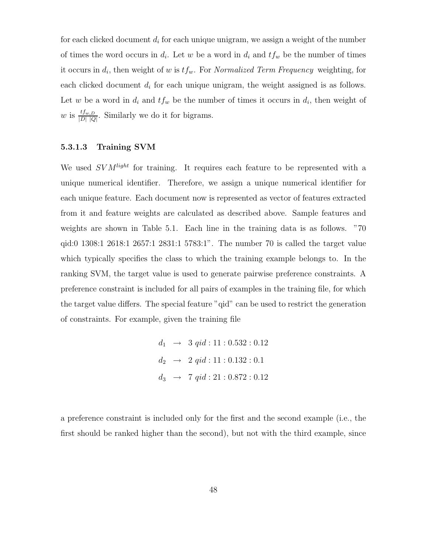for each clicked document  $d_i$  for each unique unigram, we assign a weight of the number of times the word occurs in  $d_i$ . Let w be a word in  $d_i$  and  $tf_w$  be the number of times it occurs in  $d_i$ , then weight of w is  $tf_w$ . For Normalized Term Frequency weighting, for each clicked document  $d_i$  for each unique unigram, the weight assigned is as follows. Let w be a word in  $d_i$  and  $tf_w$  be the number of times it occurs in  $d_i$ , then weight of w is  $\frac{tf_{w,D}}{|D||Q|}$ . Similarly we do it for bigrams.

#### 5.3.1.3 Training SVM

We used  $SVM<sup>light</sup>$  for training. It requires each feature to be represented with a unique numerical identifier. Therefore, we assign a unique numerical identifier for each unique feature. Each document now is represented as vector of features extracted from it and feature weights are calculated as described above. Sample features and weights are shown in Table 5.1. Each line in the training data is as follows. "70 qid:0 1308:1 2618:1 2657:1 2831:1 5783:1". The number 70 is called the target value which typically specifies the class to which the training example belongs to. In the ranking SVM, the target value is used to generate pairwise preference constraints. A preference constraint is included for all pairs of examples in the training file, for which the target value differs. The special feature "qid" can be used to restrict the generation of constraints. For example, given the training file

$$
d_1 \rightarrow 3 \text{ qid} : 11 : 0.532 : 0.12
$$
\n
$$
d_2 \rightarrow 2 \text{ qid} : 11 : 0.132 : 0.1
$$
\n
$$
d_3 \rightarrow 7 \text{ qid} : 21 : 0.872 : 0.12
$$

a preference constraint is included only for the first and the second example (i.e., the first should be ranked higher than the second), but not with the third example, since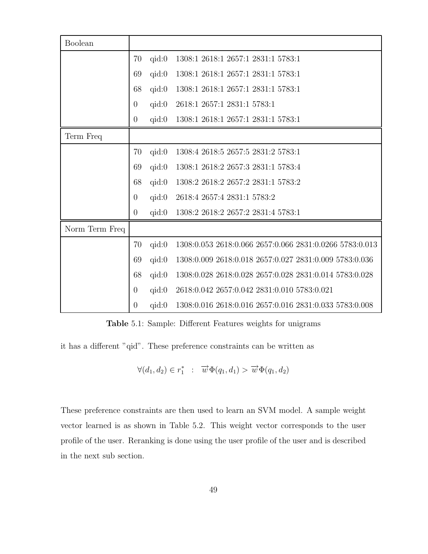| Boolean        |                |       |                                                         |
|----------------|----------------|-------|---------------------------------------------------------|
|                | 70             | qid:0 | 1308:1 2618:1 2657:1 2831:1 5783:1                      |
|                | 69             | qid:0 | 1308:1 2618:1 2657:1 2831:1 5783:1                      |
|                | 68             | qid:0 | 1308:1 2618:1 2657:1 2831:1 5783:1                      |
|                | $\overline{0}$ | qid:0 | 2618:1 2657:1 2831:1 5783:1                             |
|                | $\theta$       | qid:0 | 1308:1 2618:1 2657:1 2831:1 5783:1                      |
| Term Freq      |                |       |                                                         |
|                | 70             | qid:0 | 1308:4 2618:5 2657:5 2831:2 5783:1                      |
|                | 69             | qid:0 | 1308:1 2618:2 2657:3 2831:1 5783:4                      |
|                | 68             | qid:0 | 1308:2 2618:2 2657:2 2831:1 5783:2                      |
|                | $\overline{0}$ | qid:0 | 2618:4 2657:4 2831:1 5783:2                             |
|                | $\theta$       | qid:0 | 1308:2 2618:2 2657:2 2831:4 5783:1                      |
| Norm Term Freq |                |       |                                                         |
|                | 70             | qid:0 | 1308:0.053 2618:0.066 2657:0.066 2831:0.0266 5783:0.013 |
|                | 69             | qid:0 | 1308:0.009 2618:0.018 2657:0.027 2831:0.009 5783:0.036  |
|                | 68             | qid:0 | 1308:0.028 2618:0.028 2657:0.028 2831:0.014 5783:0.028  |
|                | $\overline{0}$ | qid:0 | 2618:0.042 2657:0.042 2831:0.010 5783:0.021             |
|                | $\overline{0}$ | qid:0 | 1308:0.016 2618:0.016 2657:0.016 2831:0.033 5783:0.008  |

Table 5.1: Sample: Different Features weights for unigrams

it has a different "qid". These preference constraints can be written as

 $\forall (d_1, d_2) \in r_1^* \; : \; \overrightarrow{w} \Phi(q_1, d_1) > \overrightarrow{w} \Phi(q_1, d_2)$ 

These preference constraints are then used to learn an SVM model. A sample weight vector learned is as shown in Table 5.2. This weight vector corresponds to the user profile of the user. Reranking is done using the user profile of the user and is described in the next sub section.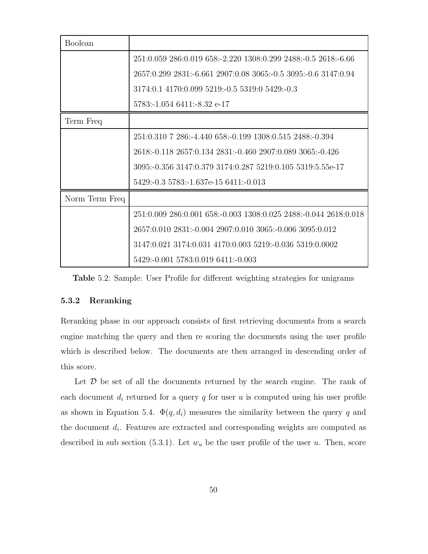| <b>Boolean</b> |                                                                  |
|----------------|------------------------------------------------------------------|
|                | 251:0.059 286:0.019 658:-2.220 1308:0.299 2488:-0.5 2618:-6.66   |
|                | 2657:0.299 2831:-6.661 2907:0.08 3065:-0.5 3095:-0.6 3147:0.94   |
|                | 3174:0.1 4170:0.099 5219:-0.5 5319:0 5429:-0.3                   |
|                | 5783:-1.054 6411:-8.32 e-17                                      |
| Term Freq      |                                                                  |
|                | 251:0.310 7 286:-4.440 658:-0.199 1308:0.515 2488:-0.394         |
|                | 2618:-0.118 2657:0.134 2831:-0.460 2907:0.089 3065:-0.426        |
|                | 3095:-0.356 3147:0.379 3174:0.287 5219:0.105 5319:5.55e-17       |
|                | 5429:-0.3 5783:-1.637e-15 6411:-0.013                            |
| Norm Term Freq |                                                                  |
|                | 251:0.009 286:0.001 658:-0.003 1308:0.025 2488:-0.044 2618:0.018 |
|                | 2657:0.010 2831:-0.004 2907:0.010 3065:-0.006 3095:0.012         |
|                | 3147:0.021 3174:0.031 4170:0.003 5219:-0.036 5319:0.0002         |
|                | 5429:-0.001 5783:0.019 6411:-0.003                               |

Table 5.2: Sample: User Profile for different weighting strategies for unigrams

#### 5.3.2 Reranking

Reranking phase in our approach consists of first retrieving documents from a search engine matching the query and then re scoring the documents using the user profile which is described below. The documents are then arranged in descending order of this score.

Let  $\mathcal D$  be set of all the documents returned by the search engine. The rank of each document  $d_i$  returned for a query  $q$  for user  $u$  is computed using his user profile as shown in Equation 5.4.  $\Phi(q, d_i)$  measures the similarity between the query q and the document  $d_i$ . Features are extracted and corresponding weights are computed as described in sub section (5.3.1). Let  $w_u$  be the user profile of the user u. Then, score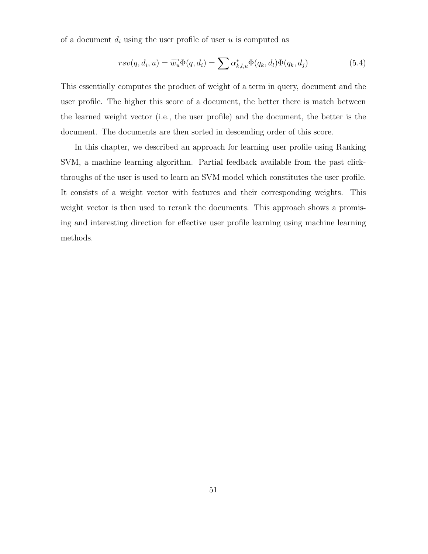of a document  $d_i$  using the user profile of user u is computed as

$$
rsv(q, d_i, u) = \overrightarrow{w_u} \Phi(q, d_i) = \sum \alpha_{k,l,u}^* \Phi(q_k, d_l) \Phi(q_k, d_j)
$$
\n(5.4)

This essentially computes the product of weight of a term in query, document and the user profile. The higher this score of a document, the better there is match between the learned weight vector (i.e., the user profile) and the document, the better is the document. The documents are then sorted in descending order of this score.

In this chapter, we described an approach for learning user profile using Ranking SVM, a machine learning algorithm. Partial feedback available from the past clickthroughs of the user is used to learn an SVM model which constitutes the user profile. It consists of a weight vector with features and their corresponding weights. This weight vector is then used to rerank the documents. This approach shows a promising and interesting direction for effective user profile learning using machine learning methods.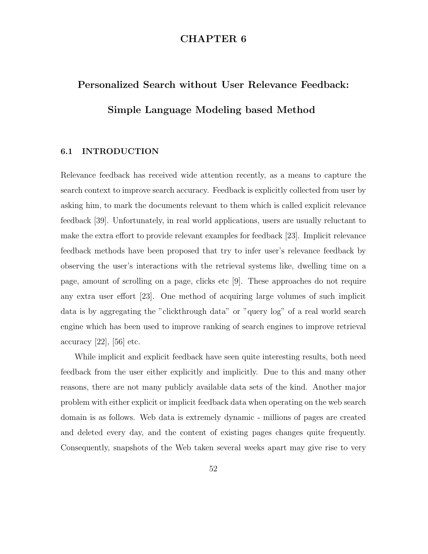# CHAPTER 6

# Personalized Search without User Relevance Feedback: Simple Language Modeling based Method

# 6.1 INTRODUCTION

Relevance feedback has received wide attention recently, as a means to capture the search context to improve search accuracy. Feedback is explicitly collected from user by asking him, to mark the documents relevant to them which is called explicit relevance feedback [39]. Unfortunately, in real world applications, users are usually reluctant to make the extra effort to provide relevant examples for feedback [23]. Implicit relevance feedback methods have been proposed that try to infer user's relevance feedback by observing the user's interactions with the retrieval systems like, dwelling time on a page, amount of scrolling on a page, clicks etc [9]. These approaches do not require any extra user effort [23]. One method of acquiring large volumes of such implicit data is by aggregating the "clickthrough data" or "query log" of a real world search engine which has been used to improve ranking of search engines to improve retrieval accuracy  $[22]$ ,  $[56]$  etc.

While implicit and explicit feedback have seen quite interesting results, both need feedback from the user either explicitly and implicitly. Due to this and many other reasons, there are not many publicly available data sets of the kind. Another major problem with either explicit or implicit feedback data when operating on the web search domain is as follows. Web data is extremely dynamic - millions of pages are created and deleted every day, and the content of existing pages changes quite frequently. Consequently, snapshots of the Web taken several weeks apart may give rise to very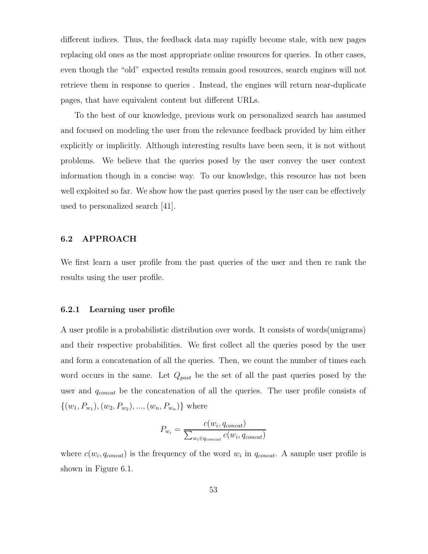different indices. Thus, the feedback data may rapidly become stale, with new pages replacing old ones as the most appropriate online resources for queries. In other cases, even though the "old" expected results remain good resources, search engines will not retrieve them in response to queries . Instead, the engines will return near-duplicate pages, that have equivalent content but different URLs.

To the best of our knowledge, previous work on personalized search has assumed and focused on modeling the user from the relevance feedback provided by him either explicitly or implicitly. Although interesting results have been seen, it is not without problems. We believe that the queries posed by the user convey the user context information though in a concise way. To our knowledge, this resource has not been well exploited so far. We show how the past queries posed by the user can be effectively used to personalized search [41].

## 6.2 APPROACH

We first learn a user profile from the past queries of the user and then re rank the results using the user profile.

#### 6.2.1 Learning user profile

A user profile is a probabilistic distribution over words. It consists of words(unigrams) and their respective probabilities. We first collect all the queries posed by the user and form a concatenation of all the queries. Then, we count the number of times each word occurs in the same. Let  $Q_{past}$  be the set of all the past queries posed by the user and  $q_{concat}$  be the concatenation of all the queries. The user profile consists of  $\{(w_1, P_{w_1}), (w_2, P_{w_2}), ..., (w_n, P_{w_n})\}\$  where

$$
P_{w_i} = \frac{c(w_i, q_{concat})}{\sum_{w_i \in q_{concat}} c(w_i, q_{concat})}
$$

where  $c(w_i, q_{concat})$  is the frequency of the word  $w_i$  in  $q_{concat}$ . A sample user profile is shown in Figure 6.1.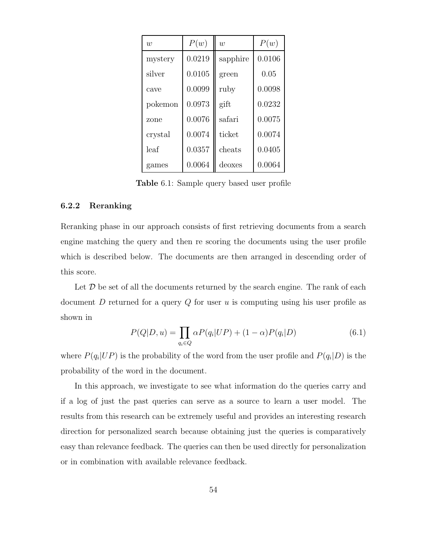| w       | P(w)   | $\overline{w}$ | P(w)   |
|---------|--------|----------------|--------|
| mystery | 0.0219 | sapphire       | 0.0106 |
| silver  | 0.0105 | green          | 0.05   |
| cave    | 0.0099 | ruby           | 0.0098 |
| pokemon | 0.0973 | gift           | 0.0232 |
| zone    | 0.0076 | safari         | 0.0075 |
| crystal | 0.0074 | ticket         | 0.0074 |
| leaf    | 0.0357 | cheats         | 0.0405 |
| games   | 0.0064 | deoxes         | 0.0064 |

Table 6.1: Sample query based user profile

#### 6.2.2 Reranking

Reranking phase in our approach consists of first retrieving documents from a search engine matching the query and then re scoring the documents using the user profile which is described below. The documents are then arranged in descending order of this score.

Let  $D$  be set of all the documents returned by the search engine. The rank of each document  $D$  returned for a query  $Q$  for user  $u$  is computing using his user profile as shown in

$$
P(Q|D, u) = \prod_{q_i \in Q} \alpha P(q_i|UP) + (1-\alpha)P(q_i|D) \tag{6.1}
$$

where  $P(q_i|UP)$  is the probability of the word from the user profile and  $P(q_i|D)$  is the probability of the word in the document.

In this approach, we investigate to see what information do the queries carry and if a log of just the past queries can serve as a source to learn a user model. The results from this research can be extremely useful and provides an interesting research direction for personalized search because obtaining just the queries is comparatively easy than relevance feedback. The queries can then be used directly for personalization or in combination with available relevance feedback.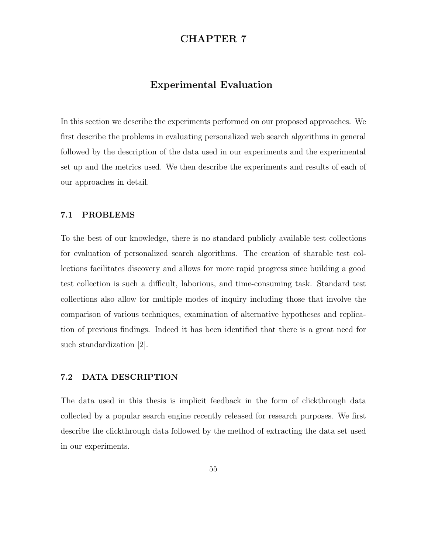# CHAPTER 7

# Experimental Evaluation

In this section we describe the experiments performed on our proposed approaches. We first describe the problems in evaluating personalized web search algorithms in general followed by the description of the data used in our experiments and the experimental set up and the metrics used. We then describe the experiments and results of each of our approaches in detail.

## 7.1 PROBLEMS

To the best of our knowledge, there is no standard publicly available test collections for evaluation of personalized search algorithms. The creation of sharable test collections facilitates discovery and allows for more rapid progress since building a good test collection is such a difficult, laborious, and time-consuming task. Standard test collections also allow for multiple modes of inquiry including those that involve the comparison of various techniques, examination of alternative hypotheses and replication of previous findings. Indeed it has been identified that there is a great need for such standardization [2].

# 7.2 DATA DESCRIPTION

The data used in this thesis is implicit feedback in the form of clickthrough data collected by a popular search engine recently released for research purposes. We first describe the clickthrough data followed by the method of extracting the data set used in our experiments.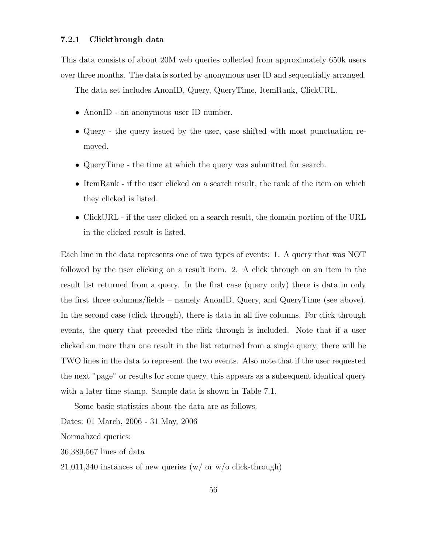### 7.2.1 Clickthrough data

This data consists of about 20M web queries collected from approximately 650k users over three months. The data is sorted by anonymous user ID and sequentially arranged.

The data set includes AnonID, Query, QueryTime, ItemRank, ClickURL.

- AnonID an anonymous user ID number.
- Query the query issued by the user, case shifted with most punctuation removed.
- QueryTime the time at which the query was submitted for search.
- ItemRank if the user clicked on a search result, the rank of the item on which they clicked is listed.
- ClickURL if the user clicked on a search result, the domain portion of the URL in the clicked result is listed.

Each line in the data represents one of two types of events: 1. A query that was NOT followed by the user clicking on a result item. 2. A click through on an item in the result list returned from a query. In the first case (query only) there is data in only the first three columns/fields – namely AnonID, Query, and QueryTime (see above). In the second case (click through), there is data in all five columns. For click through events, the query that preceded the click through is included. Note that if a user clicked on more than one result in the list returned from a single query, there will be TWO lines in the data to represent the two events. Also note that if the user requested the next "page" or results for some query, this appears as a subsequent identical query with a later time stamp. Sample data is shown in Table 7.1.

Some basic statistics about the data are as follows.

Dates: 01 March, 2006 - 31 May, 2006

Normalized queries:

36,389,567 lines of data

 $21,011,340$  instances of new queries (w/ or w/o click-through)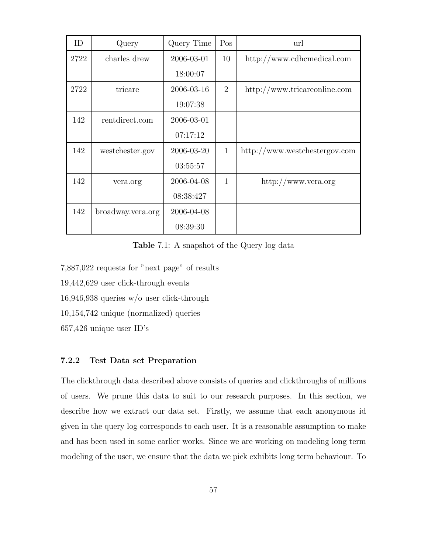| ID   | Query             | Query Time | Pos            | url                           |
|------|-------------------|------------|----------------|-------------------------------|
| 2722 | charles drew      | 2006-03-01 | 10             | http://www.cdhemedical.com    |
|      |                   | 18:00:07   |                |                               |
| 2722 | tricare           | 2006-03-16 | $\overline{2}$ | http://www.tricareonline.com  |
|      |                   | 19:07:38   |                |                               |
| 142  | rentdirect.com    | 2006-03-01 |                |                               |
|      |                   | 07:17:12   |                |                               |
| 142  | westchester.gov   | 2006-03-20 | $\mathbf{1}$   | http://www.westchestergov.com |
|      |                   | 03:55:57   |                |                               |
| 142  | vera.org          | 2006-04-08 | $\mathbf{1}$   | http://www.vera.org           |
|      |                   | 08:38:427  |                |                               |
| 142  | broadway.vera.org | 2006-04-08 |                |                               |
|      |                   | 08:39:30   |                |                               |

Table 7.1: A snapshot of the Query log data

7,887,022 requests for "next page" of results

19,442,629 user click-through events

16,946,938 queries w/o user click-through

10,154,742 unique (normalized) queries

657,426 unique user ID's

# 7.2.2 Test Data set Preparation

The clickthrough data described above consists of queries and clickthroughs of millions of users. We prune this data to suit to our research purposes. In this section, we describe how we extract our data set. Firstly, we assume that each anonymous id given in the query log corresponds to each user. It is a reasonable assumption to make and has been used in some earlier works. Since we are working on modeling long term modeling of the user, we ensure that the data we pick exhibits long term behaviour. To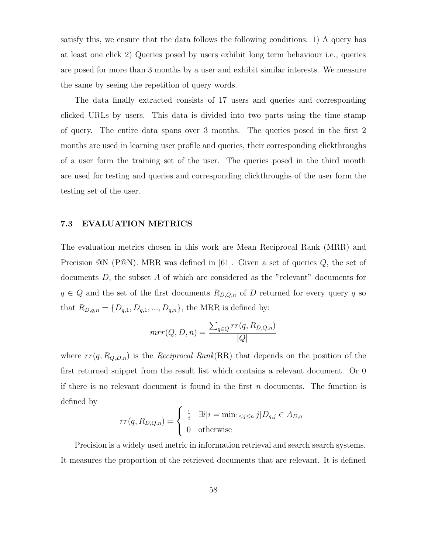satisfy this, we ensure that the data follows the following conditions. 1) A query has at least one click 2) Queries posed by users exhibit long term behaviour i.e., queries are posed for more than 3 months by a user and exhibit similar interests. We measure the same by seeing the repetition of query words.

The data finally extracted consists of 17 users and queries and corresponding clicked URLs by users. This data is divided into two parts using the time stamp of query. The entire data spans over 3 months. The queries posed in the first 2 months are used in learning user profile and queries, their corresponding clickthroughs of a user form the training set of the user. The queries posed in the third month are used for testing and queries and corresponding clickthroughs of the user form the testing set of the user.

#### 7.3 EVALUATION METRICS

The evaluation metrics chosen in this work are Mean Reciprocal Rank (MRR) and Precision  $@N$  (P $@N$ ). MRR was defined in [61]. Given a set of queries  $Q$ , the set of documents D, the subset A of which are considered as the "relevant" documents for  $q \in Q$  and the set of the first documents  $R_{D,Q,n}$  of D returned for every query q so that  $R_{D,q,n} = \{D_{q,1}, D_{q,1}, ..., D_{q,n}\}$ , the MRR is defined by:

$$
mrr(Q, D, n) = \frac{\sum_{q \in Q} rr(q, R_{D,Q,n})}{|Q|}
$$

where  $rr(q, R_{Q,D,n})$  is the *Reciprocal Rank*(RR) that depends on the position of the first returned snippet from the result list which contains a relevant document. Or 0 if there is no relevant document is found in the first  $n$  documents. The function is defined by

$$
rr(q, R_{D,Q,n}) = \begin{cases} \frac{1}{i} & \exists i | i = \min_{1 \le j \le n} j | D_{q,j} \in A_{D,q} \\ 0 & \text{otherwise} \end{cases}
$$

Precision is a widely used metric in information retrieval and search search systems. It measures the proportion of the retrieved documents that are relevant. It is defined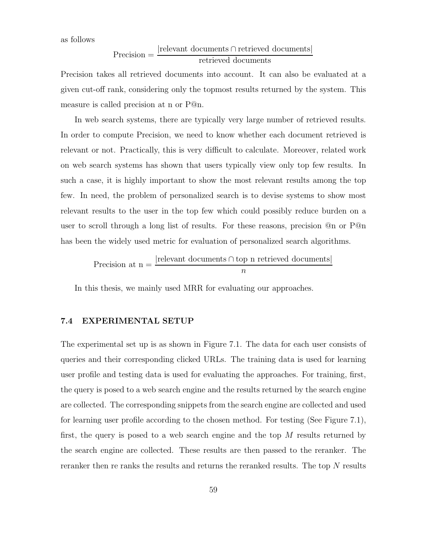as follows

$$
Precision = \frac{|relevant\ documents \cap retrieved\ documents|}{retrieved\ documents}
$$

Precision takes all retrieved documents into account. It can also be evaluated at a given cut-off rank, considering only the topmost results returned by the system. This measure is called precision at n or P@n.

In web search systems, there are typically very large number of retrieved results. In order to compute Precision, we need to know whether each document retrieved is relevant or not. Practically, this is very difficult to calculate. Moreover, related work on web search systems has shown that users typically view only top few results. In such a case, it is highly important to show the most relevant results among the top few. In need, the problem of personalized search is to devise systems to show most relevant results to the user in the top few which could possibly reduce burden on a user to scroll through a long list of results. For these reasons, precision @n or P@n has been the widely used metric for evaluation of personalized search algorithms.

Precision at 
$$
n = \frac{|\text{relevant documents} \cap \text{top n retrieved documents}|}{n}
$$

In this thesis, we mainly used MRR for evaluating our approaches.

## 7.4 EXPERIMENTAL SETUP

The experimental set up is as shown in Figure 7.1. The data for each user consists of queries and their corresponding clicked URLs. The training data is used for learning user profile and testing data is used for evaluating the approaches. For training, first, the query is posed to a web search engine and the results returned by the search engine are collected. The corresponding snippets from the search engine are collected and used for learning user profile according to the chosen method. For testing (See Figure 7.1), first, the query is posed to a web search engine and the top  $M$  results returned by the search engine are collected. These results are then passed to the reranker. The reranker then re ranks the results and returns the reranked results. The top N results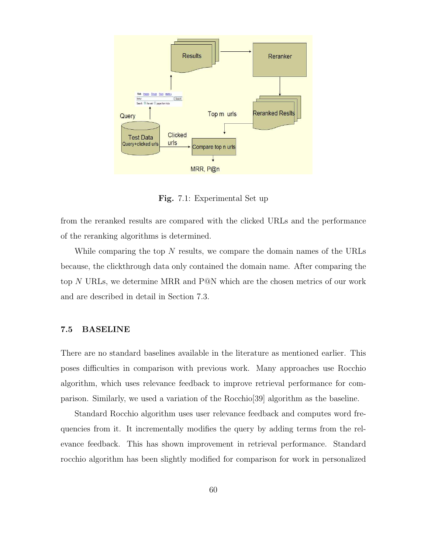

Fig. 7.1: Experimental Set up

from the reranked results are compared with the clicked URLs and the performance of the reranking algorithms is determined.

While comparing the top  $N$  results, we compare the domain names of the URLs because, the clickthrough data only contained the domain name. After comparing the top N URLs, we determine MRR and P@N which are the chosen metrics of our work and are described in detail in Section 7.3.

#### 7.5 BASELINE

There are no standard baselines available in the literature as mentioned earlier. This poses difficulties in comparison with previous work. Many approaches use Rocchio algorithm, which uses relevance feedback to improve retrieval performance for comparison. Similarly, we used a variation of the Rocchio[39] algorithm as the baseline.

Standard Rocchio algorithm uses user relevance feedback and computes word frequencies from it. It incrementally modifies the query by adding terms from the relevance feedback. This has shown improvement in retrieval performance. Standard rocchio algorithm has been slightly modified for comparison for work in personalized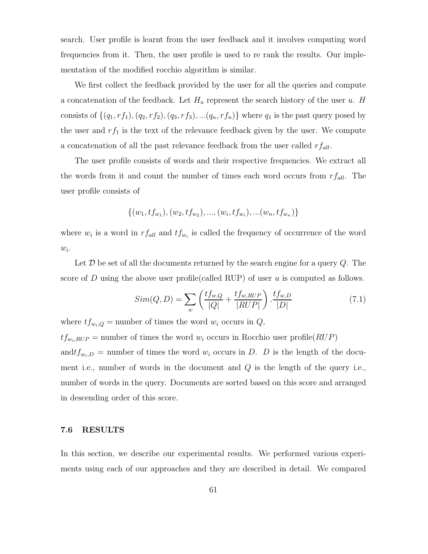search. User profile is learnt from the user feedback and it involves computing word frequencies from it. Then, the user profile is used to re rank the results. Our implementation of the modified rocchio algorithm is similar.

We first collect the feedback provided by the user for all the queries and compute a concatenation of the feedback. Let  $H_u$  represent the search history of the user u. H consists of  $\{(q_1, rf_1), (q_2, rf_2), (q_3, rf_3), ... (q_n, rf_n)\}\$  where  $q_1$  is the past query posed by the user and  $rf_1$  is the text of the relevance feedback given by the user. We compute a concatenation of all the past relevance feedback from the user called  $rf_{all}$ .

The user profile consists of words and their respective frequencies. We extract all the words from it and count the number of times each word occurs from  $rf_{all}$ . The user profile consists of

$$
\{(w_1, tf_{w_1}), (w_2, tf_{w_2}), ..., (w_i, tf_{w_i}), ... (w_n, tf_{w_n})\}
$$

where  $w_i$  is a word in  $rf_{all}$  and  $tf_{w_i}$  is called the frequency of occurrence of the word  $w_i$ .

Let  $\mathcal D$  be set of all the documents returned by the search engine for a query  $Q$ . The score of D using the above user profile (called RUP) of user u is computed as follows.

$$
Sim(Q, D) = \sum_{w} \left( \frac{tf_{w,Q}}{|Q|} + \frac{tf_{w,RUP}}{|RUP|} \right) \cdot \frac{tf_{w,D}}{|D|}
$$
(7.1)

where  $tf_{w_i,Q}$  = number of times the word  $w_i$  occurs in  $Q$ ,

 $tf_{w_i, RUP}$  = number of times the word  $w_i$  occurs in Rocchio user profile( $RUP$ )

and  $tf_{w_i,D}$  = number of times the word  $w_i$  occurs in D. D is the length of the document i.e., number of words in the document and  $Q$  is the length of the query i.e., number of words in the query. Documents are sorted based on this score and arranged in descending order of this score.

### 7.6 RESULTS

In this section, we describe our experimental results. We performed various experiments using each of our approaches and they are described in detail. We compared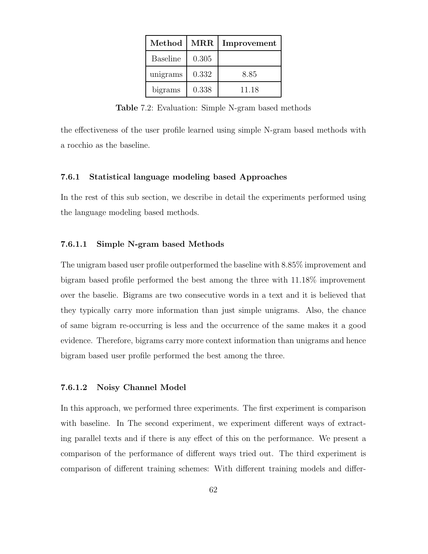| Method<br>$\operatorname{MRR}$ |       | Improvement |  |
|--------------------------------|-------|-------------|--|
| <b>Baseline</b>                | 0.305 |             |  |
| unigrams                       | 0.332 | 8.85        |  |
| bigrams                        | 0.338 | 11.18       |  |

Table 7.2: Evaluation: Simple N-gram based methods

the effectiveness of the user profile learned using simple N-gram based methods with a rocchio as the baseline.

### 7.6.1 Statistical language modeling based Approaches

In the rest of this sub section, we describe in detail the experiments performed using the language modeling based methods.

### 7.6.1.1 Simple N-gram based Methods

The unigram based user profile outperformed the baseline with 8.85% improvement and bigram based profile performed the best among the three with 11.18% improvement over the baselie. Bigrams are two consecutive words in a text and it is believed that they typically carry more information than just simple unigrams. Also, the chance of same bigram re-occurring is less and the occurrence of the same makes it a good evidence. Therefore, bigrams carry more context information than unigrams and hence bigram based user profile performed the best among the three.

### 7.6.1.2 Noisy Channel Model

In this approach, we performed three experiments. The first experiment is comparison with baseline. In The second experiment, we experiment different ways of extracting parallel texts and if there is any effect of this on the performance. We present a comparison of the performance of different ways tried out. The third experiment is comparison of different training schemes: With different training models and differ-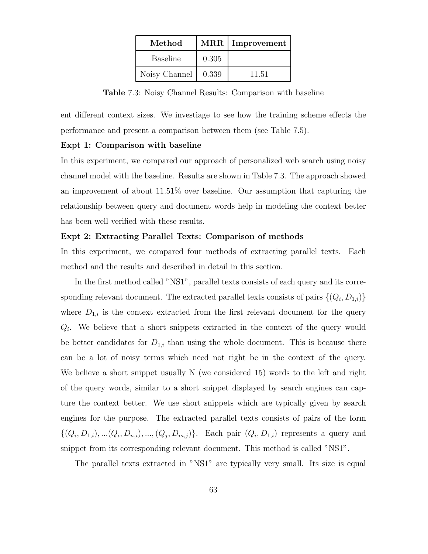| Method          | $\operatorname{MRR}$ | Improvement |
|-----------------|----------------------|-------------|
| <b>Baseline</b> | 0.305                |             |
| Noisy Channel   | 0.339                | 11.51       |

Table 7.3: Noisy Channel Results: Comparison with baseline

ent different context sizes. We investiage to see how the training scheme effects the performance and present a comparison between them (see Table 7.5).

### Expt 1: Comparison with baseline

In this experiment, we compared our approach of personalized web search using noisy channel model with the baseline. Results are shown in Table 7.3. The approach showed an improvement of about 11.51% over baseline. Our assumption that capturing the relationship between query and document words help in modeling the context better has been well verified with these results.

### Expt 2: Extracting Parallel Texts: Comparison of methods

In this experiment, we compared four methods of extracting parallel texts. Each method and the results and described in detail in this section.

In the first method called "NS1", parallel texts consists of each query and its corresponding relevant document. The extracted parallel texts consists of pairs  $\{(Q_i, D_{1,i})\}$ where  $D_{1,i}$  is the context extracted from the first relevant document for the query  $Q_i$ . We believe that a short snippets extracted in the context of the query would be better candidates for  $D_{1,i}$  than using the whole document. This is because there can be a lot of noisy terms which need not right be in the context of the query. We believe a short snippet usually N (we considered 15) words to the left and right of the query words, similar to a short snippet displayed by search engines can capture the context better. We use short snippets which are typically given by search engines for the purpose. The extracted parallel texts consists of pairs of the form  $\{(Q_i, D_{1,i}),...,(Q_i, D_{n,i}),...,(Q_j, D_{m,j})\}$ . Each pair  $(Q_i, D_{1,i})$  represents a query and snippet from its corresponding relevant document. This method is called "NS1".

The parallel texts extracted in "NS1" are typically very small. Its size is equal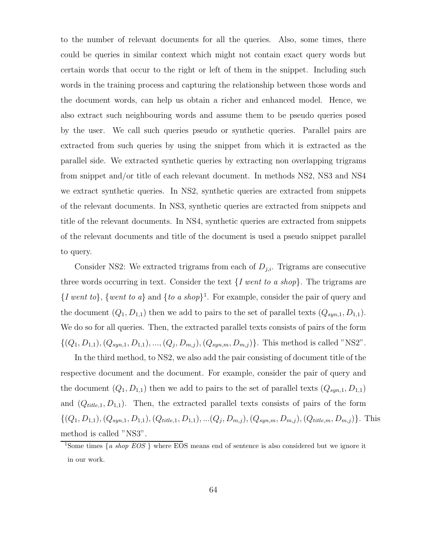to the number of relevant documents for all the queries. Also, some times, there could be queries in similar context which might not contain exact query words but certain words that occur to the right or left of them in the snippet. Including such words in the training process and capturing the relationship between those words and the document words, can help us obtain a richer and enhanced model. Hence, we also extract such neighbouring words and assume them to be pseudo queries posed by the user. We call such queries pseudo or synthetic queries. Parallel pairs are extracted from such queries by using the snippet from which it is extracted as the parallel side. We extracted synthetic queries by extracting non overlapping trigrams from snippet and/or title of each relevant document. In methods NS2, NS3 and NS4 we extract synthetic queries. In NS2, synthetic queries are extracted from snippets of the relevant documents. In NS3, synthetic queries are extracted from snippets and title of the relevant documents. In NS4, synthetic queries are extracted from snippets of the relevant documents and title of the document is used a pseudo snippet parallel to query.

Consider NS2: We extracted trigrams from each of  $D_{j,i}$ . Trigrams are consecutive three words occurring in text. Consider the text  $\{I \text{ went to a shop}\}\.$  The trigrams are  $\{I \text{ went to } I\}$ ,  $\{ \text{went to } a \}$  and  $\{ \text{to } a \text{ shop} \}$ <sup>1</sup>. For example, consider the pair of query and the document  $(Q_1, D_{1,1})$  then we add to pairs to the set of parallel texts  $(Q_{syn,1}, D_{1,1})$ . We do so for all queries. Then, the extracted parallel texts consists of pairs of the form  $\{(Q_1, D_{1,1}), (Q_{syn,1}, D_{1,1}), ..., (Q_j, D_{m,j}), (Q_{syn,m}, D_{m,j})\}.$  This method is called "NS2".

In the third method, to NS2, we also add the pair consisting of document title of the respective document and the document. For example, consider the pair of query and the document  $(Q_1, D_{1,1})$  then we add to pairs to the set of parallel texts  $(Q_{syn,1}, D_{1,1})$ and  $(Q_{title,1}, D_{1,1})$ . Then, the extracted parallel texts consists of pairs of the form  $\{(Q_1, D_{1,1}), (Q_{syn,1}, D_{1,1}), (Q_{title,1}, D_{1,1}), ... (Q_j, D_{m,j}), (Q_{syn,m}, D_{m,j}), (Q_{title,m}, D_{m,j})\}.$  This method is called "NS3".

<sup>&</sup>lt;sup>1</sup>Some times  $\{a \text{ shop EOS}\}$  where EOS means end of sentence is also considered but we ignore it in our work.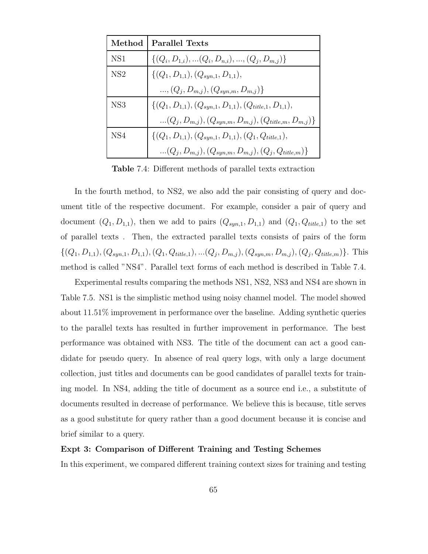| Method          | <b>Parallel Texts</b>                                             |
|-----------------|-------------------------------------------------------------------|
| NS <sub>1</sub> | $\{(Q_i, D_{1,i}), (Q_i, D_{n,i}),,(Q_i, D_{m,i})\}\$             |
| NS <sub>2</sub> | $\{(Q_1, D_{1,1}), (Q_{syn,1}, D_{1,1}),\}$                       |
|                 | , $(Q_i, D_{m,j}), (Q_{sym,m}, D_{m,j})\}$                        |
| NS <sub>3</sub> | $\{(Q_1, D_{1,1}), (Q_{sun,1}, D_{1,1}), (Q_{title,1}, D_{1,1}),$ |
|                 | $(Q_i, D_{m,j}), (Q_{syn,m}, D_{m,j}), (Q_{title,m}, D_{m,j})\}$  |
| NS <sub>4</sub> | $\{(Q_1, D_{1,1}), (Q_{syn,1}, D_{1,1}), (Q_1, Q_{title,1}),$     |
|                 | $(Q_i, D_{m,j}), (Q_{sym,m}, D_{m,j}), (Q_j, Q_{title,m})\}$      |

Table 7.4: Different methods of parallel texts extraction

In the fourth method, to NS2, we also add the pair consisting of query and document title of the respective document. For example, consider a pair of query and document  $(Q_1, D_{1,1})$ , then we add to pairs  $(Q_{syn,1}, D_{1,1})$  and  $(Q_1, Q_{title,1})$  to the set of parallel texts . Then, the extracted parallel texts consists of pairs of the form  $\{(Q_1, D_{1,1}), (Q_{syn,1}, D_{1,1}), (Q_1, Q_{title,1}), ... (Q_j, D_{m,j}), (Q_{syn,m}, D_{m,j}), (Q_j, Q_{title,m})\}.$  This method is called "NS4". Parallel text forms of each method is described in Table 7.4.

Experimental results comparing the methods NS1, NS2, NS3 and NS4 are shown in Table 7.5. NS1 is the simplistic method using noisy channel model. The model showed about 11.51% improvement in performance over the baseline. Adding synthetic queries to the parallel texts has resulted in further improvement in performance. The best performance was obtained with NS3. The title of the document can act a good candidate for pseudo query. In absence of real query logs, with only a large document collection, just titles and documents can be good candidates of parallel texts for training model. In NS4, adding the title of document as a source end i.e., a substitute of documents resulted in decrease of performance. We believe this is because, title serves as a good substitute for query rather than a good document because it is concise and brief similar to a query.

### Expt 3: Comparison of Different Training and Testing Schemes

In this experiment, we compared different training context sizes for training and testing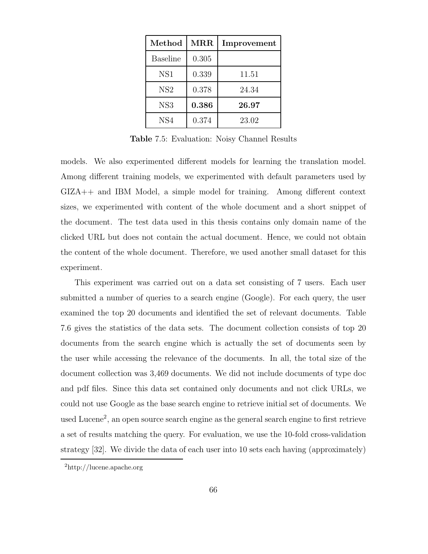| Method          | $\operatorname{MRR}$ | Improvement |  |
|-----------------|----------------------|-------------|--|
| Baseline        | 0.305                |             |  |
| NS <sub>1</sub> | 0.339                | 11.51       |  |
| NS <sub>2</sub> | 0.378                | 24.34       |  |
| NS <sub>3</sub> | 0.386                | 26.97       |  |
| NS4             | 0.374                | 23.02       |  |

Table 7.5: Evaluation: Noisy Channel Results

models. We also experimented different models for learning the translation model. Among different training models, we experimented with default parameters used by GIZA++ and IBM Model, a simple model for training. Among different context sizes, we experimented with content of the whole document and a short snippet of the document. The test data used in this thesis contains only domain name of the clicked URL but does not contain the actual document. Hence, we could not obtain the content of the whole document. Therefore, we used another small dataset for this experiment.

This experiment was carried out on a data set consisting of 7 users. Each user submitted a number of queries to a search engine (Google). For each query, the user examined the top 20 documents and identified the set of relevant documents. Table 7.6 gives the statistics of the data sets. The document collection consists of top 20 documents from the search engine which is actually the set of documents seen by the user while accessing the relevance of the documents. In all, the total size of the document collection was 3,469 documents. We did not include documents of type doc and pdf files. Since this data set contained only documents and not click URLs, we could not use Google as the base search engine to retrieve initial set of documents. We used Lucene<sup>2</sup>, an open source search engine as the general search engine to first retrieve a set of results matching the query. For evaluation, we use the 10-fold cross-validation strategy [32]. We divide the data of each user into 10 sets each having (approximately)

<sup>2</sup>http://lucene.apache.org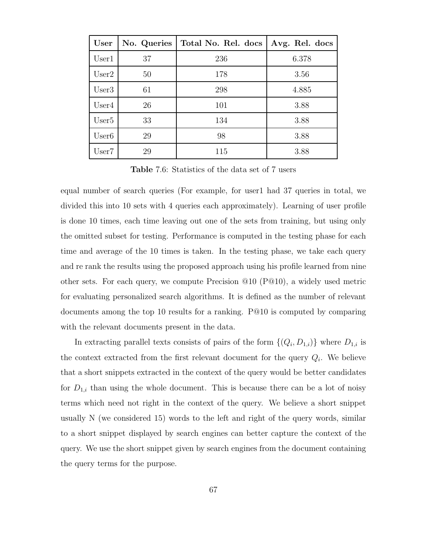| User              | No. Queries | Total No. Rel. docs | Avg. Rel. docs |
|-------------------|-------------|---------------------|----------------|
| User1             | 37          | 236                 | 6.378          |
| User2             | 50          | 178                 | 3.56           |
| User3             | 61          | 298                 | 4.885          |
| User4             | 26          | 101                 | 3.88           |
| User <sub>5</sub> | 33          | 134                 | 3.88           |
| User <sub>6</sub> | 29          | 98                  | 3.88           |
| User7             | 29          | 115                 | 3.88           |

Table 7.6: Statistics of the data set of 7 users

equal number of search queries (For example, for user1 had 37 queries in total, we divided this into 10 sets with 4 queries each approximately). Learning of user profile is done 10 times, each time leaving out one of the sets from training, but using only the omitted subset for testing. Performance is computed in the testing phase for each time and average of the 10 times is taken. In the testing phase, we take each query and re rank the results using the proposed approach using his profile learned from nine other sets. For each query, we compute Precision @10 (P@10), a widely used metric for evaluating personalized search algorithms. It is defined as the number of relevant documents among the top 10 results for a ranking. P@10 is computed by comparing with the relevant documents present in the data.

In extracting parallel texts consists of pairs of the form  $\{(Q_i, D_{1,i})\}$  where  $D_{1,i}$  is the context extracted from the first relevant document for the query  $Q_i$ . We believe that a short snippets extracted in the context of the query would be better candidates for  $D_{1,i}$  than using the whole document. This is because there can be a lot of noisy terms which need not right in the context of the query. We believe a short snippet usually N (we considered 15) words to the left and right of the query words, similar to a short snippet displayed by search engines can better capture the context of the query. We use the short snippet given by search engines from the document containing the query terms for the purpose.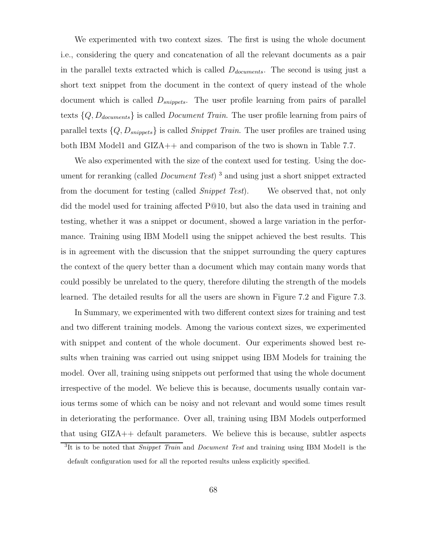We experimented with two context sizes. The first is using the whole document i.e., considering the query and concatenation of all the relevant documents as a pair in the parallel texts extracted which is called  $D_{documents}$ . The second is using just a short text snippet from the document in the context of query instead of the whole document which is called  $D_{\text{snipnets}}$ . The user profile learning from pairs of parallel texts  $\{Q, D_{documents}\}$  is called *Document Train*. The user profile learning from pairs of parallel texts  $\{Q, D_{snippets}\}\$ is called *Snippet Train*. The user profiles are trained using both IBM Model1 and GIZA++ and comparison of the two is shown in Table 7.7.

We also experimented with the size of the context used for testing. Using the document for reranking (called *Document Test*)<sup>3</sup> and using just a short snippet extracted from the document for testing (called Snippet Test). We observed that, not only did the model used for training affected P@10, but also the data used in training and testing, whether it was a snippet or document, showed a large variation in the performance. Training using IBM Model1 using the snippet achieved the best results. This is in agreement with the discussion that the snippet surrounding the query captures the context of the query better than a document which may contain many words that could possibly be unrelated to the query, therefore diluting the strength of the models learned. The detailed results for all the users are shown in Figure 7.2 and Figure 7.3.

In Summary, we experimented with two different context sizes for training and test and two different training models. Among the various context sizes, we experimented with snippet and content of the whole document. Our experiments showed best results when training was carried out using snippet using IBM Models for training the model. Over all, training using snippets out performed that using the whole document irrespective of the model. We believe this is because, documents usually contain various terms some of which can be noisy and not relevant and would some times result in deteriorating the performance. Over all, training using IBM Models outperformed that using GIZA++ default parameters. We believe this is because, subtler aspects

<sup>&</sup>lt;sup>3</sup>It is to be noted that *Snippet Train* and *Document Test* and training using IBM Model1 is the default configuration used for all the reported results unless explicitly specified.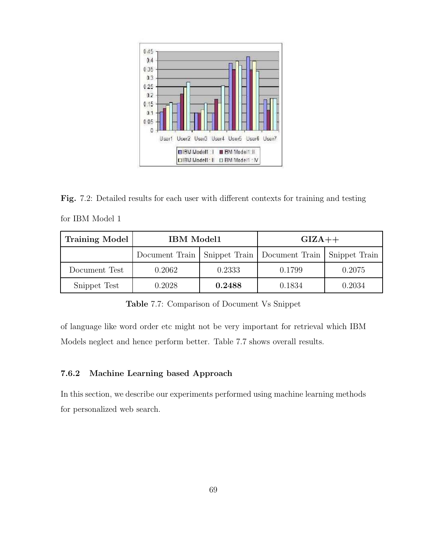

Fig. 7.2: Detailed results for each user with different contexts for training and testing for IBM Model 1

| <b>Training Model</b> | <b>IBM</b> Model1 |                                                                 | $GIZA++$ |        |  |
|-----------------------|-------------------|-----------------------------------------------------------------|----------|--------|--|
|                       |                   | Document Train   Snippet Train   Document Train   Snippet Train |          |        |  |
| Document Test         | 0.2062            | 0.2333                                                          | 0.1799   | 0.2075 |  |
| Snippet Test          | 0.2028            | 0.2488                                                          | 0.1834   | 0.2034 |  |

Table 7.7: Comparison of Document Vs Snippet

of language like word order etc might not be very important for retrieval which IBM Models neglect and hence perform better. Table 7.7 shows overall results.

# 7.6.2 Machine Learning based Approach

In this section, we describe our experiments performed using machine learning methods for personalized web search.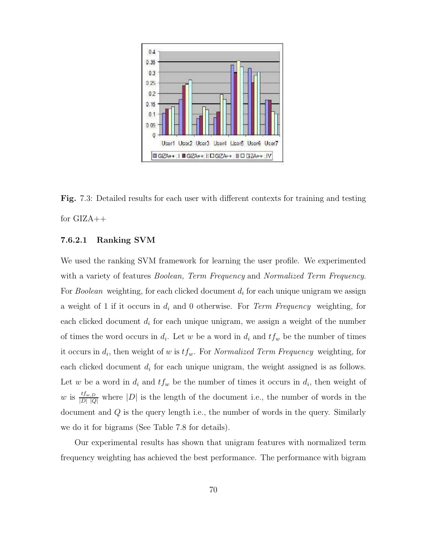

Fig. 7.3: Detailed results for each user with different contexts for training and testing for GIZA++

## 7.6.2.1 Ranking SVM

We used the ranking SVM framework for learning the user profile. We experimented with a variety of features *Boolean, Term Frequency* and *Normalized Term Frequency*. For *Boolean* weighting, for each clicked document  $d_i$  for each unique unigram we assign a weight of 1 if it occurs in  $d_i$  and 0 otherwise. For *Term Frequency* weighting, for each clicked document  $d_i$  for each unique unigram, we assign a weight of the number of times the word occurs in  $d_i$ . Let w be a word in  $d_i$  and  $tf_w$  be the number of times it occurs in  $d_i$ , then weight of w is  $tf_w$ . For Normalized Term Frequency weighting, for each clicked document  $d_i$  for each unique unigram, the weight assigned is as follows. Let w be a word in  $d_i$  and  $tf_w$  be the number of times it occurs in  $d_i$ , then weight of w is  $\frac{tf_{w,D}}{|D||Q|}$  where  $|D|$  is the length of the document i.e., the number of words in the document and Q is the query length i.e., the number of words in the query. Similarly we do it for bigrams (See Table 7.8 for details).

Our experimental results has shown that unigram features with normalized term frequency weighting has achieved the best performance. The performance with bigram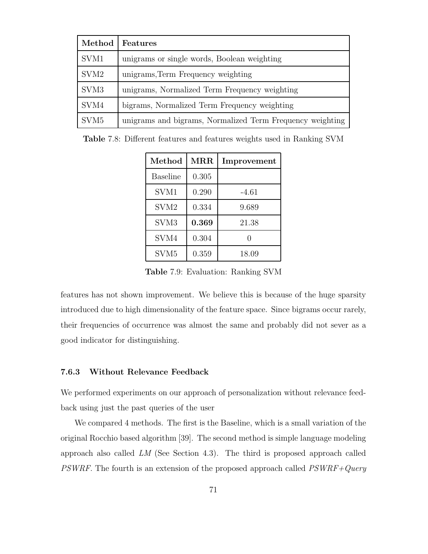| Method           | Features                                                  |
|------------------|-----------------------------------------------------------|
| SVM1             | unigrams or single words, Boolean weighting               |
| SVM <sub>2</sub> | unigrams, Term Frequency weighting                        |
| SVM <sub>3</sub> | unigrams, Normalized Term Frequency weighting             |
| SVM4             | bigrams, Normalized Term Frequency weighting              |
| SVM <sub>5</sub> | unigrams and bigrams, Normalized Term Frequency weighting |

Table 7.8: Different features and features weights used in Ranking SVM

| Method           | $\operatorname{MRR}$ | Improvement |
|------------------|----------------------|-------------|
| Baseline         | 0.305                |             |
| SVM1             | 0.290                | -4.61       |
| SVM <sub>2</sub> | 0.334                | 9.689       |
| SVM <sub>3</sub> | 0.369                | 21.38       |
| SVM4             | 0.304                |             |
| SVM <sub>5</sub> | 0.359                | 18.09       |

Table 7.9: Evaluation: Ranking SVM

features has not shown improvement. We believe this is because of the huge sparsity introduced due to high dimensionality of the feature space. Since bigrams occur rarely, their frequencies of occurrence was almost the same and probably did not sever as a good indicator for distinguishing.

#### 7.6.3 Without Relevance Feedback

We performed experiments on our approach of personalization without relevance feedback using just the past queries of the user

We compared 4 methods. The first is the Baseline, which is a small variation of the original Rocchio based algorithm [39]. The second method is simple language modeling approach also called LM (See Section 4.3). The third is proposed approach called PSWRF. The fourth is an extension of the proposed approach called  $PSWRF+Query$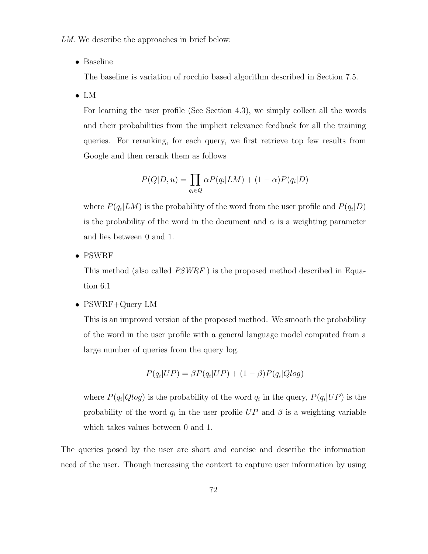LM. We describe the approaches in brief below:

• Baseline

The baseline is variation of rocchio based algorithm described in Section 7.5.

• LM

For learning the user profile (See Section 4.3), we simply collect all the words and their probabilities from the implicit relevance feedback for all the training queries. For reranking, for each query, we first retrieve top few results from Google and then rerank them as follows

$$
P(Q|D, u) = \prod_{q_i \in Q} \alpha P(q_i|LM) + (1 - \alpha)P(q_i|D)
$$

where  $P(q_i|LM)$  is the probability of the word from the user profile and  $P(q_i|D)$ is the probability of the word in the document and  $\alpha$  is a weighting parameter and lies between 0 and 1.

• PSWRF

This method (also called PSWRF ) is the proposed method described in Equation 6.1

• PSWRF+Query LM

This is an improved version of the proposed method. We smooth the probability of the word in the user profile with a general language model computed from a large number of queries from the query log.

$$
P(q_i|UP) = \beta P(q_i|UP) + (1-\beta)P(q_i|Qlog)
$$

where  $P(q_i|Qlog)$  is the probability of the word  $q_i$  in the query,  $P(q_i|UP)$  is the probability of the word  $q_i$  in the user profile  $UP$  and  $\beta$  is a weighting variable which takes values between 0 and 1.

The queries posed by the user are short and concise and describe the information need of the user. Though increasing the context to capture user information by using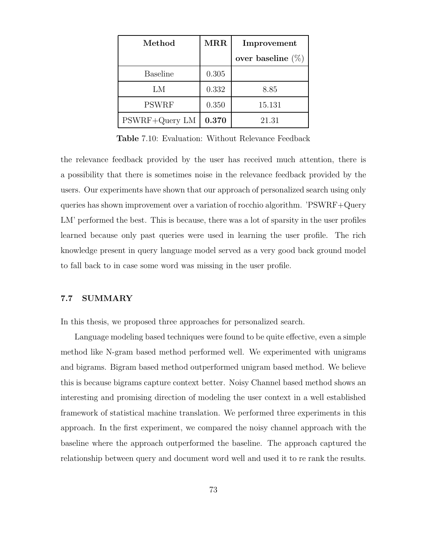| Method          | $\operatorname{MRR}$ | Improvement          |  |  |
|-----------------|----------------------|----------------------|--|--|
|                 |                      | over baseline $(\%)$ |  |  |
| <b>Baseline</b> | 0.305                |                      |  |  |
| LМ              | 0.332                | 8.85                 |  |  |
| <b>PSWRF</b>    | 0.350                | 15.131               |  |  |
| PSWRF+Query LM  | 0.370                | 21.31                |  |  |

Table 7.10: Evaluation: Without Relevance Feedback

the relevance feedback provided by the user has received much attention, there is a possibility that there is sometimes noise in the relevance feedback provided by the users. Our experiments have shown that our approach of personalized search using only queries has shown improvement over a variation of rocchio algorithm. 'PSWRF+Query LM' performed the best. This is because, there was a lot of sparsity in the user profiles learned because only past queries were used in learning the user profile. The rich knowledge present in query language model served as a very good back ground model to fall back to in case some word was missing in the user profile.

### 7.7 SUMMARY

In this thesis, we proposed three approaches for personalized search.

Language modeling based techniques were found to be quite effective, even a simple method like N-gram based method performed well. We experimented with unigrams and bigrams. Bigram based method outperformed unigram based method. We believe this is because bigrams capture context better. Noisy Channel based method shows an interesting and promising direction of modeling the user context in a well established framework of statistical machine translation. We performed three experiments in this approach. In the first experiment, we compared the noisy channel approach with the baseline where the approach outperformed the baseline. The approach captured the relationship between query and document word well and used it to re rank the results.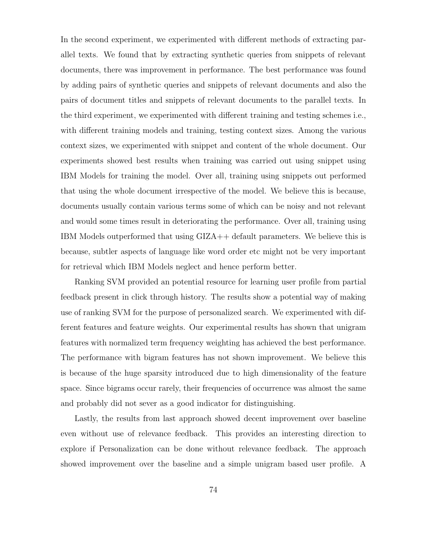In the second experiment, we experimented with different methods of extracting parallel texts. We found that by extracting synthetic queries from snippets of relevant documents, there was improvement in performance. The best performance was found by adding pairs of synthetic queries and snippets of relevant documents and also the pairs of document titles and snippets of relevant documents to the parallel texts. In the third experiment, we experimented with different training and testing schemes i.e., with different training models and training, testing context sizes. Among the various context sizes, we experimented with snippet and content of the whole document. Our experiments showed best results when training was carried out using snippet using IBM Models for training the model. Over all, training using snippets out performed that using the whole document irrespective of the model. We believe this is because, documents usually contain various terms some of which can be noisy and not relevant and would some times result in deteriorating the performance. Over all, training using IBM Models outperformed that using GIZA++ default parameters. We believe this is because, subtler aspects of language like word order etc might not be very important for retrieval which IBM Models neglect and hence perform better.

Ranking SVM provided an potential resource for learning user profile from partial feedback present in click through history. The results show a potential way of making use of ranking SVM for the purpose of personalized search. We experimented with different features and feature weights. Our experimental results has shown that unigram features with normalized term frequency weighting has achieved the best performance. The performance with bigram features has not shown improvement. We believe this is because of the huge sparsity introduced due to high dimensionality of the feature space. Since bigrams occur rarely, their frequencies of occurrence was almost the same and probably did not sever as a good indicator for distinguishing.

Lastly, the results from last approach showed decent improvement over baseline even without use of relevance feedback. This provides an interesting direction to explore if Personalization can be done without relevance feedback. The approach showed improvement over the baseline and a simple unigram based user profile. A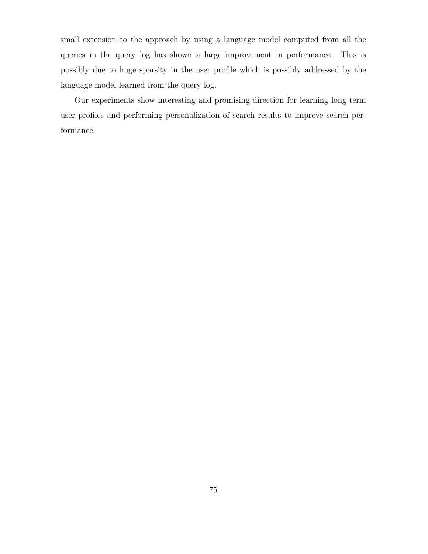small extension to the approach by using a language model computed from all the queries in the query log has shown a large improvement in performance. This is possibly due to huge sparsity in the user profile which is possibly addressed by the language model learned from the query log.

Our experiments show interesting and promising direction for learning long term user profiles and performing personalization of search results to improve search performance.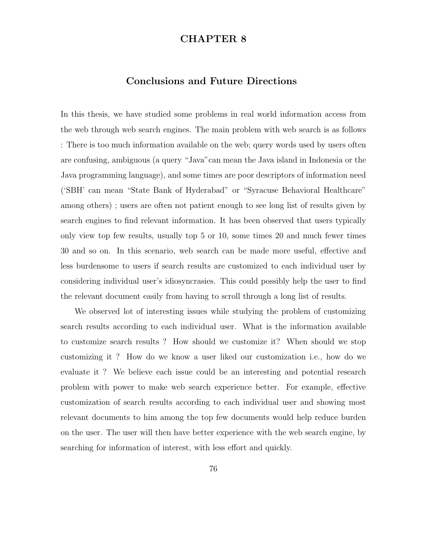# CHAPTER 8

# Conclusions and Future Directions

In this thesis, we have studied some problems in real world information access from the web through web search engines. The main problem with web search is as follows : There is too much information available on the web; query words used by users often are confusing, ambiguous (a query "Java"can mean the Java island in Indonesia or the Java programming language), and some times are poor descriptors of information need ('SBH' can mean "State Bank of Hyderabad" or "Syracuse Behavioral Healthcare" among others) ; users are often not patient enough to see long list of results given by search engines to find relevant information. It has been observed that users typically only view top few results, usually top 5 or 10, some times 20 and much fewer times 30 and so on. In this scenario, web search can be made more useful, effective and less burdensome to users if search results are customized to each individual user by considering individual user's idiosyncrasies. This could possibly help the user to find the relevant document easily from having to scroll through a long list of results.

We observed lot of interesting issues while studying the problem of customizing search results according to each individual user. What is the information available to customize search results ? How should we customize it? When should we stop customizing it ? How do we know a user liked our customization i.e., how do we evaluate it ? We believe each issue could be an interesting and potential research problem with power to make web search experience better. For example, effective customization of search results according to each individual user and showing most relevant documents to him among the top few documents would help reduce burden on the user. The user will then have better experience with the web search engine, by searching for information of interest, with less effort and quickly.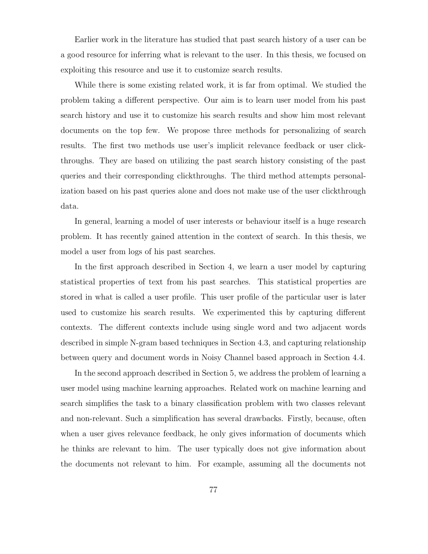Earlier work in the literature has studied that past search history of a user can be a good resource for inferring what is relevant to the user. In this thesis, we focused on exploiting this resource and use it to customize search results.

While there is some existing related work, it is far from optimal. We studied the problem taking a different perspective. Our aim is to learn user model from his past search history and use it to customize his search results and show him most relevant documents on the top few. We propose three methods for personalizing of search results. The first two methods use user's implicit relevance feedback or user clickthroughs. They are based on utilizing the past search history consisting of the past queries and their corresponding clickthroughs. The third method attempts personalization based on his past queries alone and does not make use of the user clickthrough data.

In general, learning a model of user interests or behaviour itself is a huge research problem. It has recently gained attention in the context of search. In this thesis, we model a user from logs of his past searches.

In the first approach described in Section 4, we learn a user model by capturing statistical properties of text from his past searches. This statistical properties are stored in what is called a user profile. This user profile of the particular user is later used to customize his search results. We experimented this by capturing different contexts. The different contexts include using single word and two adjacent words described in simple N-gram based techniques in Section 4.3, and capturing relationship between query and document words in Noisy Channel based approach in Section 4.4.

In the second approach described in Section 5, we address the problem of learning a user model using machine learning approaches. Related work on machine learning and search simplifies the task to a binary classification problem with two classes relevant and non-relevant. Such a simplification has several drawbacks. Firstly, because, often when a user gives relevance feedback, he only gives information of documents which he thinks are relevant to him. The user typically does not give information about the documents not relevant to him. For example, assuming all the documents not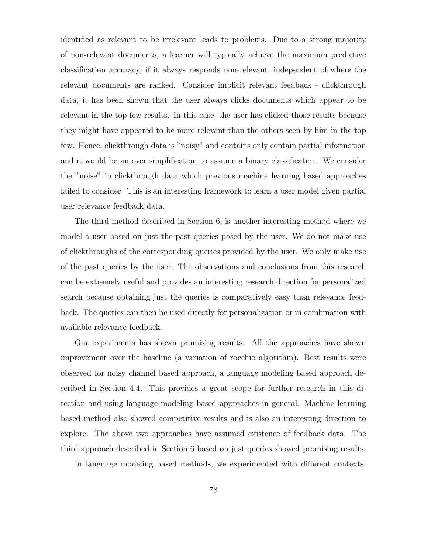identified as relevant to be irrelevant leads to problems. Due to a strong majority of non-relevant documents, a learner will typically achieve the maximum predictive classification accuracy, if it always responds non-relevant, independent of where the relevant documents are ranked. Consider implicit relevant feedback - clickthrough data, it has been shown that the user always clicks documents which appear to be relevant in the top few results. In this case, the user has clicked those results because they might have appeared to be more relevant than the others seen by him in the top few. Hence, clickthrough data is "noisy" and contains only contain partial information and it would be an over simplification to assume a binary classification. We consider the "noise" in clickthrough data which previous machine learning based approaches failed to consider. This is an interesting framework to learn a user model given partial user relevance feedback data.

The third method described in Section 6, is another interesting method where we model a user based on just the past queries posed by the user. We do not make use of clickthroughs of the corresponding queries provided by the user. We only make use of the past queries by the user. The observations and conclusions from this research can be extremely useful and provides an interesting research direction for personalized search because obtaining just the queries is comparatively easy than relevance feedback. The queries can then be used directly for personalization or in combination with available relevance feedback.

Our experiments has shown promising results. All the approaches have shown improvement over the baseline (a variation of rocchio algorithm). Best results were observed for noisy channel based approach, a language modeling based approach described in Section 4.4. This provides a great scope for further research in this direction and using language modeling based approaches in general. Machine learning based method also showed competitive results and is also an interesting direction to explore. The above two approaches have assumed existence of feedback data. The third approach described in Section 6 based on just queries showed promising results.

In language modeling based methods, we experimented with different contexts.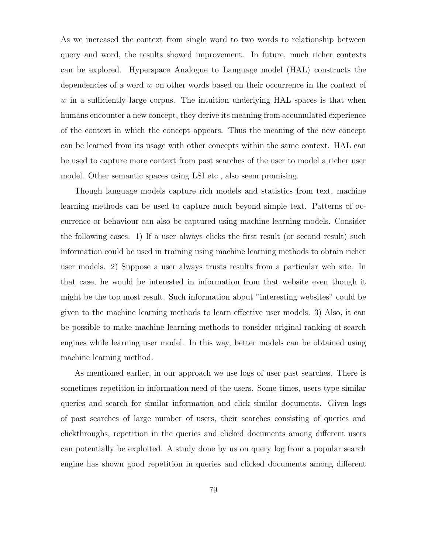As we increased the context from single word to two words to relationship between query and word, the results showed improvement. In future, much richer contexts can be explored. Hyperspace Analogue to Language model (HAL) constructs the dependencies of a word  $w$  on other words based on their occurrence in the context of  $w$  in a sufficiently large corpus. The intuition underlying HAL spaces is that when humans encounter a new concept, they derive its meaning from accumulated experience of the context in which the concept appears. Thus the meaning of the new concept can be learned from its usage with other concepts within the same context. HAL can be used to capture more context from past searches of the user to model a richer user model. Other semantic spaces using LSI etc., also seem promising.

Though language models capture rich models and statistics from text, machine learning methods can be used to capture much beyond simple text. Patterns of occurrence or behaviour can also be captured using machine learning models. Consider the following cases. 1) If a user always clicks the first result (or second result) such information could be used in training using machine learning methods to obtain richer user models. 2) Suppose a user always trusts results from a particular web site. In that case, he would be interested in information from that website even though it might be the top most result. Such information about "interesting websites" could be given to the machine learning methods to learn effective user models. 3) Also, it can be possible to make machine learning methods to consider original ranking of search engines while learning user model. In this way, better models can be obtained using machine learning method.

As mentioned earlier, in our approach we use logs of user past searches. There is sometimes repetition in information need of the users. Some times, users type similar queries and search for similar information and click similar documents. Given logs of past searches of large number of users, their searches consisting of queries and clickthroughs, repetition in the queries and clicked documents among different users can potentially be exploited. A study done by us on query log from a popular search engine has shown good repetition in queries and clicked documents among different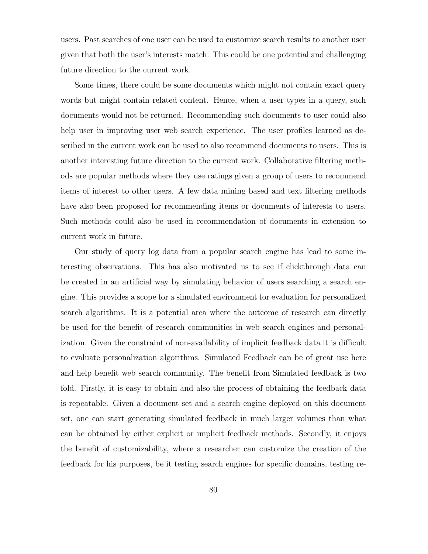users. Past searches of one user can be used to customize search results to another user given that both the user's interests match. This could be one potential and challenging future direction to the current work.

Some times, there could be some documents which might not contain exact query words but might contain related content. Hence, when a user types in a query, such documents would not be returned. Recommending such documents to user could also help user in improving user web search experience. The user profiles learned as described in the current work can be used to also recommend documents to users. This is another interesting future direction to the current work. Collaborative filtering methods are popular methods where they use ratings given a group of users to recommend items of interest to other users. A few data mining based and text filtering methods have also been proposed for recommending items or documents of interests to users. Such methods could also be used in recommendation of documents in extension to current work in future.

Our study of query log data from a popular search engine has lead to some interesting observations. This has also motivated us to see if clickthrough data can be created in an artificial way by simulating behavior of users searching a search engine. This provides a scope for a simulated environment for evaluation for personalized search algorithms. It is a potential area where the outcome of research can directly be used for the benefit of research communities in web search engines and personalization. Given the constraint of non-availability of implicit feedback data it is difficult to evaluate personalization algorithms. Simulated Feedback can be of great use here and help benefit web search community. The benefit from Simulated feedback is two fold. Firstly, it is easy to obtain and also the process of obtaining the feedback data is repeatable. Given a document set and a search engine deployed on this document set, one can start generating simulated feedback in much larger volumes than what can be obtained by either explicit or implicit feedback methods. Secondly, it enjoys the benefit of customizability, where a researcher can customize the creation of the feedback for his purposes, be it testing search engines for specific domains, testing re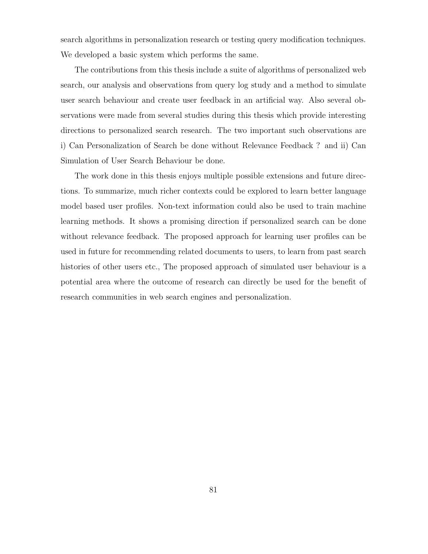search algorithms in personalization research or testing query modification techniques. We developed a basic system which performs the same.

The contributions from this thesis include a suite of algorithms of personalized web search, our analysis and observations from query log study and a method to simulate user search behaviour and create user feedback in an artificial way. Also several observations were made from several studies during this thesis which provide interesting directions to personalized search research. The two important such observations are i) Can Personalization of Search be done without Relevance Feedback ? and ii) Can Simulation of User Search Behaviour be done.

The work done in this thesis enjoys multiple possible extensions and future directions. To summarize, much richer contexts could be explored to learn better language model based user profiles. Non-text information could also be used to train machine learning methods. It shows a promising direction if personalized search can be done without relevance feedback. The proposed approach for learning user profiles can be used in future for recommending related documents to users, to learn from past search histories of other users etc., The proposed approach of simulated user behaviour is a potential area where the outcome of research can directly be used for the benefit of research communities in web search engines and personalization.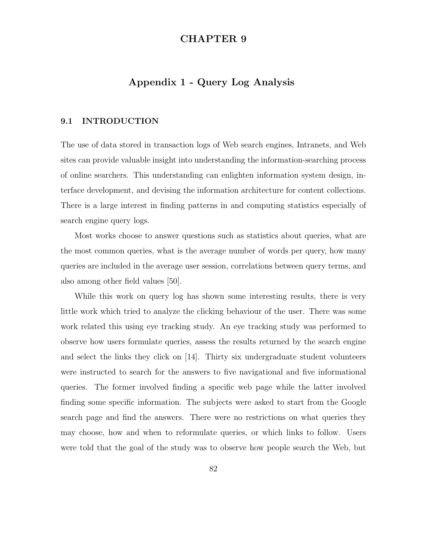# CHAPTER 9

# Appendix 1 - Query Log Analysis

### 9.1 INTRODUCTION

The use of data stored in transaction logs of Web search engines, Intranets, and Web sites can provide valuable insight into understanding the information-searching process of online searchers. This understanding can enlighten information system design, interface development, and devising the information architecture for content collections. There is a large interest in finding patterns in and computing statistics especially of search engine query logs.

Most works choose to answer questions such as statistics about queries, what are the most common queries, what is the average number of words per query, how many queries are included in the average user session, correlations between query terms, and also among other field values [50].

While this work on query log has shown some interesting results, there is very little work which tried to analyze the clicking behaviour of the user. There was some work related this using eye tracking study. An eye tracking study was performed to observe how users formulate queries, assess the results returned by the search engine and select the links they click on [14]. Thirty six undergraduate student volunteers were instructed to search for the answers to five navigational and five informational queries. The former involved finding a specific web page while the latter involved finding some specific information. The subjects were asked to start from the Google search page and find the answers. There were no restrictions on what queries they may choose, how and when to reformulate queries, or which links to follow. Users were told that the goal of the study was to observe how people search the Web, but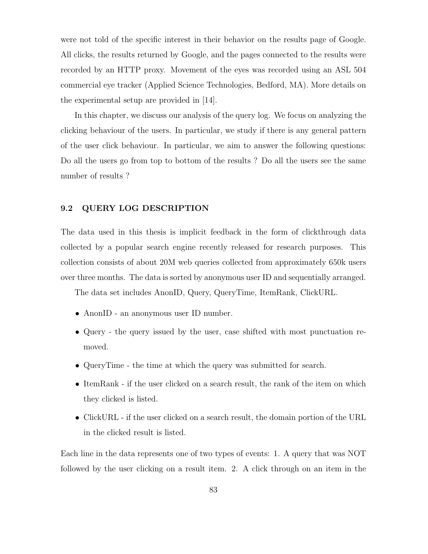were not told of the specific interest in their behavior on the results page of Google. All clicks, the results returned by Google, and the pages connected to the results were recorded by an HTTP proxy. Movement of the eyes was recorded using an ASL 504 commercial eye tracker (Applied Science Technologies, Bedford, MA). More details on the experimental setup are provided in [14].

In this chapter, we discuss our analysis of the query log. We focus on analyzing the clicking behaviour of the users. In particular, we study if there is any general pattern of the user click behaviour. In particular, we aim to answer the following questions: Do all the users go from top to bottom of the results ? Do all the users see the same number of results ?

## 9.2 QUERY LOG DESCRIPTION

The data used in this thesis is implicit feedback in the form of clickthrough data collected by a popular search engine recently released for research purposes. This collection consists of about 20M web queries collected from approximately 650k users over three months. The data is sorted by anonymous user ID and sequentially arranged.

The data set includes AnonID, Query, QueryTime, ItemRank, ClickURL.

- AnonID an anonymous user ID number.
- Query the query issued by the user, case shifted with most punctuation removed.
- QueryTime the time at which the query was submitted for search.
- ItemRank if the user clicked on a search result, the rank of the item on which they clicked is listed.
- ClickURL if the user clicked on a search result, the domain portion of the URL in the clicked result is listed.

Each line in the data represents one of two types of events: 1. A query that was NOT followed by the user clicking on a result item. 2. A click through on an item in the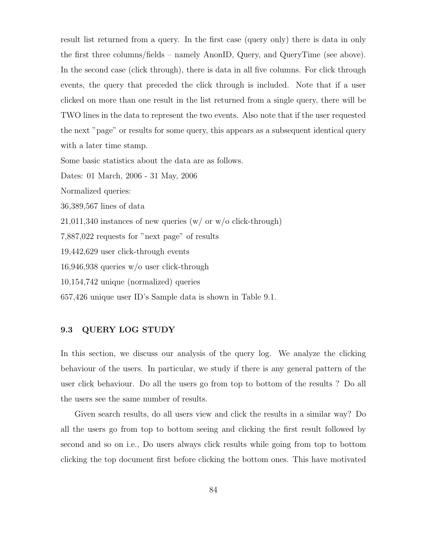result list returned from a query. In the first case (query only) there is data in only the first three columns/fields – namely AnonID, Query, and QueryTime (see above). In the second case (click through), there is data in all five columns. For click through events, the query that preceded the click through is included. Note that if a user clicked on more than one result in the list returned from a single query, there will be TWO lines in the data to represent the two events. Also note that if the user requested the next "page" or results for some query, this appears as a subsequent identical query with a later time stamp.

Some basic statistics about the data are as follows.

Dates: 01 March, 2006 - 31 May, 2006

Normalized queries:

36,389,567 lines of data

 $21,011,340$  instances of new queries (w/ or w/o click-through)

7,887,022 requests for "next page" of results

19,442,629 user click-through events

16,946,938 queries w/o user click-through

10,154,742 unique (normalized) queries

657,426 unique user ID's Sample data is shown in Table 9.1.

### 9.3 QUERY LOG STUDY

In this section, we discuss our analysis of the query log. We analyze the clicking behaviour of the users. In particular, we study if there is any general pattern of the user click behaviour. Do all the users go from top to bottom of the results ? Do all the users see the same number of results.

Given search results, do all users view and click the results in a similar way? Do all the users go from top to bottom seeing and clicking the first result followed by second and so on i.e., Do users always click results while going from top to bottom clicking the top document first before clicking the bottom ones. This have motivated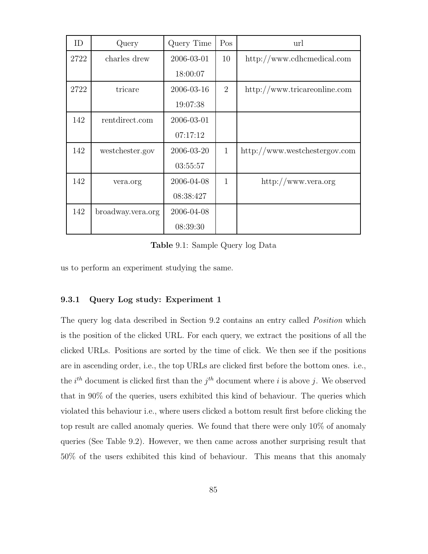| ID   | Query             | Query Time | Pos            | url                           |
|------|-------------------|------------|----------------|-------------------------------|
| 2722 | charles drew      | 2006-03-01 | 10             | http://www.cdhemedical.com    |
|      |                   | 18:00:07   |                |                               |
| 2722 | tricare           | 2006-03-16 | $\overline{2}$ | http://www.tricareonline.com  |
|      |                   | 19:07:38   |                |                               |
| 142  | rentdirect.com    | 2006-03-01 |                |                               |
|      |                   | 07:17:12   |                |                               |
| 142  | westchester.gov   | 2006-03-20 | $\mathbf{1}$   | http://www.westchestergov.com |
|      |                   | 03:55:57   |                |                               |
| 142  | vera.org          | 2006-04-08 | $\mathbf{1}$   | http://www.vera.org           |
|      |                   | 08:38:427  |                |                               |
| 142  | broadway.vera.org | 2006-04-08 |                |                               |
|      |                   | 08:39:30   |                |                               |

Table 9.1: Sample Query log Data

us to perform an experiment studying the same.

## 9.3.1 Query Log study: Experiment 1

The query log data described in Section 9.2 contains an entry called *Position* which is the position of the clicked URL. For each query, we extract the positions of all the clicked URLs. Positions are sorted by the time of click. We then see if the positions are in ascending order, i.e., the top URLs are clicked first before the bottom ones. i.e., the  $i^{th}$  document is clicked first than the  $j^{th}$  document where i is above j. We observed that in 90% of the queries, users exhibited this kind of behaviour. The queries which violated this behaviour i.e., where users clicked a bottom result first before clicking the top result are called anomaly queries. We found that there were only 10% of anomaly queries (See Table 9.2). However, we then came across another surprising result that 50% of the users exhibited this kind of behaviour. This means that this anomaly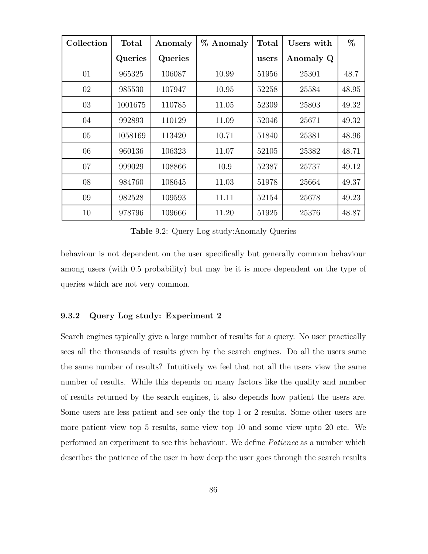| Collection | <b>Total</b> | Anomaly | % Anomaly | <b>Total</b> | Users with | %     |
|------------|--------------|---------|-----------|--------------|------------|-------|
|            | Queries      | Queries |           | users        | Anomaly Q  |       |
| 01         | 965325       | 106087  | 10.99     | 51956        | 25301      | 48.7  |
| 02         | 985530       | 107947  | 10.95     | 52258        | 25584      | 48.95 |
| 03         | 1001675      | 110785  | 11.05     | 52309        | 25803      | 49.32 |
| 04         | 992893       | 110129  | 11.09     | 52046        | 25671      | 49.32 |
| 05         | 1058169      | 113420  | 10.71     | 51840        | 25381      | 48.96 |
| 06         | 960136       | 106323  | 11.07     | 52105        | 25382      | 48.71 |
| 07         | 999029       | 108866  | 10.9      | 52387        | 25737      | 49.12 |
| 08         | 984760       | 108645  | 11.03     | 51978        | 25664      | 49.37 |
| 09         | 982528       | 109593  | 11.11     | 52154        | 25678      | 49.23 |
| 10         | 978796       | 109666  | 11.20     | 51925        | 25376      | 48.87 |

Table 9.2: Query Log study:Anomaly Queries

behaviour is not dependent on the user specifically but generally common behaviour among users (with 0.5 probability) but may be it is more dependent on the type of queries which are not very common.

## 9.3.2 Query Log study: Experiment 2

Search engines typically give a large number of results for a query. No user practically sees all the thousands of results given by the search engines. Do all the users same the same number of results? Intuitively we feel that not all the users view the same number of results. While this depends on many factors like the quality and number of results returned by the search engines, it also depends how patient the users are. Some users are less patient and see only the top 1 or 2 results. Some other users are more patient view top 5 results, some view top 10 and some view upto 20 etc. We performed an experiment to see this behaviour. We define Patience as a number which describes the patience of the user in how deep the user goes through the search results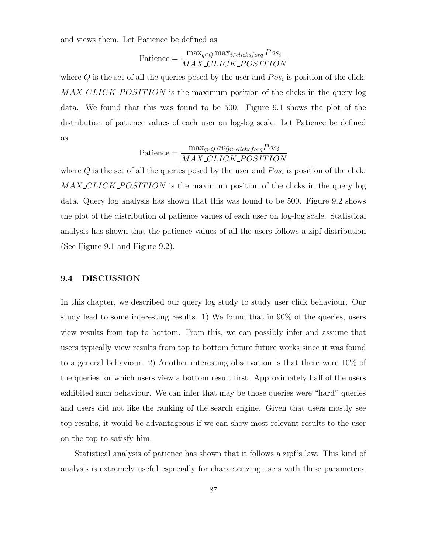and views them. Let Patience be defined as

$$
Patience = \frac{\max_{q \in Q} \max_{i \in clicksforq} Pos_i}{MAX\_CLICK\_POSITION}
$$

where  $Q$  is the set of all the queries posed by the user and  $Pos_i$  is position of the click. MAX\_CLICK\_POSITION is the maximum position of the clicks in the query log data. We found that this was found to be 500. Figure 9.1 shows the plot of the distribution of patience values of each user on log-log scale. Let Patience be defined as

$$
Patience = \frac{\max_{q \in Q} avg_{i \in clicksforq} Pos_i}{MAX\_CLICK\_POSITION}
$$

where  $Q$  is the set of all the queries posed by the user and  $Pos_i$  is position of the click.  $MAX\_CLICK\_POSITION$  is the maximum position of the clicks in the query log data. Query log analysis has shown that this was found to be 500. Figure 9.2 shows the plot of the distribution of patience values of each user on log-log scale. Statistical analysis has shown that the patience values of all the users follows a zipf distribution (See Figure 9.1 and Figure 9.2).

### 9.4 DISCUSSION

In this chapter, we described our query log study to study user click behaviour. Our study lead to some interesting results. 1) We found that in 90% of the queries, users view results from top to bottom. From this, we can possibly infer and assume that users typically view results from top to bottom future future works since it was found to a general behaviour. 2) Another interesting observation is that there were 10% of the queries for which users view a bottom result first. Approximately half of the users exhibited such behaviour. We can infer that may be those queries were "hard" queries and users did not like the ranking of the search engine. Given that users mostly see top results, it would be advantageous if we can show most relevant results to the user on the top to satisfy him.

Statistical analysis of patience has shown that it follows a zipf's law. This kind of analysis is extremely useful especially for characterizing users with these parameters.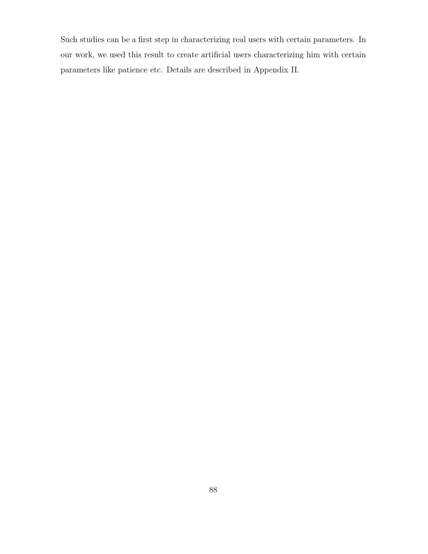Such studies can be a first step in characterizing real users with certain parameters. In our work, we used this result to create artificial users characterizing him with certain parameters like patience etc. Details are described in Appendix II.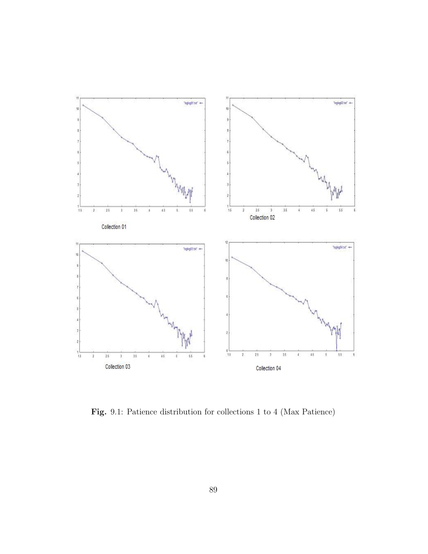

Fig. 9.1: Patience distribution for collections 1 to 4 (Max Patience)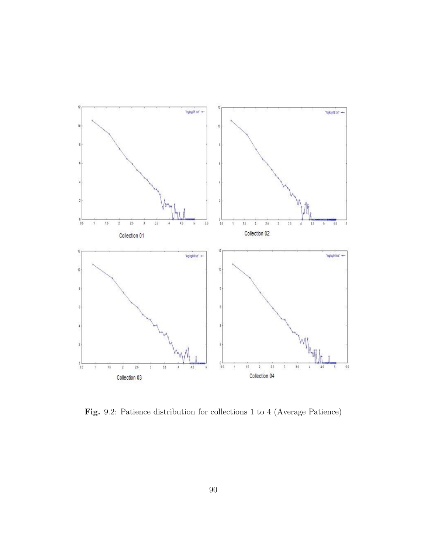

Fig. 9.2: Patience distribution for collections 1 to 4 (Average Patience)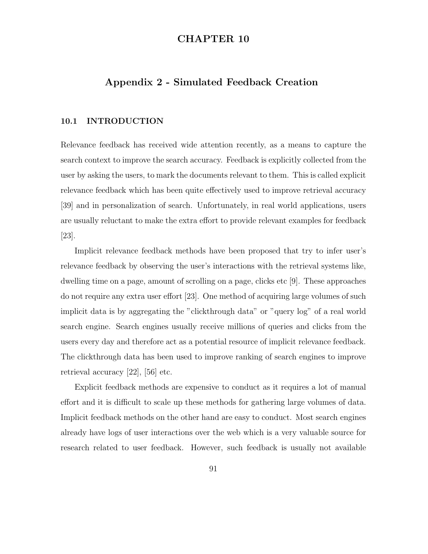# CHAPTER 10

# Appendix 2 - Simulated Feedback Creation

# 10.1 INTRODUCTION

Relevance feedback has received wide attention recently, as a means to capture the search context to improve the search accuracy. Feedback is explicitly collected from the user by asking the users, to mark the documents relevant to them. This is called explicit relevance feedback which has been quite effectively used to improve retrieval accuracy [39] and in personalization of search. Unfortunately, in real world applications, users are usually reluctant to make the extra effort to provide relevant examples for feedback [23].

Implicit relevance feedback methods have been proposed that try to infer user's relevance feedback by observing the user's interactions with the retrieval systems like, dwelling time on a page, amount of scrolling on a page, clicks etc [9]. These approaches do not require any extra user effort [23]. One method of acquiring large volumes of such implicit data is by aggregating the "clickthrough data" or "query log" of a real world search engine. Search engines usually receive millions of queries and clicks from the users every day and therefore act as a potential resource of implicit relevance feedback. The clickthrough data has been used to improve ranking of search engines to improve retrieval accuracy [22], [56] etc.

Explicit feedback methods are expensive to conduct as it requires a lot of manual effort and it is difficult to scale up these methods for gathering large volumes of data. Implicit feedback methods on the other hand are easy to conduct. Most search engines already have logs of user interactions over the web which is a very valuable source for research related to user feedback. However, such feedback is usually not available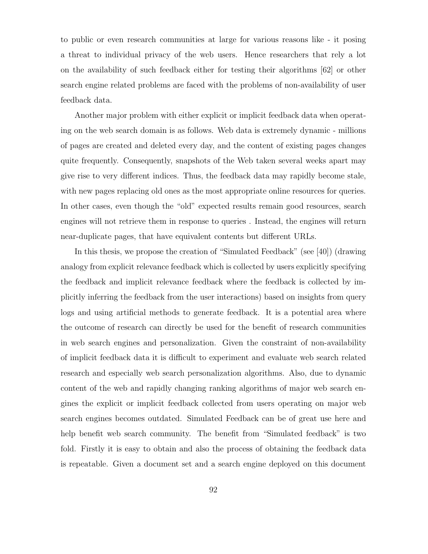to public or even research communities at large for various reasons like - it posing a threat to individual privacy of the web users. Hence researchers that rely a lot on the availability of such feedback either for testing their algorithms [62] or other search engine related problems are faced with the problems of non-availability of user feedback data.

Another major problem with either explicit or implicit feedback data when operating on the web search domain is as follows. Web data is extremely dynamic - millions of pages are created and deleted every day, and the content of existing pages changes quite frequently. Consequently, snapshots of the Web taken several weeks apart may give rise to very different indices. Thus, the feedback data may rapidly become stale, with new pages replacing old ones as the most appropriate online resources for queries. In other cases, even though the "old" expected results remain good resources, search engines will not retrieve them in response to queries . Instead, the engines will return near-duplicate pages, that have equivalent contents but different URLs.

In this thesis, we propose the creation of "Simulated Feedback" (see [40]) (drawing analogy from explicit relevance feedback which is collected by users explicitly specifying the feedback and implicit relevance feedback where the feedback is collected by implicitly inferring the feedback from the user interactions) based on insights from query logs and using artificial methods to generate feedback. It is a potential area where the outcome of research can directly be used for the benefit of research communities in web search engines and personalization. Given the constraint of non-availability of implicit feedback data it is difficult to experiment and evaluate web search related research and especially web search personalization algorithms. Also, due to dynamic content of the web and rapidly changing ranking algorithms of major web search engines the explicit or implicit feedback collected from users operating on major web search engines becomes outdated. Simulated Feedback can be of great use here and help benefit web search community. The benefit from "Simulated feedback" is two fold. Firstly it is easy to obtain and also the process of obtaining the feedback data is repeatable. Given a document set and a search engine deployed on this document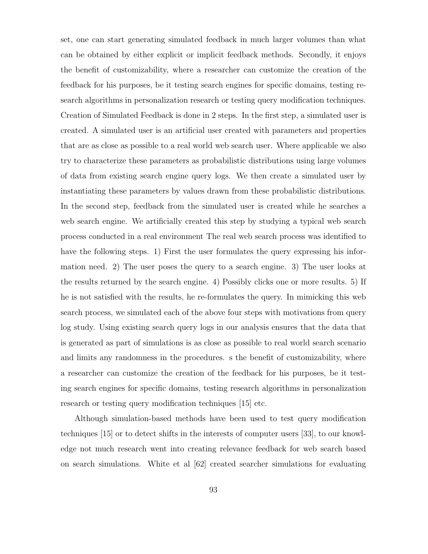set, one can start generating simulated feedback in much larger volumes than what can be obtained by either explicit or implicit feedback methods. Secondly, it enjoys the benefit of customizability, where a researcher can customize the creation of the feedback for his purposes, be it testing search engines for specific domains, testing research algorithms in personalization research or testing query modification techniques. Creation of Simulated Feedback is done in 2 steps. In the first step, a simulated user is created. A simulated user is an artificial user created with parameters and properties that are as close as possible to a real world web search user. Where applicable we also try to characterize these parameters as probabilistic distributions using large volumes of data from existing search engine query logs. We then create a simulated user by instantiating these parameters by values drawn from these probabilistic distributions. In the second step, feedback from the simulated user is created while he searches a web search engine. We artificially created this step by studying a typical web search process conducted in a real environment The real web search process was identified to have the following steps. 1) First the user formulates the query expressing his information need. 2) The user poses the query to a search engine. 3) The user looks at the results returned by the search engine. 4) Possibly clicks one or more results. 5) If he is not satisfied with the results, he re-formulates the query. In mimicking this web search process, we simulated each of the above four steps with motivations from query log study. Using existing search query logs in our analysis ensures that the data that is generated as part of simulations is as close as possible to real world search scenario and limits any randomness in the procedures. s the benefit of customizability, where a researcher can customize the creation of the feedback for his purposes, be it testing search engines for specific domains, testing research algorithms in personalization research or testing query modification techniques [15] etc.

Although simulation-based methods have been used to test query modification techniques [15] or to detect shifts in the interests of computer users [33], to our knowledge not much research went into creating relevance feedback for web search based on search simulations. White et al [62] created searcher simulations for evaluating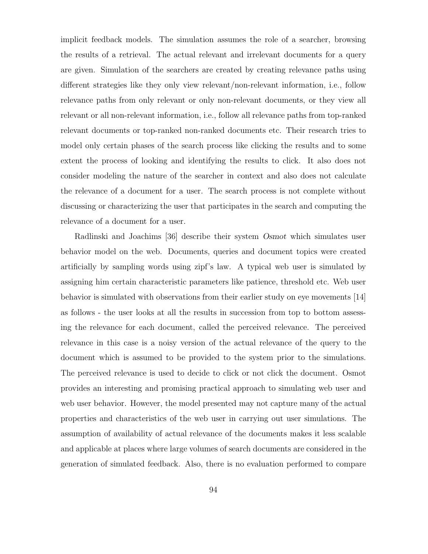implicit feedback models. The simulation assumes the role of a searcher, browsing the results of a retrieval. The actual relevant and irrelevant documents for a query are given. Simulation of the searchers are created by creating relevance paths using different strategies like they only view relevant/non-relevant information, i.e., follow relevance paths from only relevant or only non-relevant documents, or they view all relevant or all non-relevant information, i.e., follow all relevance paths from top-ranked relevant documents or top-ranked non-ranked documents etc. Their research tries to model only certain phases of the search process like clicking the results and to some extent the process of looking and identifying the results to click. It also does not consider modeling the nature of the searcher in context and also does not calculate the relevance of a document for a user. The search process is not complete without discussing or characterizing the user that participates in the search and computing the relevance of a document for a user.

Radlinski and Joachims [36] describe their system Osmot which simulates user behavior model on the web. Documents, queries and document topics were created artificially by sampling words using zipf's law. A typical web user is simulated by assigning him certain characteristic parameters like patience, threshold etc. Web user behavior is simulated with observations from their earlier study on eye movements [14] as follows - the user looks at all the results in succession from top to bottom assessing the relevance for each document, called the perceived relevance. The perceived relevance in this case is a noisy version of the actual relevance of the query to the document which is assumed to be provided to the system prior to the simulations. The perceived relevance is used to decide to click or not click the document. Osmot provides an interesting and promising practical approach to simulating web user and web user behavior. However, the model presented may not capture many of the actual properties and characteristics of the web user in carrying out user simulations. The assumption of availability of actual relevance of the documents makes it less scalable and applicable at places where large volumes of search documents are considered in the generation of simulated feedback. Also, there is no evaluation performed to compare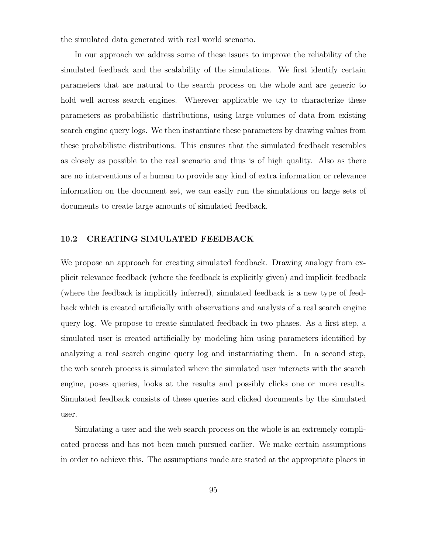the simulated data generated with real world scenario.

In our approach we address some of these issues to improve the reliability of the simulated feedback and the scalability of the simulations. We first identify certain parameters that are natural to the search process on the whole and are generic to hold well across search engines. Wherever applicable we try to characterize these parameters as probabilistic distributions, using large volumes of data from existing search engine query logs. We then instantiate these parameters by drawing values from these probabilistic distributions. This ensures that the simulated feedback resembles as closely as possible to the real scenario and thus is of high quality. Also as there are no interventions of a human to provide any kind of extra information or relevance information on the document set, we can easily run the simulations on large sets of documents to create large amounts of simulated feedback.

## 10.2 CREATING SIMULATED FEEDBACK

We propose an approach for creating simulated feedback. Drawing analogy from explicit relevance feedback (where the feedback is explicitly given) and implicit feedback (where the feedback is implicitly inferred), simulated feedback is a new type of feedback which is created artificially with observations and analysis of a real search engine query log. We propose to create simulated feedback in two phases. As a first step, a simulated user is created artificially by modeling him using parameters identified by analyzing a real search engine query log and instantiating them. In a second step, the web search process is simulated where the simulated user interacts with the search engine, poses queries, looks at the results and possibly clicks one or more results. Simulated feedback consists of these queries and clicked documents by the simulated user.

Simulating a user and the web search process on the whole is an extremely complicated process and has not been much pursued earlier. We make certain assumptions in order to achieve this. The assumptions made are stated at the appropriate places in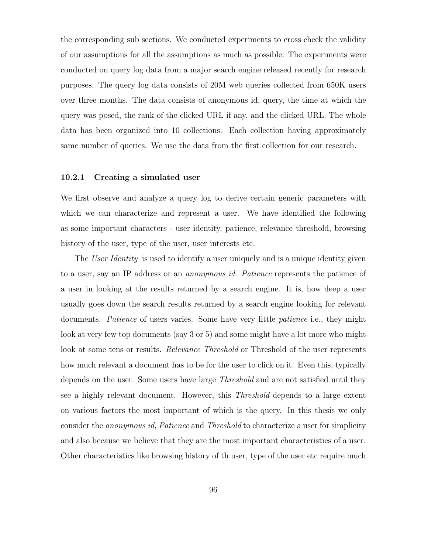the corresponding sub sections. We conducted experiments to cross check the validity of our assumptions for all the assumptions as much as possible. The experiments were conducted on query log data from a major search engine released recently for research purposes. The query log data consists of 20M web queries collected from 650K users over three months. The data consists of anonymous id, query, the time at which the query was posed, the rank of the clicked URL if any, and the clicked URL. The whole data has been organized into 10 collections. Each collection having approximately same number of queries. We use the data from the first collection for our research.

# 10.2.1 Creating a simulated user

We first observe and analyze a query log to derive certain generic parameters with which we can characterize and represent a user. We have identified the following as some important characters - user identity, patience, relevance threshold, browsing history of the user, type of the user, user interests etc.

The User Identity is used to identify a user uniquely and is a unique identity given to a user, say an IP address or an anonymous id. Patience represents the patience of a user in looking at the results returned by a search engine. It is, how deep a user usually goes down the search results returned by a search engine looking for relevant documents. *Patience* of users varies. Some have very little *patience* i.e., they might look at very few top documents (say 3 or 5) and some might have a lot more who might look at some tens or results. Relevance Threshold or Threshold of the user represents how much relevant a document has to be for the user to click on it. Even this, typically depends on the user. Some users have large Threshold and are not satisfied until they see a highly relevant document. However, this Threshold depends to a large extent on various factors the most important of which is the query. In this thesis we only consider the anonymous id, Patience and Threshold to characterize a user for simplicity and also because we believe that they are the most important characteristics of a user. Other characteristics like browsing history of th user, type of the user etc require much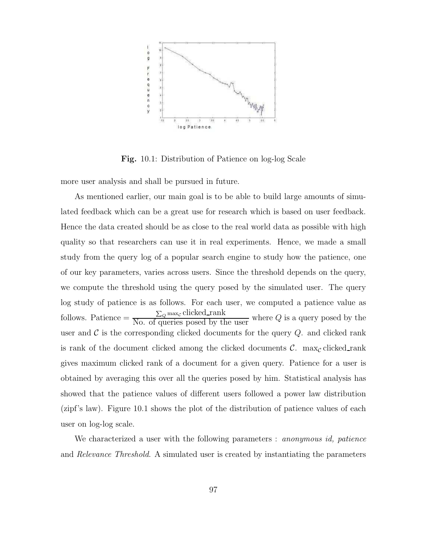

Fig. 10.1: Distribution of Patience on log-log Scale

more user analysis and shall be pursued in future.

As mentioned earlier, our main goal is to be able to build large amounts of simulated feedback which can be a great use for research which is based on user feedback. Hence the data created should be as close to the real world data as possible with high quality so that researchers can use it in real experiments. Hence, we made a small study from the query log of a popular search engine to study how the patience, one of our key parameters, varies across users. Since the threshold depends on the query, we compute the threshold using the query posed by the simulated user. The query log study of patience is as follows. For each user, we computed a patience value as follows. Patience  $= \frac{\sum_{Q} \max_{C} \text{clicked\_rank}}{\text{No. of queries posed by the user}}$  where Q is a query posed by the user and  $\mathcal C$  is the corresponding clicked documents for the query  $Q$ . and clicked rank is rank of the document clicked among the clicked documents  $\mathcal{C}$ . max<sub>c</sub> clicked rank gives maximum clicked rank of a document for a given query. Patience for a user is obtained by averaging this over all the queries posed by him. Statistical analysis has showed that the patience values of different users followed a power law distribution (zipf's law). Figure 10.1 shows the plot of the distribution of patience values of each user on log-log scale.

We characterized a user with the following parameters : *anonymous id, patience* and Relevance Threshold. A simulated user is created by instantiating the parameters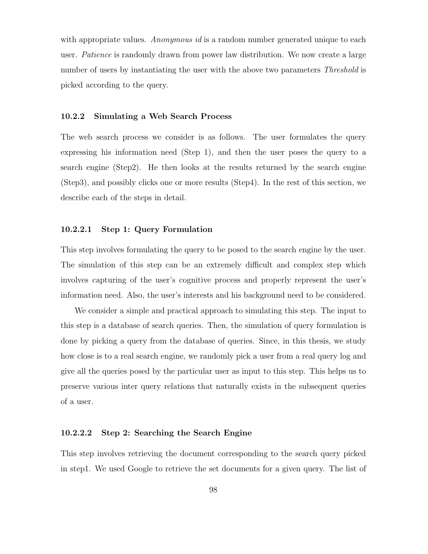with appropriate values. Anonymous id is a random number generated unique to each user. Patience is randomly drawn from power law distribution. We now create a large number of users by instantiating the user with the above two parameters *Threshold* is picked according to the query.

#### 10.2.2 Simulating a Web Search Process

The web search process we consider is as follows. The user formulates the query expressing his information need (Step 1), and then the user poses the query to a search engine (Step2). He then looks at the results returned by the search engine (Step3), and possibly clicks one or more results (Step4). In the rest of this section, we describe each of the steps in detail.

# 10.2.2.1 Step 1: Query Formulation

This step involves formulating the query to be posed to the search engine by the user. The simulation of this step can be an extremely difficult and complex step which involves capturing of the user's cognitive process and properly represent the user's information need. Also, the user's interests and his background need to be considered.

We consider a simple and practical approach to simulating this step. The input to this step is a database of search queries. Then, the simulation of query formulation is done by picking a query from the database of queries. Since, in this thesis, we study how close is to a real search engine, we randomly pick a user from a real query log and give all the queries posed by the particular user as input to this step. This helps us to preserve various inter query relations that naturally exists in the subsequent queries of a user.

#### 10.2.2.2 Step 2: Searching the Search Engine

This step involves retrieving the document corresponding to the search query picked in step1. We used Google to retrieve the set documents for a given query. The list of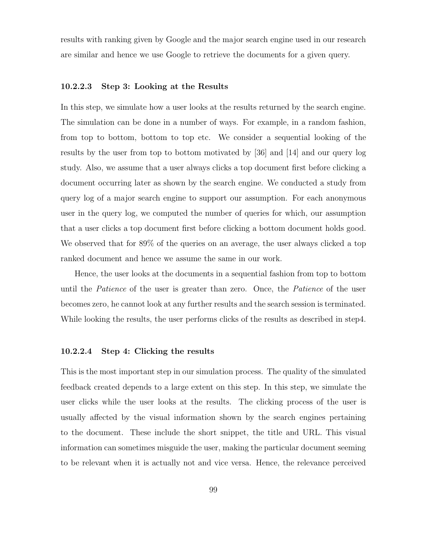results with ranking given by Google and the major search engine used in our research are similar and hence we use Google to retrieve the documents for a given query.

#### 10.2.2.3 Step 3: Looking at the Results

In this step, we simulate how a user looks at the results returned by the search engine. The simulation can be done in a number of ways. For example, in a random fashion, from top to bottom, bottom to top etc. We consider a sequential looking of the results by the user from top to bottom motivated by [36] and [14] and our query log study. Also, we assume that a user always clicks a top document first before clicking a document occurring later as shown by the search engine. We conducted a study from query log of a major search engine to support our assumption. For each anonymous user in the query log, we computed the number of queries for which, our assumption that a user clicks a top document first before clicking a bottom document holds good. We observed that for 89% of the queries on an average, the user always clicked a top ranked document and hence we assume the same in our work.

Hence, the user looks at the documents in a sequential fashion from top to bottom until the *Patience* of the user is greater than zero. Once, the *Patience* of the user becomes zero, he cannot look at any further results and the search session is terminated. While looking the results, the user performs clicks of the results as described in step4.

## 10.2.2.4 Step 4: Clicking the results

This is the most important step in our simulation process. The quality of the simulated feedback created depends to a large extent on this step. In this step, we simulate the user clicks while the user looks at the results. The clicking process of the user is usually affected by the visual information shown by the search engines pertaining to the document. These include the short snippet, the title and URL. This visual information can sometimes misguide the user, making the particular document seeming to be relevant when it is actually not and vice versa. Hence, the relevance perceived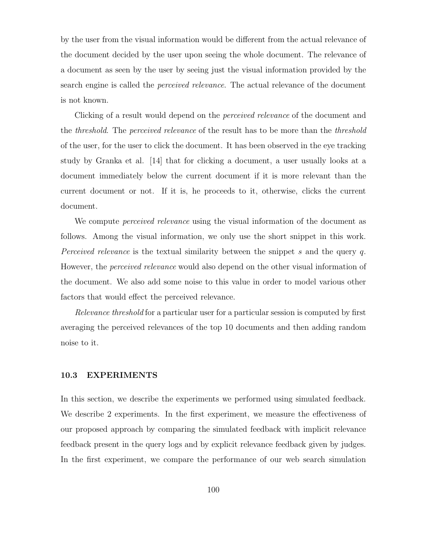by the user from the visual information would be different from the actual relevance of the document decided by the user upon seeing the whole document. The relevance of a document as seen by the user by seeing just the visual information provided by the search engine is called the perceived relevance. The actual relevance of the document is not known.

Clicking of a result would depend on the perceived relevance of the document and the *threshold*. The *perceived relevance* of the result has to be more than the *threshold* of the user, for the user to click the document. It has been observed in the eye tracking study by Granka et al. [14] that for clicking a document, a user usually looks at a document immediately below the current document if it is more relevant than the current document or not. If it is, he proceeds to it, otherwise, clicks the current document.

We compute *perceived relevance* using the visual information of the document as follows. Among the visual information, we only use the short snippet in this work. Perceived relevance is the textual similarity between the snippet s and the query q. However, the perceived relevance would also depend on the other visual information of the document. We also add some noise to this value in order to model various other factors that would effect the perceived relevance.

Relevance threshold for a particular user for a particular session is computed by first averaging the perceived relevances of the top 10 documents and then adding random noise to it.

#### 10.3 EXPERIMENTS

In this section, we describe the experiments we performed using simulated feedback. We describe 2 experiments. In the first experiment, we measure the effectiveness of our proposed approach by comparing the simulated feedback with implicit relevance feedback present in the query logs and by explicit relevance feedback given by judges. In the first experiment, we compare the performance of our web search simulation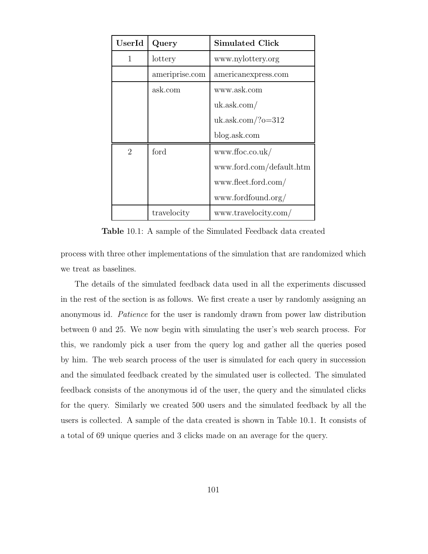| $\operatorname{UserId}$ | Query          | <b>Simulated Click</b>   |  |  |
|-------------------------|----------------|--------------------------|--|--|
| 1                       | lottery        | www.nylottery.org        |  |  |
|                         | ameriprise.com | americanexpress.com      |  |  |
|                         | ask.com        | www.ask.com              |  |  |
|                         |                | uk. ask.com/             |  |  |
|                         |                | $uk. ask.com/?o=312$     |  |  |
|                         |                | blog.ask.com             |  |  |
| $\overline{2}$          | ford           | www.ffoc.co.uk/          |  |  |
|                         |                | www.ford.com/default.htm |  |  |
|                         |                | www.fleet.ford.com/      |  |  |
|                         |                | www.fordfound.org/       |  |  |
|                         | travelocity    | www.travelocity.com/     |  |  |

Table 10.1: A sample of the Simulated Feedback data created

process with three other implementations of the simulation that are randomized which we treat as baselines.

The details of the simulated feedback data used in all the experiments discussed in the rest of the section is as follows. We first create a user by randomly assigning an anonymous id. Patience for the user is randomly drawn from power law distribution between 0 and 25. We now begin with simulating the user's web search process. For this, we randomly pick a user from the query log and gather all the queries posed by him. The web search process of the user is simulated for each query in succession and the simulated feedback created by the simulated user is collected. The simulated feedback consists of the anonymous id of the user, the query and the simulated clicks for the query. Similarly we created 500 users and the simulated feedback by all the users is collected. A sample of the data created is shown in Table 10.1. It consists of a total of 69 unique queries and 3 clicks made on an average for the query.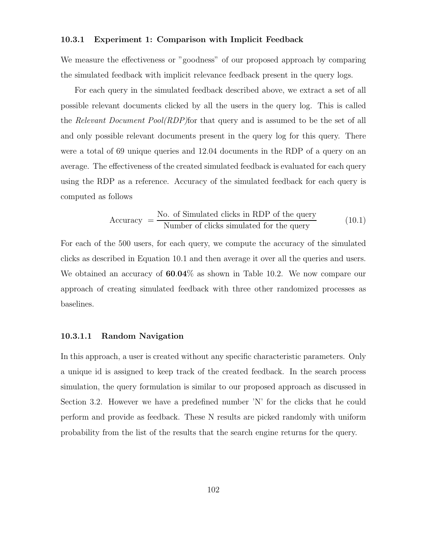# 10.3.1 Experiment 1: Comparison with Implicit Feedback

We measure the effectiveness or "goodness" of our proposed approach by comparing the simulated feedback with implicit relevance feedback present in the query logs.

For each query in the simulated feedback described above, we extract a set of all possible relevant documents clicked by all the users in the query log. This is called the Relevant Document Pool(RDP)for that query and is assumed to be the set of all and only possible relevant documents present in the query log for this query. There were a total of 69 unique queries and 12.04 documents in the RDP of a query on an average. The effectiveness of the created simulated feedback is evaluated for each query using the RDP as a reference. Accuracy of the simulated feedback for each query is computed as follows

$$
Accuracy = \frac{No. of Simulated clicks in RDP of the query}{Number of clicks simulated for the query}
$$
 (10.1)

For each of the 500 users, for each query, we compute the accuracy of the simulated clicks as described in Equation 10.1 and then average it over all the queries and users. We obtained an accuracy of  $60.04\%$  as shown in Table 10.2. We now compare our approach of creating simulated feedback with three other randomized processes as baselines.

# 10.3.1.1 Random Navigation

In this approach, a user is created without any specific characteristic parameters. Only a unique id is assigned to keep track of the created feedback. In the search process simulation, the query formulation is similar to our proposed approach as discussed in Section 3.2. However we have a predefined number 'N' for the clicks that he could perform and provide as feedback. These N results are picked randomly with uniform probability from the list of the results that the search engine returns for the query.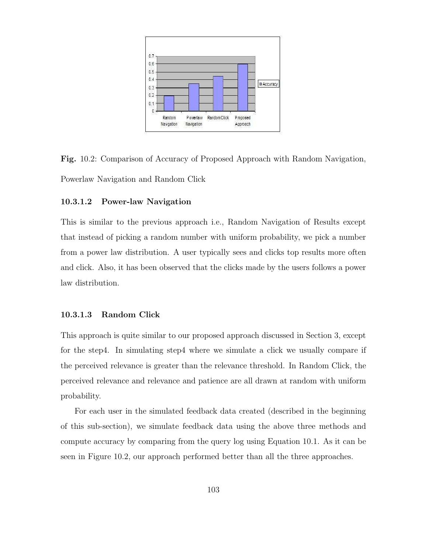

Fig. 10.2: Comparison of Accuracy of Proposed Approach with Random Navigation, Powerlaw Navigation and Random Click

# 10.3.1.2 Power-law Navigation

This is similar to the previous approach i.e., Random Navigation of Results except that instead of picking a random number with uniform probability, we pick a number from a power law distribution. A user typically sees and clicks top results more often and click. Also, it has been observed that the clicks made by the users follows a power law distribution.

# 10.3.1.3 Random Click

This approach is quite similar to our proposed approach discussed in Section 3, except for the step4. In simulating step4 where we simulate a click we usually compare if the perceived relevance is greater than the relevance threshold. In Random Click, the perceived relevance and relevance and patience are all drawn at random with uniform probability.

For each user in the simulated feedback data created (described in the beginning of this sub-section), we simulate feedback data using the above three methods and compute accuracy by comparing from the query log using Equation 10.1. As it can be seen in Figure 10.2, our approach performed better than all the three approaches.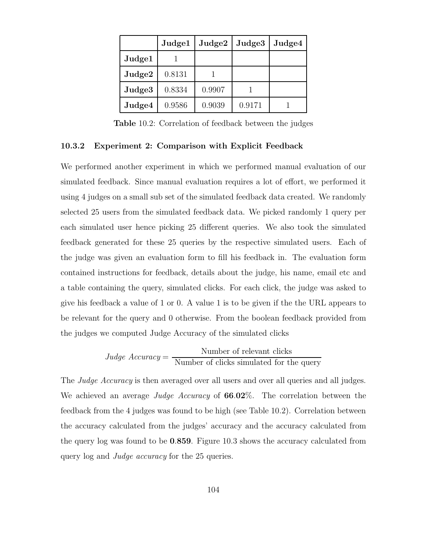|        | Judge1 | $\rm Judge2$ | Judge <sub>3</sub> | Judge4 |
|--------|--------|--------------|--------------------|--------|
| Judge1 |        |              |                    |        |
| Judge2 | 0.8131 |              |                    |        |
| Judge3 | 0.8334 | 0.9907       |                    |        |
| Judge4 | 0.9586 | 0.9039       | 0.9171             |        |

Table 10.2: Correlation of feedback between the judges

#### 10.3.2 Experiment 2: Comparison with Explicit Feedback

We performed another experiment in which we performed manual evaluation of our simulated feedback. Since manual evaluation requires a lot of effort, we performed it using 4 judges on a small sub set of the simulated feedback data created. We randomly selected 25 users from the simulated feedback data. We picked randomly 1 query per each simulated user hence picking 25 different queries. We also took the simulated feedback generated for these 25 queries by the respective simulated users. Each of the judge was given an evaluation form to fill his feedback in. The evaluation form contained instructions for feedback, details about the judge, his name, email etc and a table containing the query, simulated clicks. For each click, the judge was asked to give his feedback a value of 1 or 0. A value 1 is to be given if the the URL appears to be relevant for the query and 0 otherwise. From the boolean feedback provided from the judges we computed Judge Accuracy of the simulated clicks

*Judge Accuracy* = 
$$
\frac{\text{Number of relevant clicks}}{\text{Number of clicks simulated for the query}}
$$

The *Judge Accuracy* is then averaged over all users and over all queries and all judges. We achieved an average Judge Accuracy of  $66.02\%$ . The correlation between the feedback from the 4 judges was found to be high (see Table 10.2). Correlation between the accuracy calculated from the judges' accuracy and the accuracy calculated from the query log was found to be 0.859. Figure 10.3 shows the accuracy calculated from query log and *Judge accuracy* for the 25 queries.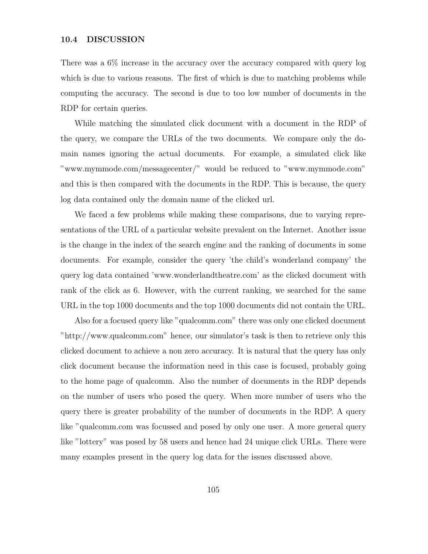# 10.4 DISCUSSION

There was a 6% increase in the accuracy over the accuracy compared with query log which is due to various reasons. The first of which is due to matching problems while computing the accuracy. The second is due to too low number of documents in the RDP for certain queries.

While matching the simulated click document with a document in the RDP of the query, we compare the URLs of the two documents. We compare only the domain names ignoring the actual documents. For example, a simulated click like "www.mymmode.com/messagecenter/" would be reduced to "www.mymmode.com" and this is then compared with the documents in the RDP. This is because, the query log data contained only the domain name of the clicked url.

We faced a few problems while making these comparisons, due to varying representations of the URL of a particular website prevalent on the Internet. Another issue is the change in the index of the search engine and the ranking of documents in some documents. For example, consider the query 'the child's wonderland company' the query log data contained 'www.wonderlandtheatre.com' as the clicked document with rank of the click as 6. However, with the current ranking, we searched for the same URL in the top 1000 documents and the top 1000 documents did not contain the URL.

Also for a focused query like "qualcomm.com" there was only one clicked document "http://www.qualcomm.com" hence, our simulator's task is then to retrieve only this clicked document to achieve a non zero accuracy. It is natural that the query has only click document because the information need in this case is focused, probably going to the home page of qualcomm. Also the number of documents in the RDP depends on the number of users who posed the query. When more number of users who the query there is greater probability of the number of documents in the RDP. A query like "qualcomm.com was focussed and posed by only one user. A more general query like "lottery" was posed by 58 users and hence had 24 unique click URLs. There were many examples present in the query log data for the issues discussed above.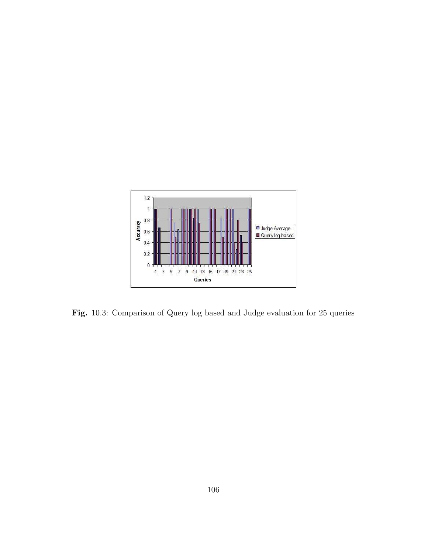

Fig. 10.3: Comparison of Query log based and Judge evaluation for 25 queries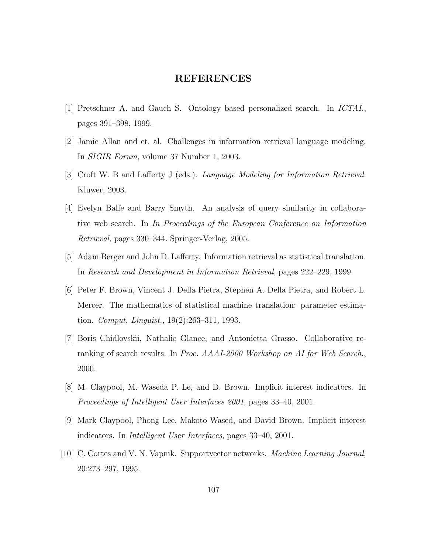# REFERENCES

- [1] Pretschner A. and Gauch S. Ontology based personalized search. In ICTAI., pages 391–398, 1999.
- [2] Jamie Allan and et. al. Challenges in information retrieval language modeling. In SIGIR Forum, volume 37 Number 1, 2003.
- [3] Croft W. B and Lafferty J (eds.). Language Modeling for Information Retrieval. Kluwer, 2003.
- [4] Evelyn Balfe and Barry Smyth. An analysis of query similarity in collaborative web search. In In Proceedings of the European Conference on Information Retrieval, pages 330–344. Springer-Verlag, 2005.
- [5] Adam Berger and John D. Lafferty. Information retrieval as statistical translation. In Research and Development in Information Retrieval, pages 222–229, 1999.
- [6] Peter F. Brown, Vincent J. Della Pietra, Stephen A. Della Pietra, and Robert L. Mercer. The mathematics of statistical machine translation: parameter estimation. Comput. Linguist., 19(2):263–311, 1993.
- [7] Boris Chidlovskii, Nathalie Glance, and Antonietta Grasso. Collaborative reranking of search results. In Proc. AAAI-2000 Workshop on AI for Web Search., 2000.
- [8] M. Claypool, M. Waseda P. Le, and D. Brown. Implicit interest indicators. In Proceedings of Intelligent User Interfaces 2001, pages 33–40, 2001.
- [9] Mark Claypool, Phong Lee, Makoto Wased, and David Brown. Implicit interest indicators. In Intelligent User Interfaces, pages 33–40, 2001.
- [10] C. Cortes and V. N. Vapnik. Supportvector networks. Machine Learning Journal, 20:273–297, 1995.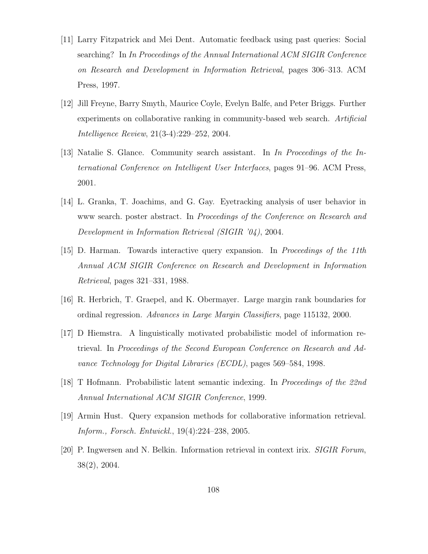- [11] Larry Fitzpatrick and Mei Dent. Automatic feedback using past queries: Social searching? In In Proceedings of the Annual International ACM SIGIR Conference on Research and Development in Information Retrieval, pages 306–313. ACM Press, 1997.
- [12] Jill Freyne, Barry Smyth, Maurice Coyle, Evelyn Balfe, and Peter Briggs. Further experiments on collaborative ranking in community-based web search. Artificial Intelligence Review, 21(3-4):229–252, 2004.
- [13] Natalie S. Glance. Community search assistant. In In Proceedings of the International Conference on Intelligent User Interfaces, pages 91–96. ACM Press, 2001.
- [14] L. Granka, T. Joachims, and G. Gay. Eyetracking analysis of user behavior in www search. poster abstract. In Proceedings of the Conference on Research and Development in Information Retrieval (SIGIR '04), 2004.
- [15] D. Harman. Towards interactive query expansion. In Proceedings of the 11th Annual ACM SIGIR Conference on Research and Development in Information Retrieval, pages 321–331, 1988.
- [16] R. Herbrich, T. Graepel, and K. Obermayer. Large margin rank boundaries for ordinal regression. Advances in Large Margin Classifiers, page 115132, 2000.
- [17] D Hiemstra. A linguistically motivated probabilistic model of information retrieval. In Proceedings of the Second European Conference on Research and Advance Technology for Digital Libraries (ECDL), pages 569–584, 1998.
- [18] T Hofmann. Probabilistic latent semantic indexing. In Proceedings of the 22nd Annual International ACM SIGIR Conference, 1999.
- [19] Armin Hust. Query expansion methods for collaborative information retrieval. Inform., Forsch. Entwickl., 19(4):224–238, 2005.
- [20] P. Ingwersen and N. Belkin. Information retrieval in context irix. SIGIR Forum, 38(2), 2004.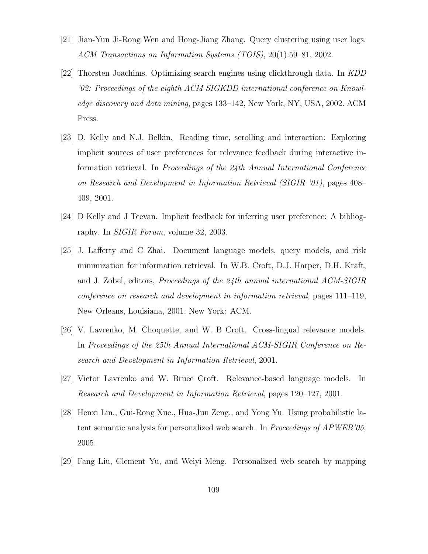- [21] Jian-Yun Ji-Rong Wen and Hong-Jiang Zhang. Query clustering using user logs. ACM Transactions on Information Systems (TOIS), 20(1):59–81, 2002.
- [22] Thorsten Joachims. Optimizing search engines using clickthrough data. In KDD '02: Proceedings of the eighth ACM SIGKDD international conference on Knowledge discovery and data mining, pages 133–142, New York, NY, USA, 2002. ACM Press.
- [23] D. Kelly and N.J. Belkin. Reading time, scrolling and interaction: Exploring implicit sources of user preferences for relevance feedback during interactive information retrieval. In Proceedings of the 24th Annual International Conference on Research and Development in Information Retrieval (SIGIR '01), pages 408– 409, 2001.
- [24] D Kelly and J Teevan. Implicit feedback for inferring user preference: A bibliography. In SIGIR Forum, volume 32, 2003.
- [25] J. Lafferty and C Zhai. Document language models, query models, and risk minimization for information retrieval. In W.B. Croft, D.J. Harper, D.H. Kraft, and J. Zobel, editors, Proceedings of the 24th annual international ACM-SIGIR conference on research and development in information retrieval, pages 111–119, New Orleans, Louisiana, 2001. New York: ACM.
- [26] V. Lavrenko, M. Choquette, and W. B Croft. Cross-lingual relevance models. In Proceedings of the 25th Annual International ACM-SIGIR Conference on Research and Development in Information Retrieval, 2001.
- [27] Victor Lavrenko and W. Bruce Croft. Relevance-based language models. In Research and Development in Information Retrieval, pages 120–127, 2001.
- [28] Henxi Lin., Gui-Rong Xue., Hua-Jun Zeng., and Yong Yu. Using probabilistic latent semantic analysis for personalized web search. In Proceedings of APWEB'05, 2005.
- [29] Fang Liu, Clement Yu, and Weiyi Meng. Personalized web search by mapping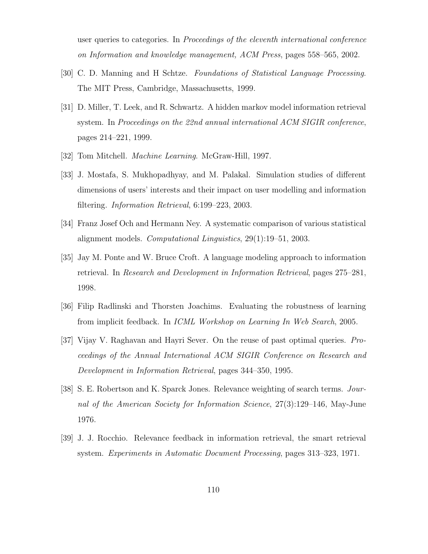user queries to categories. In Proceedings of the eleventh international conference on Information and knowledge management, ACM Press, pages 558–565, 2002.

- [30] C. D. Manning and H Schtze. Foundations of Statistical Language Processing. The MIT Press, Cambridge, Massachusetts, 1999.
- [31] D. Miller, T. Leek, and R. Schwartz. A hidden markov model information retrieval system. In Proceedings on the 22nd annual international ACM SIGIR conference, pages 214–221, 1999.
- [32] Tom Mitchell. Machine Learning. McGraw-Hill, 1997.
- [33] J. Mostafa, S. Mukhopadhyay, and M. Palakal. Simulation studies of different dimensions of users' interests and their impact on user modelling and information filtering. Information Retrieval, 6:199–223, 2003.
- [34] Franz Josef Och and Hermann Ney. A systematic comparison of various statistical alignment models. Computational Linguistics, 29(1):19–51, 2003.
- [35] Jay M. Ponte and W. Bruce Croft. A language modeling approach to information retrieval. In Research and Development in Information Retrieval, pages 275–281, 1998.
- [36] Filip Radlinski and Thorsten Joachims. Evaluating the robustness of learning from implicit feedback. In ICML Workshop on Learning In Web Search, 2005.
- [37] Vijay V. Raghavan and Hayri Sever. On the reuse of past optimal queries. Proceedings of the Annual International ACM SIGIR Conference on Research and Development in Information Retrieval, pages 344–350, 1995.
- [38] S. E. Robertson and K. Sparck Jones. Relevance weighting of search terms. Journal of the American Society for Information Science, 27(3):129–146, May-June 1976.
- [39] J. J. Rocchio. Relevance feedback in information retrieval, the smart retrieval system. Experiments in Automatic Document Processing, pages 313–323, 1971.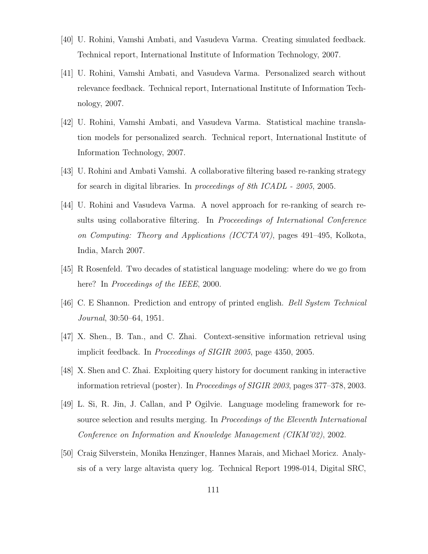- [40] U. Rohini, Vamshi Ambati, and Vasudeva Varma. Creating simulated feedback. Technical report, International Institute of Information Technology, 2007.
- [41] U. Rohini, Vamshi Ambati, and Vasudeva Varma. Personalized search without relevance feedback. Technical report, International Institute of Information Technology, 2007.
- [42] U. Rohini, Vamshi Ambati, and Vasudeva Varma. Statistical machine translation models for personalized search. Technical report, International Institute of Information Technology, 2007.
- [43] U. Rohini and Ambati Vamshi. A collaborative filtering based re-ranking strategy for search in digital libraries. In proceedings of 8th ICADL - 2005, 2005.
- [44] U. Rohini and Vasudeva Varma. A novel approach for re-ranking of search results using collaborative filtering. In Proceeedings of International Conference on Computing: Theory and Applications (ICCTA'07), pages 491–495, Kolkota, India, March 2007.
- [45] R Rosenfeld. Two decades of statistical language modeling: where do we go from here? In Proceedings of the IEEE, 2000.
- [46] C. E Shannon. Prediction and entropy of printed english. Bell System Technical Journal, 30:50–64, 1951.
- [47] X. Shen., B. Tan., and C. Zhai. Context-sensitive information retrieval using implicit feedback. In Proceedings of SIGIR 2005, page 4350, 2005.
- [48] X. Shen and C. Zhai. Exploiting query history for document ranking in interactive information retrieval (poster). In Proceedings of SIGIR 2003, pages 377–378, 2003.
- [49] L. Si, R. Jin, J. Callan, and P Ogilvie. Language modeling framework for resource selection and results merging. In Proceedings of the Eleventh International Conference on Information and Knowledge Management (CIKM'02), 2002.
- [50] Craig Silverstein, Monika Henzinger, Hannes Marais, and Michael Moricz. Analysis of a very large altavista query log. Technical Report 1998-014, Digital SRC,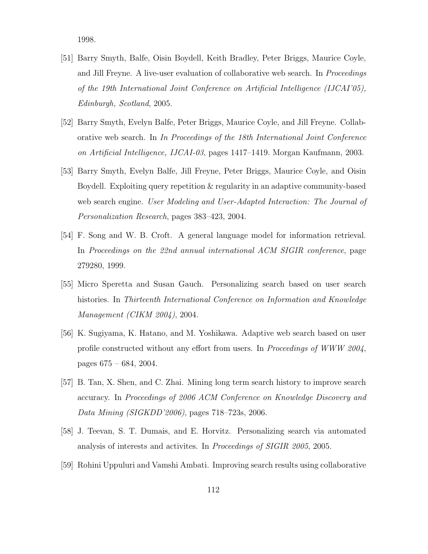1998.

- [51] Barry Smyth, Balfe, Oisin Boydell, Keith Bradley, Peter Briggs, Maurice Coyle, and Jill Freyne. A live-user evaluation of collaborative web search. In *Proceedings* of the 19th International Joint Conference on Artificial Intelligence (IJCAI'05), Edinburgh, Scotland, 2005.
- [52] Barry Smyth, Evelyn Balfe, Peter Briggs, Maurice Coyle, and Jill Freyne. Collaborative web search. In In Proceedings of the 18th International Joint Conference on Artificial Intelligence, IJCAI-03, pages 1417–1419. Morgan Kaufmann, 2003.
- [53] Barry Smyth, Evelyn Balfe, Jill Freyne, Peter Briggs, Maurice Coyle, and Oisin Boydell. Exploiting query repetition & regularity in an adaptive community-based web search engine. User Modeling and User-Adapted Interaction: The Journal of Personalization Research, pages 383–423, 2004.
- [54] F. Song and W. B. Croft. A general language model for information retrieval. In Proceedings on the 22nd annual international ACM SIGIR conference, page 279280, 1999.
- [55] Micro Speretta and Susan Gauch. Personalizing search based on user search histories. In Thirteenth International Conference on Information and Knowledge Management (CIKM 2004), 2004.
- [56] K. Sugiyama, K. Hatano, and M. Yoshikawa. Adaptive web search based on user profile constructed without any effort from users. In Proceedings of WWW 2004, pages 675 – 684, 2004.
- [57] B. Tan, X. Shen, and C. Zhai. Mining long term search history to improve search accuracy. In Proceedings of 2006 ACM Conference on Knowledge Discovery and Data Mining (SIGKDD'2006), pages 718–723s, 2006.
- [58] J. Teevan, S. T. Dumais, and E. Horvitz. Personalizing search via automated analysis of interests and activites. In Proceedings of SIGIR 2005, 2005.
- [59] Rohini Uppuluri and Vamshi Ambati. Improving search results using collaborative